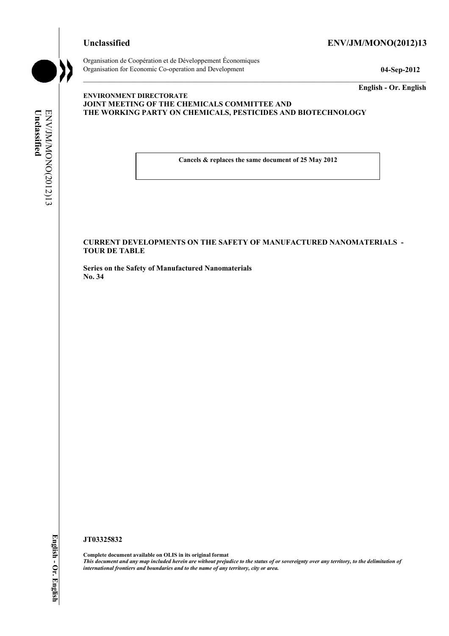# **Unclassified ENV/JM/MONO(2012)13**



**Unclassified** 

Unclassified

ENV/JM/MONO(2012)13

ENV/JM/MONO(2012)13

Organisation de Coopération et de Développement Économiques Organisation for Economic Co-operation and Development **04-Sep-2012** 

**English - Or. English** 

#### **ENVIRONMENT DIRECTORATE JOINT MEETING OF THE CHEMICALS COMMITTEE AND THE WORKING PARTY ON CHEMICALS, PESTICIDES AND BIOTECHNOLOGY**

**Cancels & replaces the same document of 25 May 2012** 

#### **CURRENT DEVELOPMENTS ON THE SAFETY OF MANUFACTURED NANOMATERIALS - TOUR DE TABLE**

**Series on the Safety of Manufactured Nanomaterials No. 34** 

#### **JT03325832**

**Complete document available on OLIS in its original format** *This document and any map included herein are without prejudice to the status of or sovereignty over any territory, to the delimitation of international frontiers and boundaries and to the name of any territory, city or area.*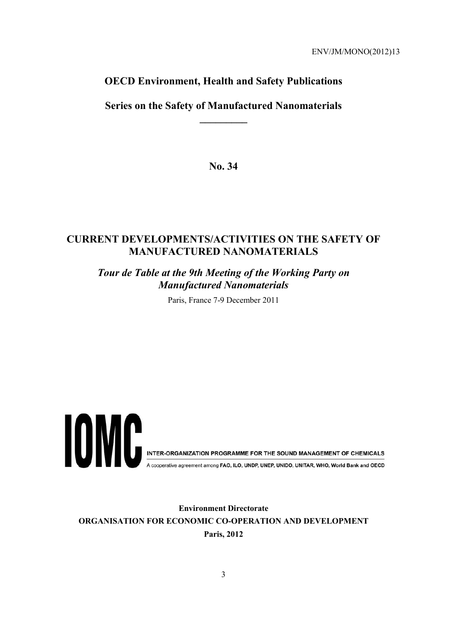# **OECD Environment, Health and Safety Publications**

**Series on the Safety of Manufactured Nanomaterials \_\_\_\_\_\_\_\_\_** 

**No. 34** 

# **CURRENT DEVELOPMENTS/ACTIVITIES ON THE SAFETY OF MANUFACTURED NANOMATERIALS**

# *Tour de Table at the 9th Meeting of the Working Party on Manufactured Nanomaterials*

Paris, France 7-9 December 2011



-<br>A cooperative agreement among FAO, ILO, UNDP, UNEP, UNIDO, UNITAR, WHO, World Bank and OECD

**Environment Directorate ORGANISATION FOR ECONOMIC CO-OPERATION AND DEVELOPMENT Paris, 2012**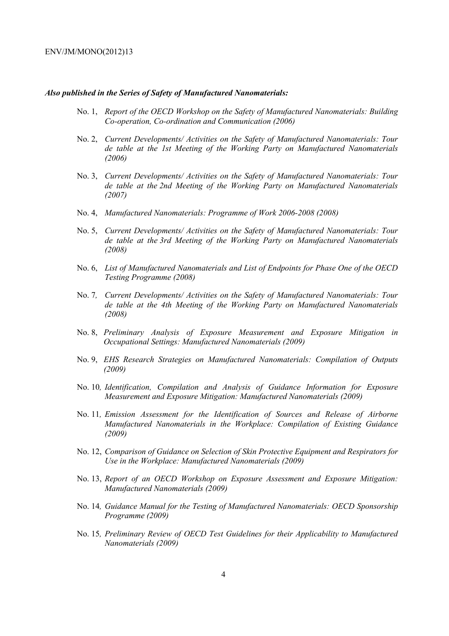#### *Also published in the Series of Safety of Manufactured Nanomaterials:*

- No. 1, *Report of the OECD Workshop on the Safety of Manufactured Nanomaterials: Building Co-operation, Co-ordination and Communication (2006)*
- No. 2, *Current Developments/ Activities on the Safety of Manufactured Nanomaterials: Tour de table at the 1st Meeting of the Working Party on Manufactured Nanomaterials (2006)*
- No. 3, *Current Developments/ Activities on the Safety of Manufactured Nanomaterials: Tour de table at the 2nd Meeting of the Working Party on Manufactured Nanomaterials (2007)*
- No. 4, *Manufactured Nanomaterials: Programme of Work 2006-2008 (2008)*
- No. 5, *Current Developments/ Activities on the Safety of Manufactured Nanomaterials: Tour de table at the 3rd Meeting of the Working Party on Manufactured Nanomaterials (2008)*
- No. 6, *List of Manufactured Nanomaterials and List of Endpoints for Phase One of the OECD Testing Programme (2008)*
- No. 7*, Current Developments/ Activities on the Safety of Manufactured Nanomaterials: Tour de table at the 4th Meeting of the Working Party on Manufactured Nanomaterials (2008)*
- No. 8, *Preliminary Analysis of Exposure Measurement and Exposure Mitigation in Occupational Settings: Manufactured Nanomaterials (2009)*
- No. 9, *EHS Research Strategies on Manufactured Nanomaterials: Compilation of Outputs (2009)*
- No. 10*, Identification, Compilation and Analysis of Guidance Information for Exposure Measurement and Exposure Mitigation: Manufactured Nanomaterials (2009)*
- No. 11*, Emission Assessment for the Identification of Sources and Release of Airborne Manufactured Nanomaterials in the Workplace: Compilation of Existing Guidance (2009)*
- No. 12, *Comparison of Guidance on Selection of Skin Protective Equipment and Respirators for Use in the Workplace: Manufactured Nanomaterials (2009)*
- No. 13, *Report of an OECD Workshop on Exposure Assessment and Exposure Mitigation: Manufactured Nanomaterials (2009)*
- No. 14*, Guidance Manual for the Testing of Manufactured Nanomaterials: OECD Sponsorship Programme (2009)*
- No. 15*, Preliminary Review of OECD Test Guidelines for their Applicability to Manufactured Nanomaterials (2009)*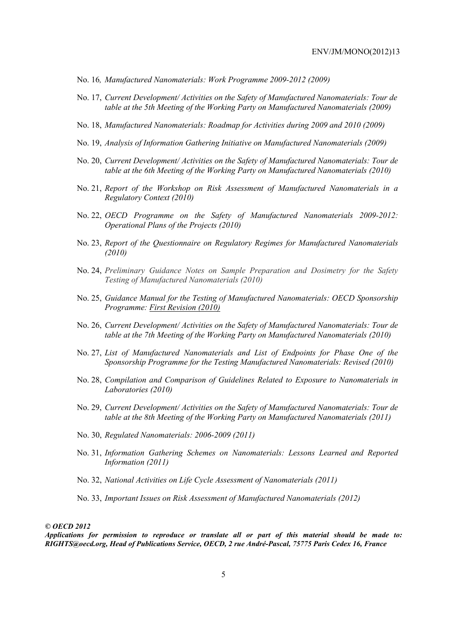- No. 16*, Manufactured Nanomaterials: Work Programme 2009-2012 (2009)*
- No. 17, *Current Development/ Activities on the Safety of Manufactured Nanomaterials: Tour de table at the 5th Meeting of the Working Party on Manufactured Nanomaterials (2009)*
- No. 18, *Manufactured Nanomaterials: Roadmap for Activities during 2009 and 2010 (2009)*
- No. 19, *Analysis of Information Gathering Initiative on Manufactured Nanomaterials (2009)*
- No. 20, *Current Development/ Activities on the Safety of Manufactured Nanomaterials: Tour de table at the 6th Meeting of the Working Party on Manufactured Nanomaterials (2010)*
- No. 21, *Report of the Workshop on Risk Assessment of Manufactured Nanomaterials in a Regulatory Context (2010)*
- No. 22, *OECD Programme on the Safety of Manufactured Nanomaterials 2009-2012: Operational Plans of the Projects (2010)*
- No. 23, *Report of the Questionnaire on Regulatory Regimes for Manufactured Nanomaterials (2010)*
- No. 24, *Preliminary Guidance Notes on Sample Preparation and Dosimetry for the Safety Testing of Manufactured Nanomaterials (2010)*
- No. 25, *Guidance Manual for the Testing of Manufactured Nanomaterials: OECD Sponsorship Programme: First Revision (2010)*
- No. 26, *Current Development/ Activities on the Safety of Manufactured Nanomaterials: Tour de table at the 7th Meeting of the Working Party on Manufactured Nanomaterials (2010)*
- No. 27, *List of Manufactured Nanomaterials and List of Endpoints for Phase One of the Sponsorship Programme for the Testing Manufactured Nanomaterials: Revised (2010)*
- No. 28, *Compilation and Comparison of Guidelines Related to Exposure to Nanomaterials in Laboratories (2010)*
- No. 29, *Current Development/ Activities on the Safety of Manufactured Nanomaterials: Tour de table at the 8th Meeting of the Working Party on Manufactured Nanomaterials (2011)*
- No. 30, *Regulated Nanomaterials: 2006-2009 (2011)*
- No. 31, *Information Gathering Schemes on Nanomaterials: Lessons Learned and Reported Information (2011)*
- No. 32, *National Activities on Life Cycle Assessment of Nanomaterials (2011)*
- No. 33, *Important Issues on Risk Assessment of Manufactured Nanomaterials (2012)*

#### *© OECD 2012*

*Applications for permission to reproduce or translate all or part of this material should be made to: RIGHTS@oecd.org, Head of Publications Service, OECD, 2 rue André-Pascal, 75775 Paris Cedex 16, France*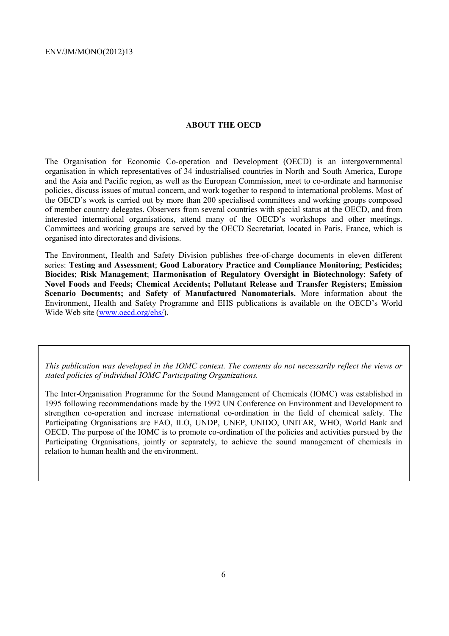#### **ABOUT THE OECD**

The Organisation for Economic Co-operation and Development (OECD) is an intergovernmental organisation in which representatives of 34 industrialised countries in North and South America, Europe and the Asia and Pacific region, as well as the European Commission, meet to co-ordinate and harmonise policies, discuss issues of mutual concern, and work together to respond to international problems. Most of the OECD's work is carried out by more than 200 specialised committees and working groups composed of member country delegates. Observers from several countries with special status at the OECD, and from interested international organisations, attend many of the OECD's workshops and other meetings. Committees and working groups are served by the OECD Secretariat, located in Paris, France, which is organised into directorates and divisions.

The Environment, Health and Safety Division publishes free-of-charge documents in eleven different series: **Testing and Assessment**; **Good Laboratory Practice and Compliance Monitoring**; **Pesticides; Biocides**; **Risk Management**; **Harmonisation of Regulatory Oversight in Biotechnology**; **Safety of Novel Foods and Feeds; Chemical Accidents; Pollutant Release and Transfer Registers; Emission Scenario Documents;** and **Safety of Manufactured Nanomaterials.** More information about the Environment, Health and Safety Programme and EHS publications is available on the OECD's World Wide Web site (www.oecd.org/ehs/).

*This publication was developed in the IOMC context. The contents do not necessarily reflect the views or stated policies of individual IOMC Participating Organizations.* 

The Inter-Organisation Programme for the Sound Management of Chemicals (IOMC) was established in 1995 following recommendations made by the 1992 UN Conference on Environment and Development to strengthen co-operation and increase international co-ordination in the field of chemical safety. The Participating Organisations are FAO, ILO, UNDP, UNEP, UNIDO, UNITAR, WHO, World Bank and OECD. The purpose of the IOMC is to promote co-ordination of the policies and activities pursued by the Participating Organisations, jointly or separately, to achieve the sound management of chemicals in relation to human health and the environment.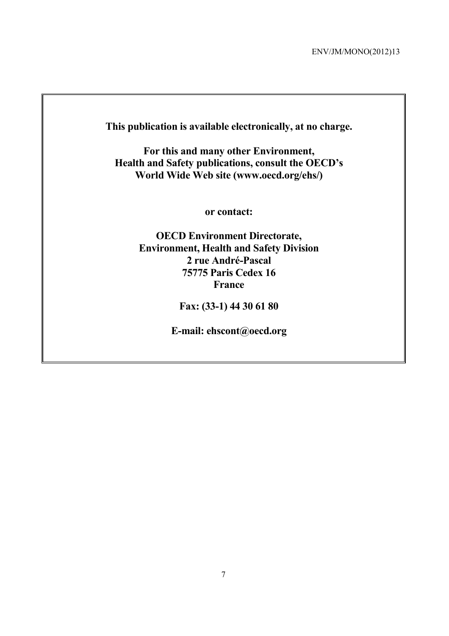**This publication is available electronically, at no charge.** 

**For this and many other Environment, Health and Safety publications, consult the OECD's World Wide Web site (www.oecd.org/ehs/)** 

**or contact:** 

**OECD Environment Directorate, Environment, Health and Safety Division 2 rue André-Pascal 75775 Paris Cedex 16 France** 

**Fax: (33-1) 44 30 61 80** 

**E-mail: ehscont@oecd.org**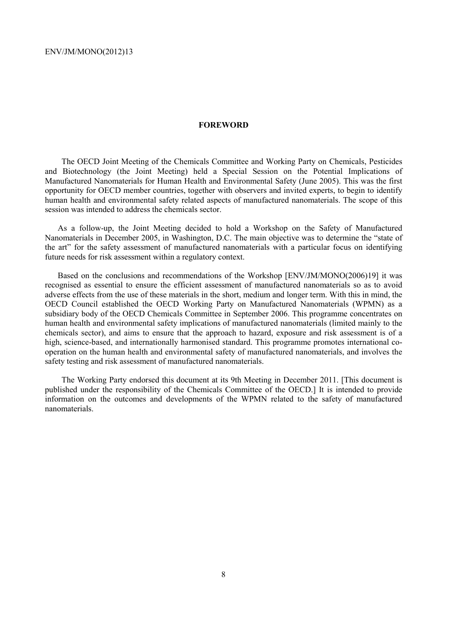#### **FOREWORD**

The OECD Joint Meeting of the Chemicals Committee and Working Party on Chemicals, Pesticides and Biotechnology (the Joint Meeting) held a Special Session on the Potential Implications of Manufactured Nanomaterials for Human Health and Environmental Safety (June 2005). This was the first opportunity for OECD member countries, together with observers and invited experts, to begin to identify human health and environmental safety related aspects of manufactured nanomaterials. The scope of this session was intended to address the chemicals sector.

As a follow-up, the Joint Meeting decided to hold a Workshop on the Safety of Manufactured Nanomaterials in December 2005, in Washington, D.C. The main objective was to determine the "state of the art" for the safety assessment of manufactured nanomaterials with a particular focus on identifying future needs for risk assessment within a regulatory context.

Based on the conclusions and recommendations of the Workshop [ENV/JM/MONO(2006)19] it was recognised as essential to ensure the efficient assessment of manufactured nanomaterials so as to avoid adverse effects from the use of these materials in the short, medium and longer term. With this in mind, the OECD Council established the OECD Working Party on Manufactured Nanomaterials (WPMN) as a subsidiary body of the OECD Chemicals Committee in September 2006. This programme concentrates on human health and environmental safety implications of manufactured nanomaterials (limited mainly to the chemicals sector), and aims to ensure that the approach to hazard, exposure and risk assessment is of a high, science-based, and internationally harmonised standard. This programme promotes international cooperation on the human health and environmental safety of manufactured nanomaterials, and involves the safety testing and risk assessment of manufactured nanomaterials.

The Working Party endorsed this document at its 9th Meeting in December 2011. [This document is published under the responsibility of the Chemicals Committee of the OECD.] It is intended to provide information on the outcomes and developments of the WPMN related to the safety of manufactured nanomaterials.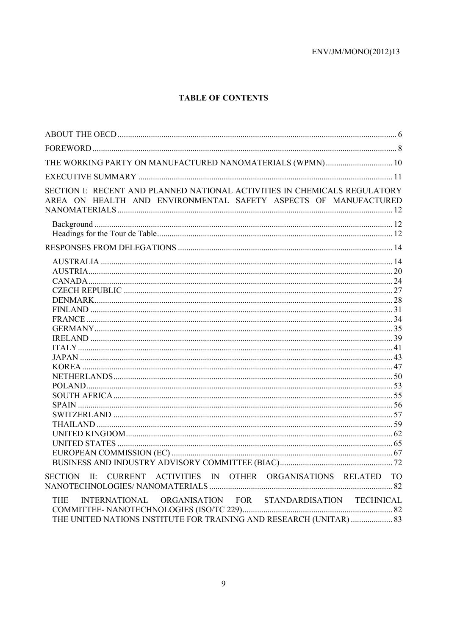# **TABLE OF CONTENTS**

| SECTION I: RECENT AND PLANNED NATIONAL ACTIVITIES IN CHEMICALS REGULATORY<br>AREA ON HEALTH AND ENVIRONMENTAL SAFETY ASPECTS OF MANUFACTURED |  |
|----------------------------------------------------------------------------------------------------------------------------------------------|--|
|                                                                                                                                              |  |
|                                                                                                                                              |  |
|                                                                                                                                              |  |
|                                                                                                                                              |  |
|                                                                                                                                              |  |
|                                                                                                                                              |  |
|                                                                                                                                              |  |
|                                                                                                                                              |  |
| SECTION II: CURRENT ACTIVITIES IN OTHER ORGANISATIONS RELATED TO                                                                             |  |
| INTERNATIONAL ORGANISATION FOR STANDARDISATION TECHNICAL<br>THE<br>THE UNITED NATIONS INSTITUTE FOR TRAINING AND RESEARCH (UNITAR)  83       |  |
|                                                                                                                                              |  |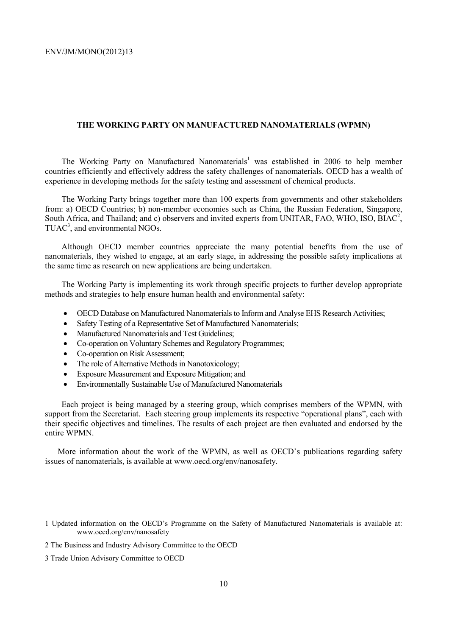#### **THE WORKING PARTY ON MANUFACTURED NANOMATERIALS (WPMN)**

The Working Party on Manufactured Nanomaterials<sup>1</sup> was established in 2006 to help member countries efficiently and effectively address the safety challenges of nanomaterials. OECD has a wealth of experience in developing methods for the safety testing and assessment of chemical products.

The Working Party brings together more than 100 experts from governments and other stakeholders from: a) OECD Countries; b) non-member economies such as China, the Russian Federation, Singapore, South Africa, and Thailand; and c) observers and invited experts from UNITAR, FAO, WHO, ISO, BIAC<sup>2</sup>,  $TUAC<sup>3</sup>$ , and environmental NGOs.

Although OECD member countries appreciate the many potential benefits from the use of nanomaterials, they wished to engage, at an early stage, in addressing the possible safety implications at the same time as research on new applications are being undertaken.

The Working Party is implementing its work through specific projects to further develop appropriate methods and strategies to help ensure human health and environmental safety:

- OECD Database on Manufactured Nanomaterials to Inform and Analyse EHS Research Activities;
- Safety Testing of a Representative Set of Manufactured Nanomaterials;
- Manufactured Nanomaterials and Test Guidelines;
- Co-operation on Voluntary Schemes and Regulatory Programmes;
- Co-operation on Risk Assessment;
- The role of Alternative Methods in Nanotoxicology;
- Exposure Measurement and Exposure Mitigation; and
- Environmentally Sustainable Use of Manufactured Nanomaterials

Each project is being managed by a steering group, which comprises members of the WPMN, with support from the Secretariat. Each steering group implements its respective "operational plans", each with their specific objectives and timelines. The results of each project are then evaluated and endorsed by the entire WPMN.

More information about the work of the WPMN, as well as OECD's publications regarding safety issues of nanomaterials, is available at www.oecd.org/env/nanosafety.

<sup>1</sup> Updated information on the OECD's Programme on the Safety of Manufactured Nanomaterials is available at: www.oecd.org/env/nanosafety

<sup>2</sup> The Business and Industry Advisory Committee to the OECD

<sup>3</sup> Trade Union Advisory Committee to OECD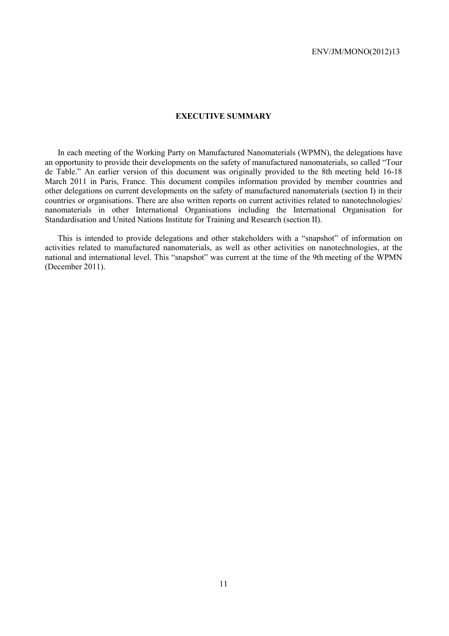#### **EXECUTIVE SUMMARY**

In each meeting of the Working Party on Manufactured Nanomaterials (WPMN), the delegations have an opportunity to provide their developments on the safety of manufactured nanomaterials, so called "Tour de Table." An earlier version of this document was originally provided to the 8th meeting held 16-18 March 2011 in Paris, France. This document compiles information provided by member countries and other delegations on current developments on the safety of manufactured nanomaterials (section I) in their countries or organisations. There are also written reports on current activities related to nanotechnologies/ nanomaterials in other International Organisations including the International Organisation for Standardisation and United Nations Institute for Training and Research (section II).

This is intended to provide delegations and other stakeholders with a "snapshot" of information on activities related to manufactured nanomaterials, as well as other activities on nanotechnologies, at the national and international level. This "snapshot" was current at the time of the 9th meeting of the WPMN (December 2011).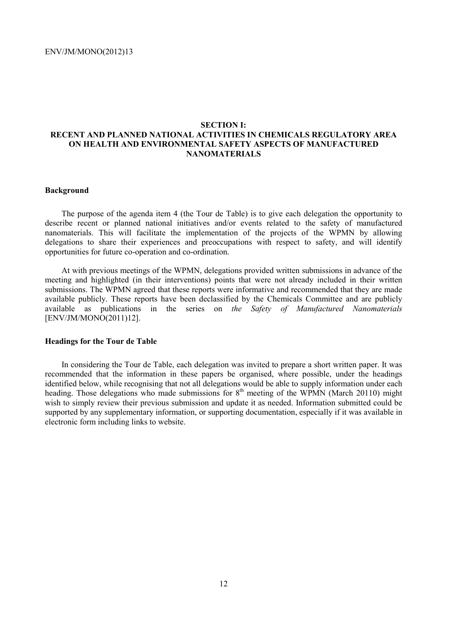#### **SECTION I:**

# **RECENT AND PLANNED NATIONAL ACTIVITIES IN CHEMICALS REGULATORY AREA ON HEALTH AND ENVIRONMENTAL SAFETY ASPECTS OF MANUFACTURED NANOMATERIALS**

#### **Background**

The purpose of the agenda item 4 (the Tour de Table) is to give each delegation the opportunity to describe recent or planned national initiatives and/or events related to the safety of manufactured nanomaterials. This will facilitate the implementation of the projects of the WPMN by allowing delegations to share their experiences and preoccupations with respect to safety, and will identify opportunities for future co-operation and co-ordination.

At with previous meetings of the WPMN, delegations provided written submissions in advance of the meeting and highlighted (in their interventions) points that were not already included in their written submissions. The WPMN agreed that these reports were informative and recommended that they are made available publicly. These reports have been declassified by the Chemicals Committee and are publicly available as publications in the series on *the Safety of Manufactured Nanomaterials* [ENV/JM/MONO(2011)12].

#### **Headings for the Tour de Table**

In considering the Tour de Table, each delegation was invited to prepare a short written paper. It was recommended that the information in these papers be organised, where possible, under the headings identified below, while recognising that not all delegations would be able to supply information under each heading. Those delegations who made submissions for 8<sup>th</sup> meeting of the WPMN (March 20110) might wish to simply review their previous submission and update it as needed. Information submitted could be supported by any supplementary information, or supporting documentation, especially if it was available in electronic form including links to website.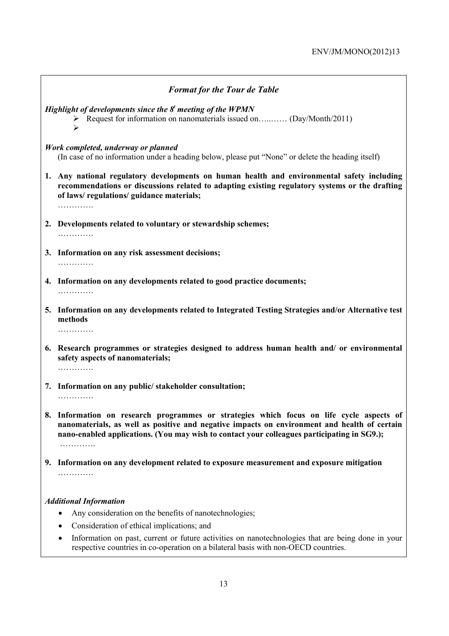| <b>Format for the Tour de Table</b> |                                                                                                                                                                                                                                                                                                                      |  |  |
|-------------------------------------|----------------------------------------------------------------------------------------------------------------------------------------------------------------------------------------------------------------------------------------------------------------------------------------------------------------------|--|--|
|                                     | Highlight of developments since the $8t$ meeting of the WPMN<br>Exercise Request for information on nanomaterials issued on (Day/Month/2011)                                                                                                                                                                         |  |  |
|                                     | Work completed, underway or planned<br>(In case of no information under a heading below, please put "None" or delete the heading itself)                                                                                                                                                                             |  |  |
|                                     | 1. Any national regulatory developments on human health and environmental safety including<br>recommendations or discussions related to adapting existing regulatory systems or the drafting<br>of laws/regulations/guidance materials;                                                                              |  |  |
|                                     |                                                                                                                                                                                                                                                                                                                      |  |  |
|                                     | 2. Developments related to voluntary or stewardship schemes;<br>.                                                                                                                                                                                                                                                    |  |  |
|                                     | 3. Information on any risk assessment decisions;<br>.                                                                                                                                                                                                                                                                |  |  |
| 4.                                  | Information on any developments related to good practice documents;<br>.                                                                                                                                                                                                                                             |  |  |
| 5.                                  | Information on any developments related to Integrated Testing Strategies and/or Alternative test<br>methods                                                                                                                                                                                                          |  |  |
|                                     |                                                                                                                                                                                                                                                                                                                      |  |  |
|                                     | 6. Research programmes or strategies designed to address human health and/ or environmental<br>safety aspects of nanomaterials;                                                                                                                                                                                      |  |  |
|                                     | .                                                                                                                                                                                                                                                                                                                    |  |  |
|                                     | 7. Information on any public/stakeholder consultation;<br>.                                                                                                                                                                                                                                                          |  |  |
|                                     | $\mathbf{r}$ $\mathbf{r}$<br>8. Information on research programmes or strategies which focus on life cycle aspects of<br>nanomaterials, as well as positive and negative impacts on environment and health of certain<br>nano-enabled applications. (You may wish to contact your colleagues participating in SG9.); |  |  |
|                                     | .                                                                                                                                                                                                                                                                                                                    |  |  |
|                                     | 9. Information on any development related to exposure measurement and exposure mitigation                                                                                                                                                                                                                            |  |  |
|                                     | <b>Additional Information</b>                                                                                                                                                                                                                                                                                        |  |  |
|                                     | Any consideration on the benefits of nanotechnologies;<br>$\bullet$                                                                                                                                                                                                                                                  |  |  |
|                                     | Consideration of ethical implications; and<br>٠                                                                                                                                                                                                                                                                      |  |  |
|                                     | Information on past current or future activities on nanotechnologies that are being done in your                                                                                                                                                                                                                     |  |  |

• Information on past, current or future activities on nanotechnologies that are being done in your respective countries in co-operation on a bilateral basis with non-OECD countries.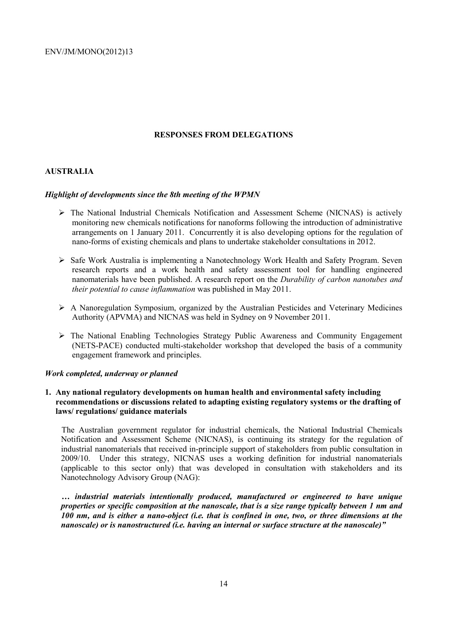# **RESPONSES FROM DELEGATIONS**

# **AUSTRALIA**

#### *Highlight of developments since the 8th meeting of the WPMN*

- ¾ The National Industrial Chemicals Notification and Assessment Scheme (NICNAS) is actively monitoring new chemicals notifications for nanoforms following the introduction of administrative arrangements on 1 January 2011. Concurrently it is also developing options for the regulation of nano-forms of existing chemicals and plans to undertake stakeholder consultations in 2012.
- $\triangleright$  Safe Work Australia is implementing a Nanotechnology Work Health and Safety Program. Seven research reports and a work health and safety assessment tool for handling engineered nanomaterials have been published. A research report on the *Durability of carbon nanotubes and their potential to cause inflammation* was published in May 2011.
- $\triangleright$  A Nanoregulation Symposium, organized by the Australian Pesticides and Veterinary Medicines Authority (APVMA) and NICNAS was held in Sydney on 9 November 2011.
- ¾ The National Enabling Technologies Strategy Public Awareness and Community Engagement (NETS-PACE) conducted multi-stakeholder workshop that developed the basis of a community engagement framework and principles.

#### *Work completed, underway or planned*

# **1. Any national regulatory developments on human health and environmental safety including recommendations or discussions related to adapting existing regulatory systems or the drafting of laws/ regulations/ guidance materials**

The Australian government regulator for industrial chemicals, the National Industrial Chemicals Notification and Assessment Scheme (NICNAS), is continuing its strategy for the regulation of industrial nanomaterials that received in-principle support of stakeholders from public consultation in 2009/10. Under this strategy, NICNAS uses a working definition for industrial nanomaterials (applicable to this sector only) that was developed in consultation with stakeholders and its Nanotechnology Advisory Group (NAG):

*… industrial materials intentionally produced, manufactured or engineered to have unique properties or specific composition at the nanoscale, that is a size range typically between 1 nm and 100 nm, and is either a nano-object (i.e. that is confined in one, two, or three dimensions at the nanoscale) or is nanostructured (i.e. having an internal or surface structure at the nanoscale)"*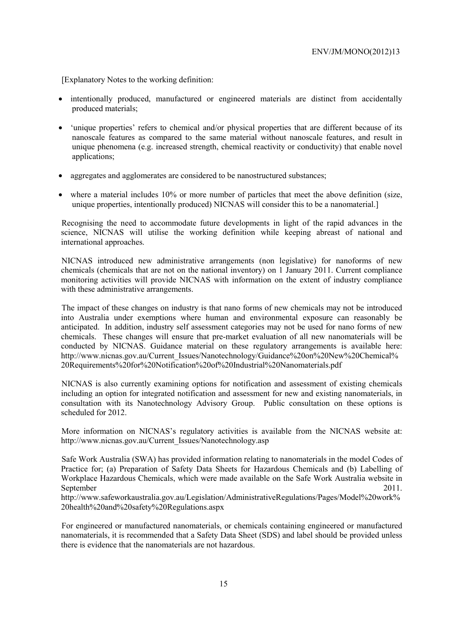[Explanatory Notes to the working definition:

- intentionally produced, manufactured or engineered materials are distinct from accidentally produced materials;
- 'unique properties' refers to chemical and/or physical properties that are different because of its nanoscale features as compared to the same material without nanoscale features, and result in unique phenomena (e.g. increased strength, chemical reactivity or conductivity) that enable novel applications;
- aggregates and agglomerates are considered to be nanostructured substances;
- where a material includes 10% or more number of particles that meet the above definition (size, unique properties, intentionally produced) NICNAS will consider this to be a nanomaterial.]

Recognising the need to accommodate future developments in light of the rapid advances in the science, NICNAS will utilise the working definition while keeping abreast of national and international approaches.

NICNAS introduced new administrative arrangements (non legislative) for nanoforms of new chemicals (chemicals that are not on the national inventory) on 1 January 2011. Current compliance monitoring activities will provide NICNAS with information on the extent of industry compliance with these administrative arrangements.

The impact of these changes on industry is that nano forms of new chemicals may not be introduced into Australia under exemptions where human and environmental exposure can reasonably be anticipated. In addition, industry self assessment categories may not be used for nano forms of new chemicals. These changes will ensure that pre-market evaluation of all new nanomaterials will be conducted by NICNAS. Guidance material on these regulatory arrangements is available here: http://www.nicnas.gov.au/Current\_Issues/Nanotechnology/Guidance%20on%20New%20Chemical% 20Requirements%20for%20Notification%20of%20Industrial%20Nanomaterials.pdf

NICNAS is also currently examining options for notification and assessment of existing chemicals including an option for integrated notification and assessment for new and existing nanomaterials, in consultation with its Nanotechnology Advisory Group. Public consultation on these options is scheduled for 2012.

More information on NICNAS's regulatory activities is available from the NICNAS website at: http://www.nicnas.gov.au/Current\_Issues/Nanotechnology.asp

Safe Work Australia (SWA) has provided information relating to nanomaterials in the model Codes of Practice for; (a) Preparation of Safety Data Sheets for Hazardous Chemicals and (b) Labelling of Workplace Hazardous Chemicals, which were made available on the Safe Work Australia website in September 2011.

http://www.safeworkaustralia.gov.au/Legislation/AdministrativeRegulations/Pages/Model%20work% 20health%20and%20safety%20Regulations.aspx

For engineered or manufactured nanomaterials, or chemicals containing engineered or manufactured nanomaterials, it is recommended that a Safety Data Sheet (SDS) and label should be provided unless there is evidence that the nanomaterials are not hazardous.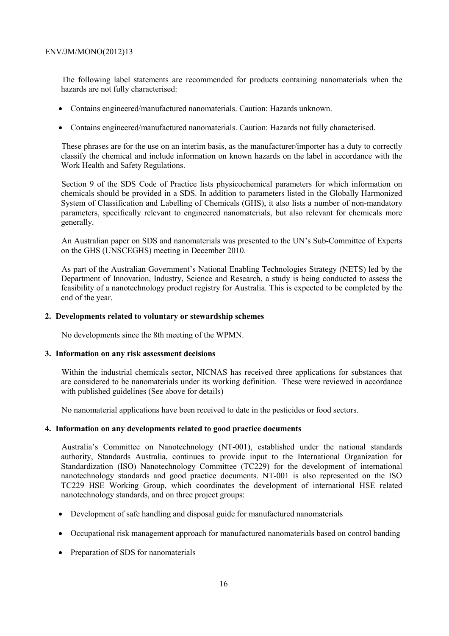The following label statements are recommended for products containing nanomaterials when the hazards are not fully characterised:

- Contains engineered/manufactured nanomaterials. Caution: Hazards unknown.
- Contains engineered/manufactured nanomaterials. Caution: Hazards not fully characterised.

These phrases are for the use on an interim basis, as the manufacturer/importer has a duty to correctly classify the chemical and include information on known hazards on the label in accordance with the Work Health and Safety Regulations.

Section 9 of the SDS Code of Practice lists physicochemical parameters for which information on chemicals should be provided in a SDS. In addition to parameters listed in the Globally Harmonized System of Classification and Labelling of Chemicals (GHS), it also lists a number of non-mandatory parameters, specifically relevant to engineered nanomaterials, but also relevant for chemicals more generally.

An Australian paper on SDS and nanomaterials was presented to the UN's Sub-Committee of Experts on the GHS (UNSCEGHS) meeting in December 2010.

As part of the Australian Government's National Enabling Technologies Strategy (NETS) led by the Department of Innovation, Industry, Science and Research, a study is being conducted to assess the feasibility of a nanotechnology product registry for Australia. This is expected to be completed by the end of the year.

#### **2. Developments related to voluntary or stewardship schemes**

No developments since the 8th meeting of the WPMN.

#### **3. Information on any risk assessment decisions**

Within the industrial chemicals sector, NICNAS has received three applications for substances that are considered to be nanomaterials under its working definition. These were reviewed in accordance with published guidelines (See above for details)

No nanomaterial applications have been received to date in the pesticides or food sectors.

#### **4. Information on any developments related to good practice documents**

Australia's Committee on Nanotechnology (NT-001), established under the national standards authority, Standards Australia, continues to provide input to the International Organization for Standardization (ISO) Nanotechnology Committee (TC229) for the development of international nanotechnology standards and good practice documents. NT-001 is also represented on the ISO TC229 HSE Working Group, which coordinates the development of international HSE related nanotechnology standards, and on three project groups:

- Development of safe handling and disposal guide for manufactured nanomaterials
- Occupational risk management approach for manufactured nanomaterials based on control banding
- Preparation of SDS for nanomaterials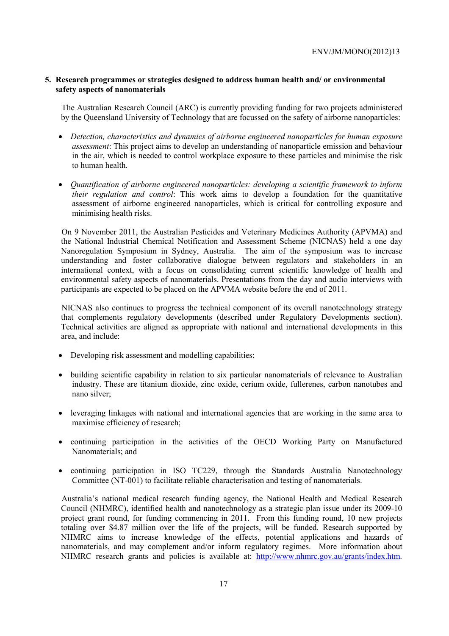# **5. Research programmes or strategies designed to address human health and/ or environmental safety aspects of nanomaterials**

The Australian Research Council (ARC) is currently providing funding for two projects administered by the Queensland University of Technology that are focussed on the safety of airborne nanoparticles:

- *Detection, characteristics and dynamics of airborne engineered nanoparticles for human exposure assessment*: This project aims to develop an understanding of nanoparticle emission and behaviour in the air, which is needed to control workplace exposure to these particles and minimise the risk to human health.
- *Quantification of airborne engineered nanoparticles: developing a scientific framework to inform their regulation and control*: This work aims to develop a foundation for the quantitative assessment of airborne engineered nanoparticles, which is critical for controlling exposure and minimising health risks.

On 9 November 2011, the Australian Pesticides and Veterinary Medicines Authority (APVMA) and the National Industrial Chemical Notification and Assessment Scheme (NICNAS) held a one day Nanoregulation Symposium in Sydney, Australia. The aim of the symposium was to increase understanding and foster collaborative dialogue between regulators and stakeholders in an international context, with a focus on consolidating current scientific knowledge of health and environmental safety aspects of nanomaterials. Presentations from the day and audio interviews with participants are expected to be placed on the APVMA website before the end of 2011.

NICNAS also continues to progress the technical component of its overall nanotechnology strategy that complements regulatory developments (described under Regulatory Developments section). Technical activities are aligned as appropriate with national and international developments in this area, and include:

- Developing risk assessment and modelling capabilities;
- building scientific capability in relation to six particular nanomaterials of relevance to Australian industry. These are titanium dioxide, zinc oxide, cerium oxide, fullerenes, carbon nanotubes and nano silver;
- leveraging linkages with national and international agencies that are working in the same area to maximise efficiency of research;
- continuing participation in the activities of the OECD Working Party on Manufactured Nanomaterials; and
- continuing participation in ISO TC229, through the Standards Australia Nanotechnology Committee (NT-001) to facilitate reliable characterisation and testing of nanomaterials.

Australia's national medical research funding agency, the National Health and Medical Research Council (NHMRC), identified health and nanotechnology as a strategic plan issue under its 2009-10 project grant round, for funding commencing in 2011. From this funding round, 10 new projects totaling over \$4.87 million over the life of the projects, will be funded. Research supported by NHMRC aims to increase knowledge of the effects, potential applications and hazards of nanomaterials, and may complement and/or inform regulatory regimes. More information about NHMRC research grants and policies is available at: http://www.nhmrc.gov.au/grants/index.htm.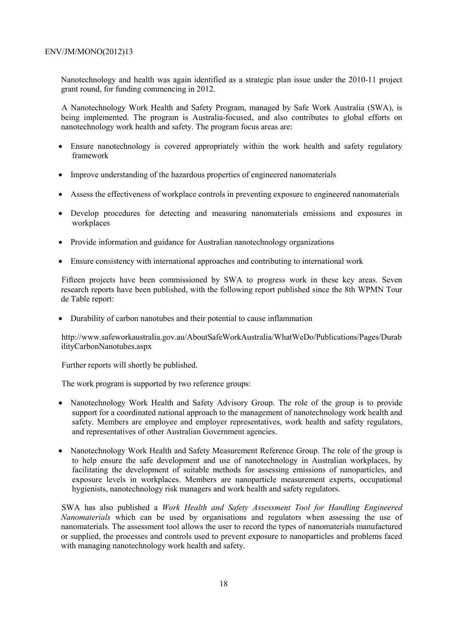Nanotechnology and health was again identified as a strategic plan issue under the 2010-11 project grant round, for funding commencing in 2012.

A Nanotechnology Work Health and Safety Program, managed by Safe Work Australia (SWA), is being implemented. The program is Australia-focused, and also contributes to global efforts on nanotechnology work health and safety. The program focus areas are:

- Ensure nanotechnology is covered appropriately within the work health and safety regulatory framework
- Improve understanding of the hazardous properties of engineered nanomaterials
- Assess the effectiveness of workplace controls in preventing exposure to engineered nanomaterials
- Develop procedures for detecting and measuring nanomaterials emissions and exposures in workplaces
- Provide information and guidance for Australian nanotechnology organizations
- Ensure consistency with international approaches and contributing to international work

Fifteen projects have been commissioned by SWA to progress work in these key areas. Seven research reports have been published, with the following report published since the 8th WPMN Tour de Table report:

• Durability of carbon nanotubes and their potential to cause inflammation

http://www.safeworkaustralia.gov.au/AboutSafeWorkAustralia/WhatWeDo/Publications/Pages/Durab ilityCarbonNanotubes.aspx

Further reports will shortly be published.

The work program is supported by two reference groups:

- Nanotechnology Work Health and Safety Advisory Group. The role of the group is to provide support for a coordinated national approach to the management of nanotechnology work health and safety. Members are employee and employer representatives, work health and safety regulators, and representatives of other Australian Government agencies.
- Nanotechnology Work Health and Safety Measurement Reference Group. The role of the group is to help ensure the safe development and use of nanotechnology in Australian workplaces, by facilitating the development of suitable methods for assessing emissions of nanoparticles, and exposure levels in workplaces. Members are nanoparticle measurement experts, occupational hygienists, nanotechnology risk managers and work health and safety regulators.

SWA has also published a *Work Health and Safety Assessment Tool for Handling Engineered Nanomaterials* which can be used by organisations and regulators when assessing the use of nanomaterials. The assessment tool allows the user to record the types of nanomaterials manufactured or supplied, the processes and controls used to prevent exposure to nanoparticles and problems faced with managing nanotechnology work health and safety.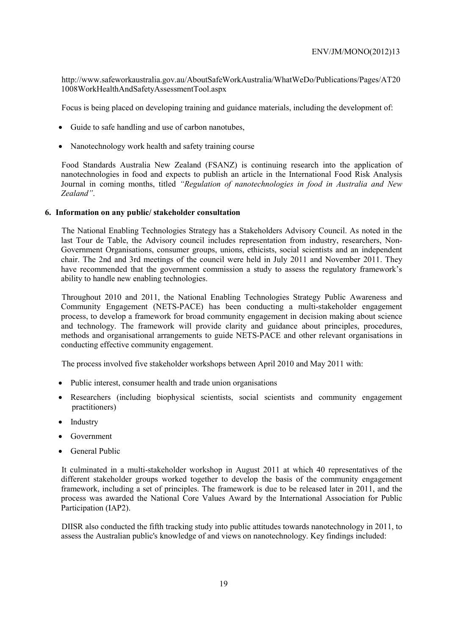http://www.safeworkaustralia.gov.au/AboutSafeWorkAustralia/WhatWeDo/Publications/Pages/AT20 1008WorkHealthAndSafetyAssessmentTool.aspx

Focus is being placed on developing training and guidance materials, including the development of:

- Guide to safe handling and use of carbon nanotubes,
- Nanotechnology work health and safety training course

Food Standards Australia New Zealand (FSANZ) is continuing research into the application of nanotechnologies in food and expects to publish an article in the International Food Risk Analysis Journal in coming months, titled *"Regulation of nanotechnologies in food in Australia and New Zealand"*.

#### **6. Information on any public/ stakeholder consultation**

The National Enabling Technologies Strategy has a Stakeholders Advisory Council. As noted in the last Tour de Table, the Advisory council includes representation from industry, researchers, Non-Government Organisations, consumer groups, unions, ethicists, social scientists and an independent chair. The 2nd and 3rd meetings of the council were held in July 2011 and November 2011. They have recommended that the government commission a study to assess the regulatory framework's ability to handle new enabling technologies.

Throughout 2010 and 2011, the National Enabling Technologies Strategy Public Awareness and Community Engagement (NETS-PACE) has been conducting a multi-stakeholder engagement process, to develop a framework for broad community engagement in decision making about science and technology. The framework will provide clarity and guidance about principles, procedures, methods and organisational arrangements to guide NETS-PACE and other relevant organisations in conducting effective community engagement.

The process involved five stakeholder workshops between April 2010 and May 2011 with:

- Public interest, consumer health and trade union organisations
- Researchers (including biophysical scientists, social scientists and community engagement practitioners)
- **Industry**
- Government
- General Public

It culminated in a multi-stakeholder workshop in August 2011 at which 40 representatives of the different stakeholder groups worked together to develop the basis of the community engagement framework, including a set of principles. The framework is due to be released later in 2011, and the process was awarded the National Core Values Award by the International Association for Public Participation (IAP2).

DIISR also conducted the fifth tracking study into public attitudes towards nanotechnology in 2011, to assess the Australian public's knowledge of and views on nanotechnology. Key findings included: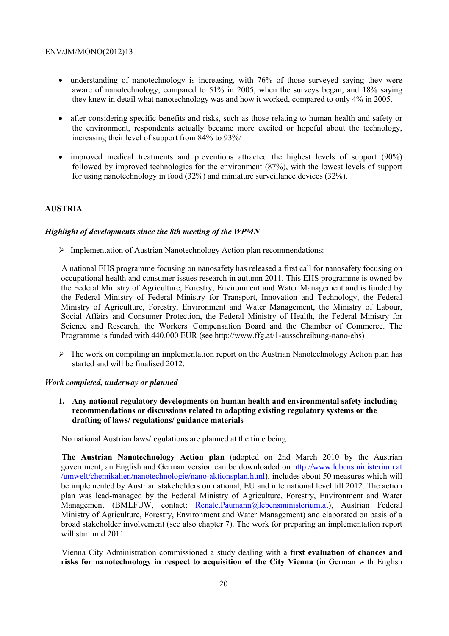- understanding of nanotechnology is increasing, with 76% of those surveyed saying they were aware of nanotechnology, compared to 51% in 2005, when the surveys began, and 18% saying they knew in detail what nanotechnology was and how it worked, compared to only 4% in 2005.
- after considering specific benefits and risks, such as those relating to human health and safety or the environment, respondents actually became more excited or hopeful about the technology, increasing their level of support from 84% to 93%/
- improved medical treatments and preventions attracted the highest levels of support (90%) followed by improved technologies for the environment (87%), with the lowest levels of support for using nanotechnology in food (32%) and miniature surveillance devices (32%).

# **AUSTRIA**

### *Highlight of developments since the 8th meeting of the WPMN*

¾ Implementation of Austrian Nanotechnology Action plan recommendations:

A national EHS programme focusing on nanosafety has released a first call for nanosafety focusing on occupational health and consumer issues research in autumn 2011. This EHS programme is owned by the Federal Ministry of Agriculture, Forestry, Environment and Water Management and is funded by the Federal Ministry of Federal Ministry for Transport, Innovation and Technology, the Federal Ministry of Agriculture, Forestry, Environment and Water Management, the Ministry of Labour, Social Affairs and Consumer Protection, the Federal Ministry of Health, the Federal Ministry for Science and Research, the Workers' Compensation Board and the Chamber of Commerce. The Programme is funded with 440.000 EUR (see http://www.ffg.at/1-ausschreibung-nano-ehs)

 $\triangleright$  The work on compiling an implementation report on the Austrian Nanotechnology Action plan has started and will be finalised 2012.

#### *Work completed, underway or planned*

**1. Any national regulatory developments on human health and environmental safety including recommendations or discussions related to adapting existing regulatory systems or the drafting of laws/ regulations/ guidance materials** 

No national Austrian laws/regulations are planned at the time being.

**The Austrian Nanotechnology Action plan** (adopted on 2nd March 2010 by the Austrian government, an English and German version can be downloaded on http://www.lebensministerium.at /umwelt/chemikalien/nanotechnologie/nano-aktionsplan.html), includes about 50 measures which will be implemented by Austrian stakeholders on national, EU and international level till 2012. The action plan was lead-managed by the Federal Ministry of Agriculture, Forestry, Environment and Water Management (BMLFUW, contact: Renate.Paumann@lebensministerium.at), Austrian Federal Ministry of Agriculture, Forestry, Environment and Water Management) and elaborated on basis of a broad stakeholder involvement (see also chapter 7). The work for preparing an implementation report will start mid 2011.

Vienna City Administration commissioned a study dealing with a **first evaluation of chances and risks for nanotechnology in respect to acquisition of the City Vienna** (in German with English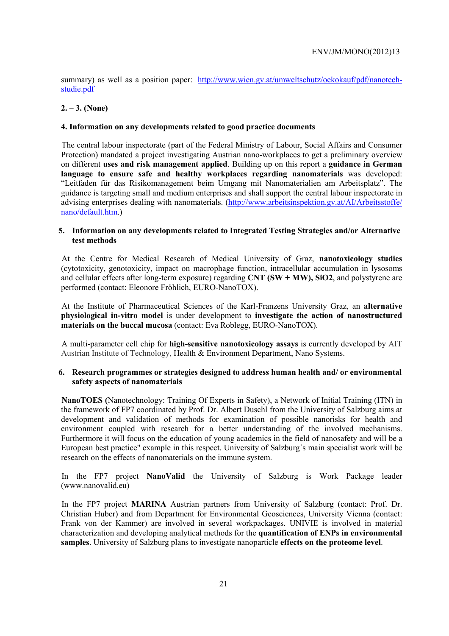summary) as well as a position paper: http://www.wien.gv.at/umweltschutz/oekokauf/pdf/nanotechstudie ndf

# **2. – 3. (None)**

# **4. Information on any developments related to good practice documents**

The central labour inspectorate (part of the Federal Ministry of Labour, Social Affairs and Consumer Protection) mandated a project investigating Austrian nano-workplaces to get a preliminary overview on different **uses and risk management applied**. Building up on this report a **guidance in German language to ensure safe and healthy workplaces regarding nanomaterials** was developed: "Leitfaden für das Risikomanagement beim Umgang mit Nanomaterialien am Arbeitsplatz". The guidance is targeting small and medium enterprises and shall support the central labour inspectorate in advising enterprises dealing with nanomaterials. (http://www.arbeitsinspektion.gv.at/AI/Arbeitsstoffe/ nano/default.htm.)

# **5. Information on any developments related to Integrated Testing Strategies and/or Alternative test methods**

At the Centre for Medical Research of Medical University of Graz, **nanotoxicology studies**  (cytotoxicity, genotoxicity, impact on macrophage function, intracellular accumulation in lysosoms and cellular effects after long-term exposure) regarding **CNT (SW + MW), SiO2**, and polystyrene are performed (contact: Eleonore Fröhlich, EURO-NanoTOX).

At the Institute of Pharmaceutical Sciences of the Karl-Franzens University Graz, an **alternative physiological in-vitro model** is under development to **investigate the action of nanostructured materials on the buccal mucosa** (contact: Eva Roblegg, EURO-NanoTOX).

A multi-parameter cell chip for **high-sensitive nanotoxicology assays** is currently developed by AIT Austrian Institute of Technology, Health & Environment Department, Nano Systems.

# **6. Research programmes or strategies designed to address human health and/ or environmental safety aspects of nanomaterials**

**NanoTOES (**Nanotechnology: Training Of Experts in Safety), a Network of Initial Training (ITN) in the framework of FP7 coordinated by Prof. Dr. Albert Duschl from the University of Salzburg aims at development and validation of methods for examination of possible nanorisks for health and environment coupled with research for a better understanding of the involved mechanisms. Furthermore it will focus on the education of young academics in the field of nanosafety and will be a European best practice" example in this respect. University of Salzburg´s main specialist work will be research on the effects of nanomaterials on the immune system.

In the FP7 project **NanoValid** the University of Salzburg is Work Package leader (www.nanovalid.eu)

In the FP7 project **MARINA** Austrian partners from University of Salzburg (contact: Prof. Dr. Christian Huber) and from Department for Environmental Geosciences, University Vienna (contact: Frank von der Kammer) are involved in several workpackages. UNIVIE is involved in material characterization and developing analytical methods for the **quantification of ENPs in environmental samples**. University of Salzburg plans to investigate nanoparticle **effects on the proteome level**.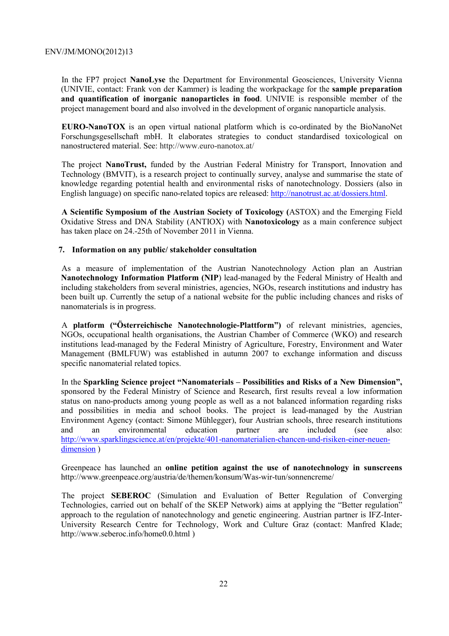In the FP7 project **NanoLyse** the Department for Environmental Geosciences, University Vienna (UNIVIE, contact: Frank von der Kammer) is leading the workpackage for the **sample preparation and quantification of inorganic nanoparticles in food**. UNIVIE is responsible member of the project management board and also involved in the development of organic nanoparticle analysis.

**EURO-NanoTOX** is an open virtual national platform which is co-ordinated by the BioNanoNet Forschungsgesellschaft mbH. It elaborates strategies to conduct standardised toxicological on nanostructered material. See: http://www.euro-nanotox.at/

The project **NanoTrust,** funded by the Austrian Federal Ministry for Transport, Innovation and Technology (BMVIT), is a research project to continually survey, analyse and summarise the state of knowledge regarding potential health and environmental risks of nanotechnology. Dossiers (also in English language) on specific nano-related topics are released: http://nanotrust.ac.at/dossiers.html.

**A Scientific Symposium of the Austrian Society of Toxicology (**ASTOX) and the Emerging Field Oxidative Stress and DNA Stability (ANTIOX) with **Nanotoxicology** as a main conference subject has taken place on 24.-25th of November 2011 in Vienna.

# **7. Information on any public/ stakeholder consultation**

As a measure of implementation of the Austrian Nanotechnology Action plan an Austrian **Nanotechnology Information Platform (NIP**) lead-managed by the Federal Ministry of Health and including stakeholders from several ministries, agencies, NGOs, research institutions and industry has been built up. Currently the setup of a national website for the public including chances and risks of nanomaterials is in progress.

A **platform ("Österreichische Nanotechnologie-Plattform")** of relevant ministries, agencies, NGOs, occupational health organisations, the Austrian Chamber of Commerce (WKO) and research institutions lead-managed by the Federal Ministry of Agriculture, Forestry, Environment and Water Management (BMLFUW) was established in autumn 2007 to exchange information and discuss specific nanomaterial related topics.

In the **Sparkling Science project "Nanomaterials – Possibilities and Risks of a New Dimension",**  sponsored by the Federal Ministry of Science and Research, first results reveal a low information status on nano-products among young people as well as a not balanced information regarding risks and possibilities in media and school books. The project is lead-managed by the Austrian Environment Agency (contact: Simone Mühlegger), four Austrian schools, three research institutions and an environmental education partner are included (see also: http://www.sparklingscience.at/en/projekte/401-nanomaterialien-chancen-und-risiken-einer-neuendimension )

Greenpeace has launched an **online petition against the use of nanotechnology in sunscreens** http://www.greenpeace.org/austria/de/themen/konsum/Was-wir-tun/sonnencreme/

The project **SEBEROC** (Simulation and Evaluation of Better Regulation of Converging Technologies, carried out on behalf of the SKEP Network) aims at applying the "Better regulation" approach to the regulation of nanotechnology and genetic engineering. Austrian partner is IFZ-Inter-University Research Centre for Technology, Work and Culture Graz (contact: Manfred Klade; http://www.seberoc.info/home0.0.html )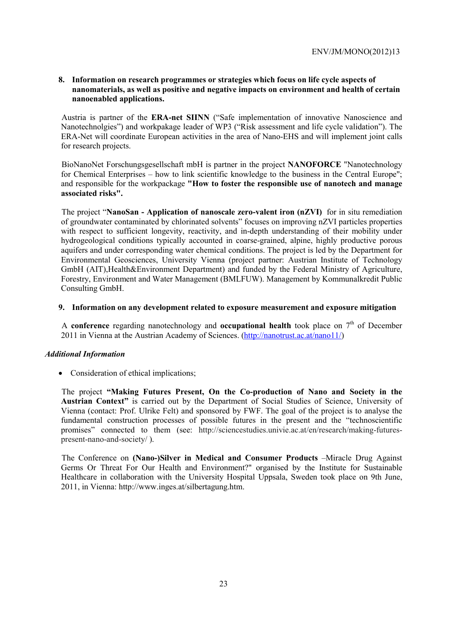# **8. Information on research programmes or strategies which focus on life cycle aspects of nanomaterials, as well as positive and negative impacts on environment and health of certain nanoenabled applications.**

Austria is partner of the **ERA-net SIINN** ("Safe implementation of innovative Nanoscience and Nanotechnolgies") and workpakage leader of WP3 ("Risk assessment and life cycle validation"). The ERA-Net will coordinate European activities in the area of Nano-EHS and will implement joint calls for research projects.

BioNanoNet Forschungsgesellschaft mbH is partner in the project **NANOFORCE** "Nanotechnology for Chemical Enterprises – how to link scientific knowledge to the business in the Central Europe"; and responsible for the workpackage **"How to foster the responsible use of nanotech and manage associated risks".**

The project "**NanoSan - Application of nanoscale zero-valent iron (nZVI)** for in situ remediation of groundwater contaminated by chlorinated solvents" focuses on improving nZVI particles properties with respect to sufficient longevity, reactivity, and in-depth understanding of their mobility under hydrogeological conditions typically accounted in coarse-grained, alpine, highly productive porous aquifers and under corresponding water chemical conditions. The project is led by the Department for Environmental Geosciences, University Vienna (project partner: Austrian Institute of Technology GmbH (AIT),Health&Environment Department) and funded by the Federal Ministry of Agriculture, Forestry, Environment and Water Management (BMLFUW). Management by Kommunalkredit Public Consulting GmbH.

# **9. Information on any development related to exposure measurement and exposure mitigation**

A **conference** regarding nanotechnology and **occupational health** took place on 7<sup>th</sup> of December 2011 in Vienna at the Austrian Academy of Sciences. (http://nanotrust.ac.at/nano11/)

# *Additional Information*

• Consideration of ethical implications:

The project **"Making Futures Present, On the Co-production of Nano and Society in the Austrian Context"** is carried out by the Department of Social Studies of Science, University of Vienna (contact: Prof. Ulrike Felt) and sponsored by FWF. The goal of the project is to analyse the fundamental construction processes of possible futures in the present and the "technoscientific promises" connected to them (see: http://sciencestudies.univie.ac.at/en/research/making-futurespresent-nano-and-society/ ).

The Conference on **(Nano-)Silver in Medical and Consumer Products** –Miracle Drug Against Germs Or Threat For Our Health and Environment?" organised by the Institute for Sustainable Healthcare in collaboration with the University Hospital Uppsala, Sweden took place on 9th June, 2011, in Vienna: http://www.inges.at/silbertagung.htm.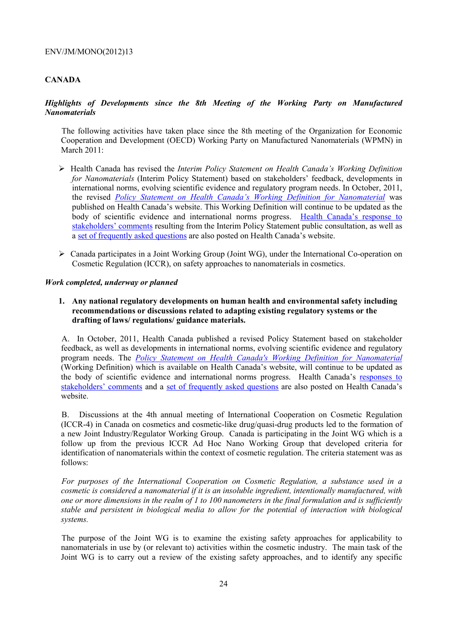# **CANADA**

# *Highlights of Developments since the 8th Meeting of the Working Party on Manufactured Nanomaterials*

The following activities have taken place since the 8th meeting of the Organization for Economic Cooperation and Development (OECD) Working Party on Manufactured Nanomaterials (WPMN) in March 2011:

- ¾ Health Canada has revised the *Interim Policy Statement on Health Canada's Working Definition for Nanomaterials* (Interim Policy Statement) based on stakeholders' feedback, developments in international norms, evolving scientific evidence and regulatory program needs. In October, 2011, the revised *Policy Statement on Health Canada's Working Definition for Nanomaterial* was published on Health Canada's website. This Working Definition will continue to be updated as the body of scientific evidence and international norms progress. Health Canada's response to stakeholders' comments resulting from the Interim Policy Statement public consultation, as well as a set of frequently asked questions are also posted on Health Canada's website.
- $\triangleright$  Canada participates in a Joint Working Group (Joint WG), under the International Co-operation on Cosmetic Regulation (ICCR), on safety approaches to nanomaterials in cosmetics.

### *Work completed, underway or planned*

**1. Any national regulatory developments on human health and environmental safety including recommendations or discussions related to adapting existing regulatory systems or the drafting of laws/ regulations/ guidance materials.** 

A. In October, 2011, Health Canada published a revised Policy Statement based on stakeholder feedback, as well as developments in international norms, evolving scientific evidence and regulatory program needs. The *Policy Statement on Health Canada's Working Definition for Nanomaterial* (Working Definition) which is available on Health Canada's website, will continue to be updated as the body of scientific evidence and international norms progress. Health Canada's responses to stakeholders' comments and a set of frequently asked questions are also posted on Health Canada's website.

B. Discussions at the 4th annual meeting of International Cooperation on Cosmetic Regulation (ICCR-4) in Canada on cosmetics and cosmetic-like drug/quasi-drug products led to the formation of a new Joint Industry/Regulator Working Group. Canada is participating in the Joint WG which is a follow up from the previous ICCR Ad Hoc Nano Working Group that developed criteria for identification of nanomaterials within the context of cosmetic regulation. The criteria statement was as follows:

*For purposes of the International Cooperation on Cosmetic Regulation, a substance used in a cosmetic is considered a nanomaterial if it is an insoluble ingredient, intentionally manufactured, with one or more dimensions in the realm of 1 to 100 nanometers in the final formulation and is sufficiently stable and persistent in biological media to allow for the potential of interaction with biological systems.* 

The purpose of the Joint WG is to examine the existing safety approaches for applicability to nanomaterials in use by (or relevant to) activities within the cosmetic industry. The main task of the Joint WG is to carry out a review of the existing safety approaches, and to identify any specific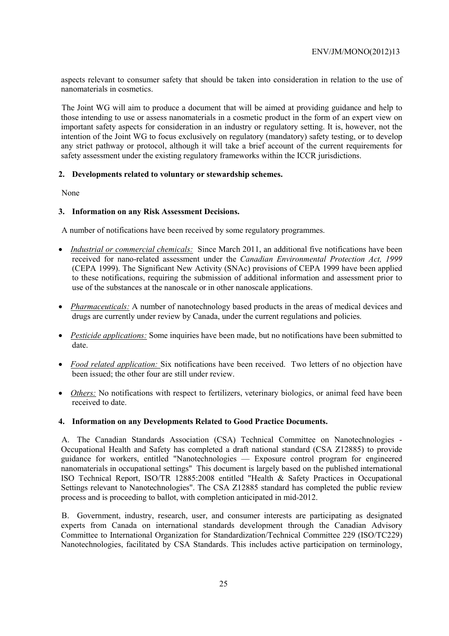aspects relevant to consumer safety that should be taken into consideration in relation to the use of nanomaterials in cosmetics.

The Joint WG will aim to produce a document that will be aimed at providing guidance and help to those intending to use or assess nanomaterials in a cosmetic product in the form of an expert view on important safety aspects for consideration in an industry or regulatory setting. It is, however, not the intention of the Joint WG to focus exclusively on regulatory (mandatory) safety testing, or to develop any strict pathway or protocol, although it will take a brief account of the current requirements for safety assessment under the existing regulatory frameworks within the ICCR jurisdictions.

# **2. Developments related to voluntary or stewardship schemes.**

None

# **3. Information on any Risk Assessment Decisions.**

A number of notifications have been received by some regulatory programmes.

- *Industrial or commercial chemicals:* Since March 2011, an additional five notifications have been received for nano-related assessment under the *Canadian Environmental Protection Act, 1999* (CEPA 1999). The Significant New Activity (SNAc) provisions of CEPA 1999 have been applied to these notifications, requiring the submission of additional information and assessment prior to use of the substances at the nanoscale or in other nanoscale applications.
- *Pharmaceuticals:* A number of nanotechnology based products in the areas of medical devices and drugs are currently under review by Canada, under the current regulations and policies.
- *Pesticide applications:* Some inquiries have been made, but no notifications have been submitted to date.
- *Food related application:* Six notifications have been received. Two letters of no objection have been issued; the other four are still under review.
- *Others:* No notifications with respect to fertilizers, veterinary biologics, or animal feed have been received to date.

# **4. Information on any Developments Related to Good Practice Documents.**

A. The Canadian Standards Association (CSA) Technical Committee on Nanotechnologies - Occupational Health and Safety has completed a draft national standard (CSA Z12885) to provide guidance for workers, entitled "Nanotechnologies — Exposure control program for engineered nanomaterials in occupational settings" This document is largely based on the published international ISO Technical Report, ISO/TR 12885:2008 entitled "Health & Safety Practices in Occupational Settings relevant to Nanotechnologies". The CSA Z12885 standard has completed the public review process and is proceeding to ballot, with completion anticipated in mid-2012.

B. Government, industry, research, user, and consumer interests are participating as designated experts from Canada on international standards development through the Canadian Advisory Committee to International Organization for Standardization/Technical Committee 229 (ISO/TC229) Nanotechnologies, facilitated by CSA Standards. This includes active participation on terminology,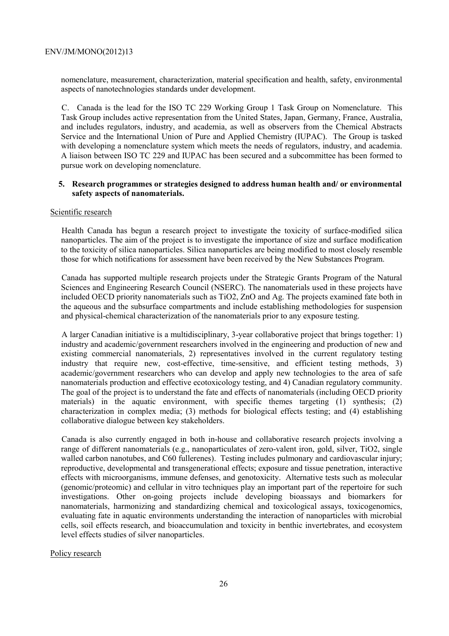nomenclature, measurement, characterization, material specification and health, safety, environmental aspects of nanotechnologies standards under development.

C. Canada is the lead for the ISO TC 229 Working Group 1 Task Group on Nomenclature. This Task Group includes active representation from the United States, Japan, Germany, France, Australia, and includes regulators, industry, and academia, as well as observers from the Chemical Abstracts Service and the International Union of Pure and Applied Chemistry (IUPAC). The Group is tasked with developing a nomenclature system which meets the needs of regulators, industry, and academia. A liaison between ISO TC 229 and IUPAC has been secured and a subcommittee has been formed to pursue work on developing nomenclature.

# **5. Research programmes or strategies designed to address human health and/ or environmental safety aspects of nanomaterials.**

# Scientific research

Health Canada has begun a research project to investigate the toxicity of surface-modified silica nanoparticles. The aim of the project is to investigate the importance of size and surface modification to the toxicity of silica nanoparticles. Silica nanoparticles are being modified to most closely resemble those for which notifications for assessment have been received by the New Substances Program.

Canada has supported multiple research projects under the Strategic Grants Program of the Natural Sciences and Engineering Research Council (NSERC). The nanomaterials used in these projects have included OECD priority nanomaterials such as TiO2, ZnO and Ag. The projects examined fate both in the aqueous and the subsurface compartments and include establishing methodologies for suspension and physical-chemical characterization of the nanomaterials prior to any exposure testing.

A larger Canadian initiative is a multidisciplinary, 3-year collaborative project that brings together: 1) industry and academic/government researchers involved in the engineering and production of new and existing commercial nanomaterials, 2) representatives involved in the current regulatory testing industry that require new, cost-effective, time-sensitive, and efficient testing methods, 3) academic/government researchers who can develop and apply new technologies to the area of safe nanomaterials production and effective ecotoxicology testing, and 4) Canadian regulatory community. The goal of the project is to understand the fate and effects of nanomaterials (including OECD priority materials) in the aquatic environment, with specific themes targeting (1) synthesis; (2) characterization in complex media; (3) methods for biological effects testing; and (4) establishing collaborative dialogue between key stakeholders.

Canada is also currently engaged in both in-house and collaborative research projects involving a range of different nanomaterials (e.g., nanoparticulates of zero-valent iron, gold, silver, TiO2, single walled carbon nanotubes, and C60 fullerenes). Testing includes pulmonary and cardiovascular injury; reproductive, developmental and transgenerational effects; exposure and tissue penetration, interactive effects with microorganisms, immune defenses, and genotoxicity. Alternative tests such as molecular (genomic/proteomic) and cellular in vitro techniques play an important part of the repertoire for such investigations. Other on-going projects include developing bioassays and biomarkers for nanomaterials, harmonizing and standardizing chemical and toxicological assays, toxicogenomics, evaluating fate in aquatic environments understanding the interaction of nanoparticles with microbial cells, soil effects research, and bioaccumulation and toxicity in benthic invertebrates, and ecosystem level effects studies of silver nanoparticles.

# Policy research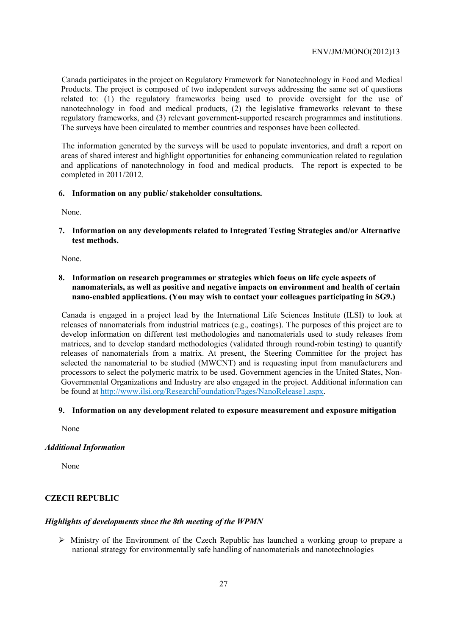Canada participates in the project on Regulatory Framework for Nanotechnology in Food and Medical Products. The project is composed of two independent surveys addressing the same set of questions related to: (1) the regulatory frameworks being used to provide oversight for the use of nanotechnology in food and medical products, (2) the legislative frameworks relevant to these regulatory frameworks, and (3) relevant government-supported research programmes and institutions. The surveys have been circulated to member countries and responses have been collected.

The information generated by the surveys will be used to populate inventories, and draft a report on areas of shared interest and highlight opportunities for enhancing communication related to regulation and applications of nanotechnology in food and medical products. The report is expected to be completed in 2011/2012.

### **6. Information on any public/ stakeholder consultations.**

None.

**7. Information on any developments related to Integrated Testing Strategies and/or Alternative test methods.** 

None.

**8. Information on research programmes or strategies which focus on life cycle aspects of nanomaterials, as well as positive and negative impacts on environment and health of certain nano-enabled applications. (You may wish to contact your colleagues participating in SG9.)** 

Canada is engaged in a project lead by the International Life Sciences Institute (ILSI) to look at releases of nanomaterials from industrial matrices (e.g., coatings). The purposes of this project are to develop information on different test methodologies and nanomaterials used to study releases from matrices, and to develop standard methodologies (validated through round-robin testing) to quantify releases of nanomaterials from a matrix. At present, the Steering Committee for the project has selected the nanomaterial to be studied (MWCNT) and is requesting input from manufacturers and processors to select the polymeric matrix to be used. Government agencies in the United States, Non-Governmental Organizations and Industry are also engaged in the project. Additional information can be found at http://www.ilsi.org/ResearchFoundation/Pages/NanoRelease1.aspx.

# **9. Information on any development related to exposure measurement and exposure mitigation**

None

#### *Additional Information*

None

# **CZECH REPUBLIC**

#### *Highlights of developments since the 8th meeting of the WPMN*

 $\triangleright$  Ministry of the Environment of the Czech Republic has launched a working group to prepare a national strategy for environmentally safe handling of nanomaterials and nanotechnologies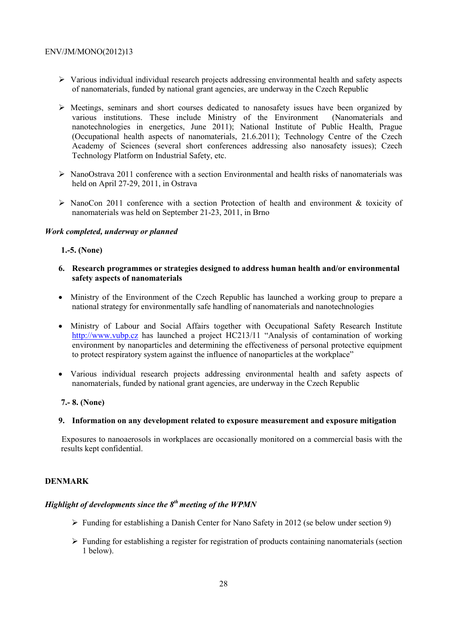- $\triangleright$  Various individual individual research projects addressing environmental health and safety aspects of nanomaterials, funded by national grant agencies, are underway in the Czech Republic
- ¾ Meetings, seminars and short courses dedicated to nanosafety issues have been organized by various institutions. These include Ministry of the Environment (Nanomaterials and nanotechnologies in energetics, June 2011); National Institute of Public Health, Prague (Occupational health aspects of nanomaterials, 21.6.2011); Technology Centre of the Czech Academy of Sciences (several short conferences addressing also nanosafety issues); Czech Technology Platform on Industrial Safety, etc.
- ¾ NanoOstrava 2011 conference with a section Environmental and health risks of nanomaterials was held on April 27-29, 2011, in Ostrava
- $\triangleright$  NanoCon 2011 conference with a section Protection of health and environment & toxicity of nanomaterials was held on September 21-23, 2011, in Brno

### *Work completed, underway or planned*

### **1.-5. (None)**

- **6. Research programmes or strategies designed to address human health and/or environmental safety aspects of nanomaterials**
- Ministry of the Environment of the Czech Republic has launched a working group to prepare a national strategy for environmentally safe handling of nanomaterials and nanotechnologies
- Ministry of Labour and Social Affairs together with Occupational Safety Research Institute http://www.vubp.cz has launched a project HC213/11 "Analysis of contamination of working environment by nanoparticles and determining the effectiveness of personal protective equipment to protect respiratory system against the influence of nanoparticles at the workplace"
- Various individual research projects addressing environmental health and safety aspects of nanomaterials, funded by national grant agencies, are underway in the Czech Republic

### **7.- 8. (None)**

# **9. Information on any development related to exposure measurement and exposure mitigation**

Exposures to nanoaerosols in workplaces are occasionally monitored on a commercial basis with the results kept confidential.

#### **DENMARK**

# *Highlight of developments since the 8th meeting of the WPMN*

- $\triangleright$  Funding for establishing a Danish Center for Nano Safety in 2012 (se below under section 9)
- $\triangleright$  Funding for establishing a register for registration of products containing nanomaterials (section 1 below).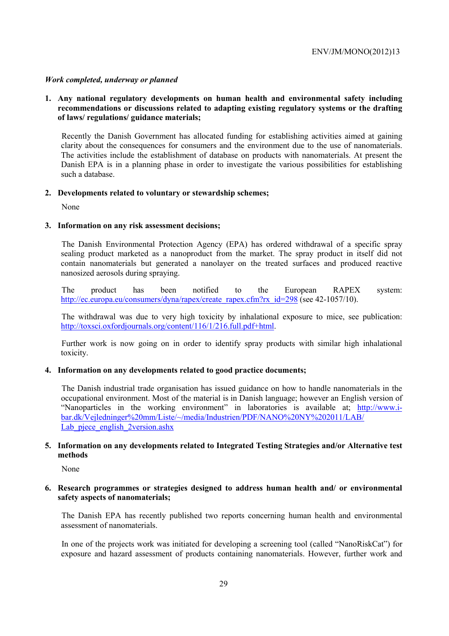### *Work completed, underway or planned*

# **1. Any national regulatory developments on human health and environmental safety including recommendations or discussions related to adapting existing regulatory systems or the drafting of laws/ regulations/ guidance materials;**

Recently the Danish Government has allocated funding for establishing activities aimed at gaining clarity about the consequences for consumers and the environment due to the use of nanomaterials. The activities include the establishment of database on products with nanomaterials. At present the Danish EPA is in a planning phase in order to investigate the various possibilities for establishing such a database.

#### **2. Developments related to voluntary or stewardship schemes;**

None

### **3. Information on any risk assessment decisions;**

The Danish Environmental Protection Agency (EPA) has ordered withdrawal of a specific spray sealing product marketed as a nanoproduct from the market. The spray product in itself did not contain nanomaterials but generated a nanolayer on the treated surfaces and produced reactive nanosized aerosols during spraying.

The product has been notified to the European RAPEX system: http://ec.europa.eu/consumers/dyna/rapex/create\_rapex.cfm?rx\_id=298 (see 42-1057/10).

The withdrawal was due to very high toxicity by inhalational exposure to mice, see publication: http://toxsci.oxfordjournals.org/content/116/1/216.full.pdf+html.

Further work is now going on in order to identify spray products with similar high inhalational toxicity.

### **4. Information on any developments related to good practice documents;**

The Danish industrial trade organisation has issued guidance on how to handle nanomaterials in the occupational environment. Most of the material is in Danish language; however an English version of "Nanoparticles in the working environment" in laboratories is available at; http://www.ibar.dk/Vejledninger%20mm/Liste/~/media/Industrien/PDF/NANO%20NY%202011/LAB/ Lab pjece english 2version.ashx

# **5. Information on any developments related to Integrated Testing Strategies and/or Alternative test methods**

None

### **6. Research programmes or strategies designed to address human health and/ or environmental safety aspects of nanomaterials;**

The Danish EPA has recently published two reports concerning human health and environmental assessment of nanomaterials.

In one of the projects work was initiated for developing a screening tool (called "NanoRiskCat") for exposure and hazard assessment of products containing nanomaterials. However, further work and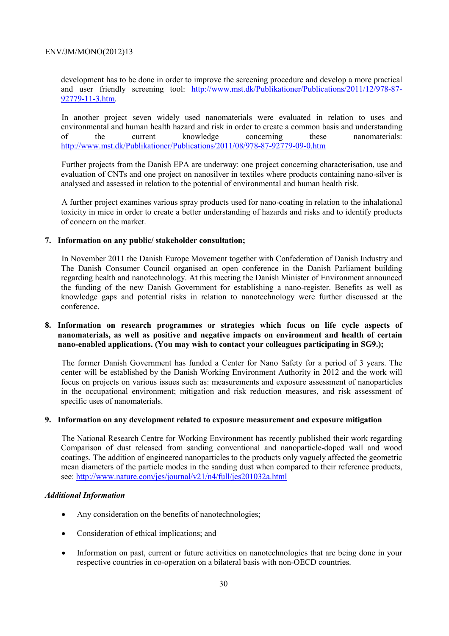development has to be done in order to improve the screening procedure and develop a more practical and user friendly screening tool: http://www.mst.dk/Publikationer/Publications/2011/12/978-87- 92779-11-3.htm.

In another project seven widely used nanomaterials were evaluated in relation to uses and environmental and human health hazard and risk in order to create a common basis and understanding of the current knowledge concerning these nanomaterials: http://www.mst.dk/Publikationer/Publications/2011/08/978-87-92779-09-0.htm

Further projects from the Danish EPA are underway: one project concerning characterisation, use and evaluation of CNTs and one project on nanosilver in textiles where products containing nano-silver is analysed and assessed in relation to the potential of environmental and human health risk.

A further project examines various spray products used for nano-coating in relation to the inhalational toxicity in mice in order to create a better understanding of hazards and risks and to identify products of concern on the market.

### **7. Information on any public/ stakeholder consultation;**

In November 2011 the Danish Europe Movement together with Confederation of Danish Industry and The Danish Consumer Council organised an open conference in the Danish Parliament building regarding health and nanotechnology. At this meeting the Danish Minister of Environment announced the funding of the new Danish Government for establishing a nano-register. Benefits as well as knowledge gaps and potential risks in relation to nanotechnology were further discussed at the conference.

# **8. Information on research programmes or strategies which focus on life cycle aspects of nanomaterials, as well as positive and negative impacts on environment and health of certain nano-enabled applications. (You may wish to contact your colleagues participating in SG9.);**

The former Danish Government has funded a Center for Nano Safety for a period of 3 years. The center will be established by the Danish Working Environment Authority in 2012 and the work will focus on projects on various issues such as: measurements and exposure assessment of nanoparticles in the occupational environment; mitigation and risk reduction measures, and risk assessment of specific uses of nanomaterials.

# **9. Information on any development related to exposure measurement and exposure mitigation**

The National Research Centre for Working Environment has recently published their work regarding Comparison of dust released from sanding conventional and nanoparticle-doped wall and wood coatings. The addition of engineered nanoparticles to the products only vaguely affected the geometric mean diameters of the particle modes in the sanding dust when compared to their reference products, see: http://www.nature.com/jes/journal/v21/n4/full/jes201032a.html

# *Additional Information*

- Any consideration on the benefits of nanotechnologies;
- Consideration of ethical implications; and
- Information on past, current or future activities on nanotechnologies that are being done in your respective countries in co-operation on a bilateral basis with non-OECD countries.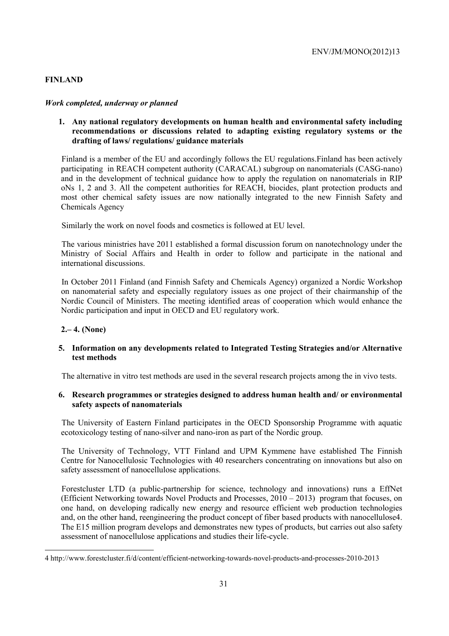# **FINLAND**

# *Work completed, underway or planned*

**1. Any national regulatory developments on human health and environmental safety including recommendations or discussions related to adapting existing regulatory systems or the drafting of laws/ regulations/ guidance materials** 

Finland is a member of the EU and accordingly follows the EU regulations.Finland has been actively participating in REACH competent authority (CARACAL) subgroup on nanomaterials (CASG-nano) and in the development of technical guidance how to apply the regulation on nanomaterials in RIP oNs 1, 2 and 3. All the competent authorities for REACH, biocides, plant protection products and most other chemical safety issues are now nationally integrated to the new Finnish Safety and Chemicals Agency

Similarly the work on novel foods and cosmetics is followed at EU level.

The various ministries have 2011 established a formal discussion forum on nanotechnology under the Ministry of Social Affairs and Health in order to follow and participate in the national and international discussions.

In October 2011 Finland (and Finnish Safety and Chemicals Agency) organized a Nordic Workshop on nanomaterial safety and especially regulatory issues as one project of their chairmanship of the Nordic Council of Ministers. The meeting identified areas of cooperation which would enhance the Nordic participation and input in OECD and EU regulatory work.

# **2.– 4. (None)**

# **5. Information on any developments related to Integrated Testing Strategies and/or Alternative test methods**

The alternative in vitro test methods are used in the several research projects among the in vivo tests.

# **6. Research programmes or strategies designed to address human health and/ or environmental safety aspects of nanomaterials**

The University of Eastern Finland participates in the OECD Sponsorship Programme with aquatic ecotoxicology testing of nano-silver and nano-iron as part of the Nordic group.

The University of Technology, VTT Finland and UPM Kymmene have established The Finnish Centre for Nanocellulosic Technologies with 40 researchers concentrating on innovations but also on safety assessment of nanocellulose applications.

Forestcluster LTD (a public-partnership for science, technology and innovations) runs a EffNet (Efficient Networking towards Novel Products and Processes, 2010 – 2013) program that focuses, on one hand, on developing radically new energy and resource efficient web production technologies and, on the other hand, reengineering the product concept of fiber based products with nanocellulose4. The E15 million program develops and demonstrates new types of products, but carries out also safety assessment of nanocellulose applications and studies their life-cycle.

<sup>4</sup> http://www.forestcluster.fi/d/content/efficient-networking-towards-novel-products-and-processes-2010-2013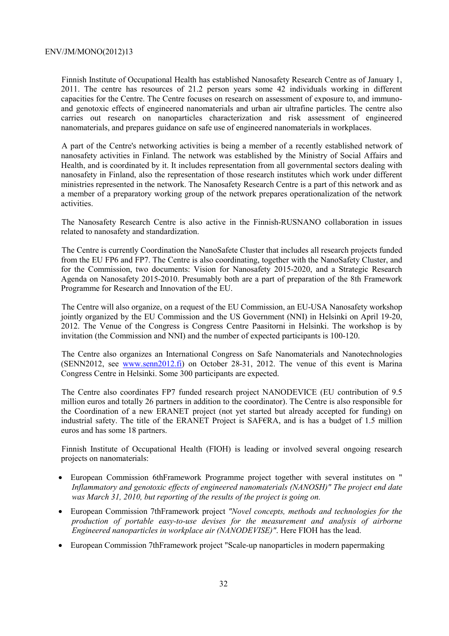Finnish Institute of Occupational Health has established Nanosafety Research Centre as of January 1, 2011. The centre has resources of 21.2 person years some 42 individuals working in different capacities for the Centre. The Centre focuses on research on assessment of exposure to, and immunoand genotoxic effects of engineered nanomaterials and urban air ultrafine particles. The centre also carries out research on nanoparticles characterization and risk assessment of engineered nanomaterials, and prepares guidance on safe use of engineered nanomaterials in workplaces.

A part of the Centre's networking activities is being a member of a recently established network of nanosafety activities in Finland. The network was established by the Ministry of Social Affairs and Health, and is coordinated by it. It includes representation from all governmental sectors dealing with nanosafety in Finland, also the representation of those research institutes which work under different ministries represented in the network. The Nanosafety Research Centre is a part of this network and as a member of a preparatory working group of the network prepares operationalization of the network activities.

The Nanosafety Research Centre is also active in the Finnish-RUSNANO collaboration in issues related to nanosafety and standardization.

The Centre is currently Coordination the NanoSafete Cluster that includes all research projects funded from the EU FP6 and FP7. The Centre is also coordinating, together with the NanoSafety Cluster, and for the Commission, two documents: Vision for Nanosafety 2015-2020, and a Strategic Research Agenda on Nanosafety 2015-2010. Presumably both are a part of preparation of the 8th Framework Programme for Research and Innovation of the EU.

The Centre will also organize, on a request of the EU Commission, an EU-USA Nanosafety workshop jointly organized by the EU Commission and the US Government (NNI) in Helsinki on April 19-20, 2012. The Venue of the Congress is Congress Centre Paasitorni in Helsinki. The workshop is by invitation (the Commission and NNI) and the number of expected participants is 100-120.

The Centre also organizes an International Congress on Safe Nanomaterials and Nanotechnologies (SENN2012, see www.senn2012.fi) on October 28-31, 2012. The venue of this event is Marina Congress Centre in Helsinki. Some 300 participants are expected.

The Centre also coordinates FP7 funded research project NANODEVICE (EU contribution of 9.5 million euros and totally 26 partners in addition to the coordinator). The Centre is also responsible for the Coordination of a new ERANET project (not yet started but already accepted for funding) on industrial safety. The title of the ERANET Project is SAF€RA, and is has a budget of 1.5 million euros and has some 18 partners.

Finnish Institute of Occupational Health (FIOH) is leading or involved several ongoing research projects on nanomaterials:

- European Commission 6thFramework Programme project together with several institutes on " *Inflammatory and genotoxic effects of engineered nanomaterials (NANOSH)" The project end date was March 31, 2010, but reporting of the results of the project is going on.*
- European Commission 7thFramework project *"Novel concepts, methods and technologies for the production of portable easy-to-use devises for the measurement and analysis of airborne Engineered nanoparticles in workplace air (NANODEVISE)"*. Here FIOH has the lead.
- European Commission 7thFramework project "Scale-up nanoparticles in modern papermaking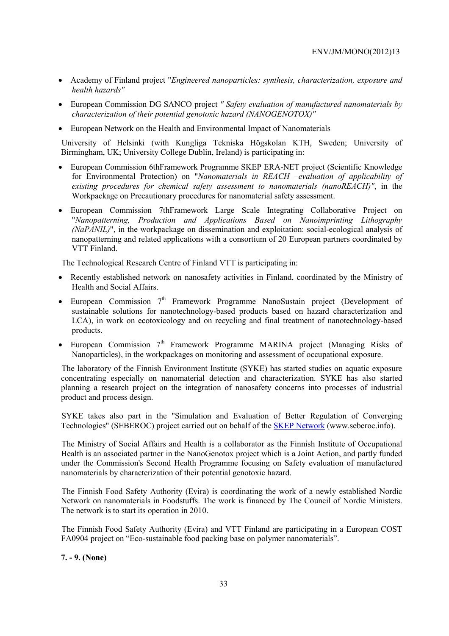- Academy of Finland project "*Engineered nanoparticles: synthesis, characterization, exposure and health hazards"*
- European Commission DG SANCO project *" Safety evaluation of manufactured nanomaterials by characterization of their potential genotoxic hazard (NANOGENOTOX)"*
- European Network on the Health and Environmental Impact of Nanomaterials

University of Helsinki (with Kungliga Tekniska Högskolan KTH, Sweden; University of Birmingham, UK; University College Dublin, Ireland) is participating in:

- European Commission 6thFramework Programme SKEP ERA-NET project (Scientific Knowledge for Environmental Protection) on "*Nanomaterials in REACH –evaluation of applicability of existing procedures for chemical safety assessment to nanomaterials (nanoREACH)"*, in the Workpackage on Precautionary procedures for nanomaterial safety assessment.
- European Commission 7thFramework Large Scale Integrating Collaborative Project on "*Nanopatterning, Production and Applications Based on Nanoimprinting Lithography (NaPANIL)*", in the workpackage on dissemination and exploitation: social-ecological analysis of nanopatterning and related applications with a consortium of 20 European partners coordinated by VTT Finland.

The Technological Research Centre of Finland VTT is participating in:

- Recently established network on nanosafety activities in Finland, coordinated by the Ministry of Health and Social Affairs.
- European Commission  $7<sup>th</sup>$  Framework Programme NanoSustain project (Development of sustainable solutions for nanotechnology-based products based on hazard characterization and LCA), in work on ecotoxicology and on recycling and final treatment of nanotechnology-based products.
- European Commission  $7<sup>th</sup>$  Framework Programme MARINA project (Managing Risks of Nanoparticles), in the workpackages on monitoring and assessment of occupational exposure.

The laboratory of the Finnish Environment Institute (SYKE) has started studies on aquatic exposure concentrating especially on nanomaterial detection and characterization. SYKE has also started planning a research project on the integration of nanosafety concerns into processes of industrial product and process design.

SYKE takes also part in the "Simulation and Evaluation of Better Regulation of Converging Technologies" (SEBEROC) project carried out on behalf of the SKEP Network (www.seberoc.info).

The Ministry of Social Affairs and Health is a collaborator as the Finnish Institute of Occupational Health is an associated partner in the NanoGenotox project which is a Joint Action, and partly funded under the Commission's Second Health Programme focusing on Safety evaluation of manufactured nanomaterials by characterization of their potential genotoxic hazard.

The Finnish Food Safety Authority (Evira) is coordinating the work of a newly established Nordic Network on nanomaterials in Foodstuffs. The work is financed by The Council of Nordic Ministers. The network is to start its operation in 2010.

The Finnish Food Safety Authority (Evira) and VTT Finland are participating in a European COST FA0904 project on "Eco-sustainable food packing base on polymer nanomaterials".

**7. - 9. (None)**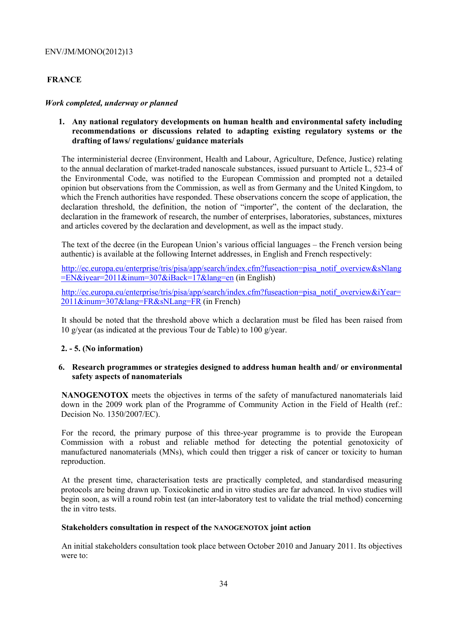# **FRANCE**

# *Work completed, underway or planned*

**1. Any national regulatory developments on human health and environmental safety including recommendations or discussions related to adapting existing regulatory systems or the drafting of laws/ regulations/ guidance materials** 

The interministerial decree (Environment, Health and Labour, Agriculture, Defence, Justice) relating to the annual declaration of market-traded nanoscale substances, issued pursuant to Article L, 523-4 of the Environmental Code, was notified to the European Commission and prompted not a detailed opinion but observations from the Commission, as well as from Germany and the United Kingdom, to which the French authorities have responded. These observations concern the scope of application, the declaration threshold, the definition, the notion of "importer", the content of the declaration, the declaration in the framework of research, the number of enterprises, laboratories, substances, mixtures and articles covered by the declaration and development, as well as the impact study.

The text of the decree (in the European Union's various official languages – the French version being authentic) is available at the following Internet addresses, in English and French respectively:

http://ec.europa.eu/enterprise/tris/pisa/app/search/index.cfm?fuseaction=pisa\_notif\_overview&sNlang  $ENRi\nu = 2011&\n{inum} = 307&\n{isl}$ 

http://ec.europa.eu/enterprise/tris/pisa/app/search/index.cfm?fuseaction=pisa\_notif\_overview&iYear= 2011&inum=307&lang=FR&sNLang=FR (in French)

It should be noted that the threshold above which a declaration must be filed has been raised from 10 g/year (as indicated at the previous Tour de Table) to 100 g/year.

# **2. - 5. (No information)**

# **6. Research programmes or strategies designed to address human health and/ or environmental safety aspects of nanomaterials**

**NANOGENOTOX** meets the objectives in terms of the safety of manufactured nanomaterials laid down in the 2009 work plan of the Programme of Community Action in the Field of Health (ref.: Decision No. 1350/2007/EC).

For the record, the primary purpose of this three-year programme is to provide the European Commission with a robust and reliable method for detecting the potential genotoxicity of manufactured nanomaterials (MNs), which could then trigger a risk of cancer or toxicity to human reproduction.

At the present time, characterisation tests are practically completed, and standardised measuring protocols are being drawn up. Toxicokinetic and in vitro studies are far advanced. In vivo studies will begin soon, as will a round robin test (an inter-laboratory test to validate the trial method) concerning the in vitro tests.

# **Stakeholders consultation in respect of the NANOGENOTOX joint action**

An initial stakeholders consultation took place between October 2010 and January 2011. Its objectives were to: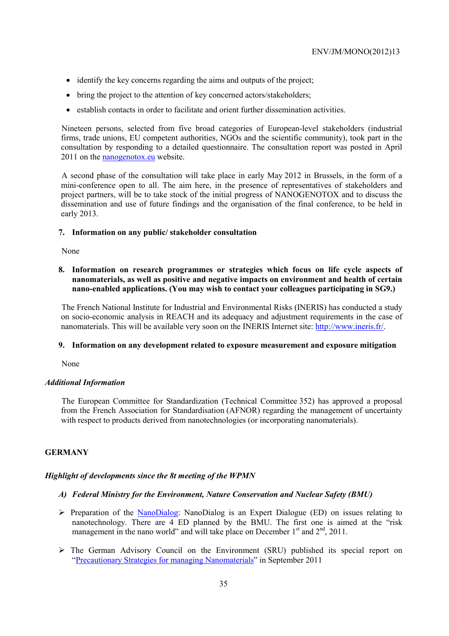- identify the key concerns regarding the aims and outputs of the project;
- bring the project to the attention of key concerned actors/stakeholders;
- establish contacts in order to facilitate and orient further dissemination activities.

Nineteen persons, selected from five broad categories of European-level stakeholders (industrial firms, trade unions, EU competent authorities, NGOs and the scientific community), took part in the consultation by responding to a detailed questionnaire. The consultation report was posted in April 2011 on the nanogenotox.eu website.

A second phase of the consultation will take place in early May 2012 in Brussels, in the form of a mini-conference open to all. The aim here, in the presence of representatives of stakeholders and project partners, will be to take stock of the initial progress of NANOGENOTOX and to discuss the dissemination and use of future findings and the organisation of the final conference, to be held in early 2013.

#### **7. Information on any public/ stakeholder consultation**

None

# **8. Information on research programmes or strategies which focus on life cycle aspects of nanomaterials, as well as positive and negative impacts on environment and health of certain nano-enabled applications. (You may wish to contact your colleagues participating in SG9.)**

The French National Institute for Industrial and Environmental Risks (INERIS) has conducted a study on socio-economic analysis in REACH and its adequacy and adjustment requirements in the case of nanomaterials. This will be available very soon on the INERIS Internet site: http://www.ineris.fr/.

#### **9. Information on any development related to exposure measurement and exposure mitigation**

None

#### *Additional Information*

The European Committee for Standardization (Technical Committee 352) has approved a proposal from the French Association for Standardisation (AFNOR) regarding the management of uncertainty with respect to products derived from nanotechnologies (or incorporating nanomaterials).

# **GERMANY**

# *Highlight of developments since the 8t meeting of the WPMN*

# *A) Federal Ministry for the Environment, Nature Conservation and Nuclear Safety (BMU)*

- $\triangleright$  Preparation of the NanoDialog: NanoDialog is an Expert Dialogue (ED) on issues relating to nanotechnology. There are 4 ED planned by the BMU. The first one is aimed at the "risk management in the nano world" and will take place on December  $1<sup>st</sup>$  and  $2<sup>nd</sup>$ , 2011.
- $\triangleright$  The German Advisory Council on the Environment (SRU) published its special report on "Precautionary Strategies for managing Nanomaterials" in September 2011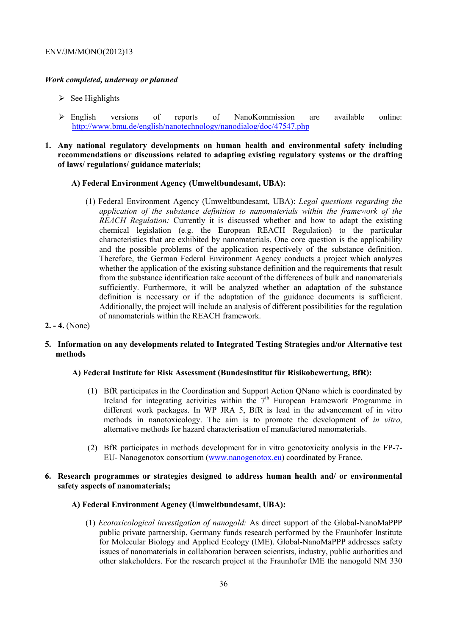# *Work completed, underway or planned*

- $\triangleright$  See Highlights
- $\triangleright$  English versions of reports of NanoKommission are available online: http://www.bmu.de/english/nanotechnology/nanodialog/doc/47547.php

# **1. Any national regulatory developments on human health and environmental safety including recommendations or discussions related to adapting existing regulatory systems or the drafting of laws/ regulations/ guidance materials;**

# **A) Federal Environment Agency (Umweltbundesamt, UBA):**

- (1) Federal Environment Agency (Umweltbundesamt, UBA): *Legal questions regarding the application of the substance definition to nanomaterials within the framework of the REACH Regulation:* Currently it is discussed whether and how to adapt the existing chemical legislation (e.g. the European REACH Regulation) to the particular characteristics that are exhibited by nanomaterials. One core question is the applicability and the possible problems of the application respectively of the substance definition. Therefore, the German Federal Environment Agency conducts a project which analyzes whether the application of the existing substance definition and the requirements that result from the substance identification take account of the differences of bulk and nanomaterials sufficiently. Furthermore, it will be analyzed whether an adaptation of the substance definition is necessary or if the adaptation of the guidance documents is sufficient. Additionally, the project will include an analysis of different possibilities for the regulation of nanomaterials within the REACH framework.
- **2. 4.** (None)

# **5. Information on any developments related to Integrated Testing Strategies and/or Alternative test methods**

# **A) Federal Institute for Risk Assessment (Bundesinstitut für Risikobewertung, BfR):**

- (1) BfR participates in the Coordination and Support Action QNano which is coordinated by Ireland for integrating activities within the  $7<sup>th</sup>$  European Framework Programme in different work packages. In WP JRA 5, BfR is lead in the advancement of in vitro methods in nanotoxicology. The aim is to promote the development of *in vitro*, alternative methods for hazard characterisation of manufactured nanomaterials.
- (2) BfR participates in methods development for in vitro genotoxicity analysis in the FP-7- EU- Nanogenotox consortium (www.nanogenotox.eu) coordinated by France.

# **6. Research programmes or strategies designed to address human health and/ or environmental safety aspects of nanomaterials;**

#### **A) Federal Environment Agency (Umweltbundesamt, UBA):**

(1) *Ecotoxicological investigation of nanogold:* As direct support of the Global-NanoMaPPP public private partnership, Germany funds research performed by the Fraunhofer Institute for Molecular Biology and Applied Ecology (IME). Global-NanoMaPPP addresses safety issues of nanomaterials in collaboration between scientists, industry, public authorities and other stakeholders. For the research project at the Fraunhofer IME the nanogold NM 330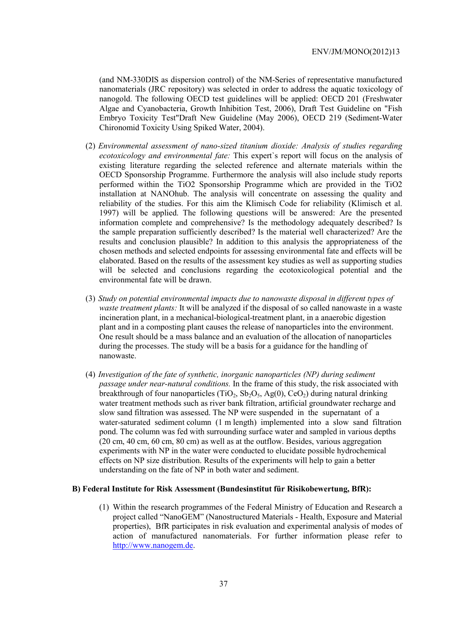(and NM-330DIS as dispersion control) of the NM-Series of representative manufactured nanomaterials (JRC repository) was selected in order to address the aquatic toxicology of nanogold. The following OECD test guidelines will be applied: OECD 201 (Freshwater Algae and Cyanobacteria, Growth Inhibition Test, 2006), Draft Test Guideline on "Fish Embryo Toxicity Test"Draft New Guideline (May 2006), OECD 219 (Sediment-Water Chironomid Toxicity Using Spiked Water, 2004).

- (2) *Environmental assessment of nano-sized titanium dioxide: Analysis of studies regarding ecotoxicology and environmental fate:* This expert`s report will focus on the analysis of existing literature regarding the selected reference and alternate materials within the OECD Sponsorship Programme. Furthermore the analysis will also include study reports performed within the TiO2 Sponsorship Programme which are provided in the TiO2 installation at NANOhub. The analysis will concentrate on assessing the quality and reliability of the studies. For this aim the Klimisch Code for reliability (Klimisch et al. 1997) will be applied. The following questions will be answered: Are the presented information complete and comprehensive? Is the methodology adequately described? Is the sample preparation sufficiently described? Is the material well characterized? Are the results and conclusion plausible? In addition to this analysis the appropriateness of the chosen methods and selected endpoints for assessing environmental fate and effects will be elaborated. Based on the results of the assessment key studies as well as supporting studies will be selected and conclusions regarding the ecotoxicological potential and the environmental fate will be drawn.
- (3) *Study on potential environmental impacts due to nanowaste disposal in different types of waste treatment plants:* It will be analyzed if the disposal of so called nanowaste in a waste incineration plant, in a mechanical-biological-treatment plant, in a anaerobic digestion plant and in a composting plant causes the release of nanoparticles into the environment. One result should be a mass balance and an evaluation of the allocation of nanoparticles during the processes. The study will be a basis for a guidance for the handling of nanowaste.
- (4) *Investigation of the fate of synthetic, inorganic nanoparticles (NP) during sediment passage under near-natural conditions.* In the frame of this study, the risk associated with breakthrough of four nanoparticles (TiO<sub>2</sub>, Sb<sub>2</sub>O<sub>5</sub>, Ag(0), CeO<sub>2</sub>) during natural drinking water treatment methods such as river bank filtration, artificial groundwater recharge and slow sand filtration was assessed. The NP were suspended in the supernatant of a water-saturated sediment column (1 m length) implemented into a slow sand filtration pond. The column was fed with surrounding surface water and sampled in various depths (20 cm, 40 cm, 60 cm, 80 cm) as well as at the outflow. Besides, various aggregation experiments with NP in the water were conducted to elucidate possible hydrochemical effects on NP size distribution. Results of the experiments will help to gain a better understanding on the fate of NP in both water and sediment.

#### **B) Federal Institute for Risk Assessment (Bundesinstitut für Risikobewertung, BfR):**

(1) Within the research programmes of the Federal Ministry of Education and Research a project called "NanoGEM" (Nanostructured Materials - Health, Exposure and Material properties), BfR participates in risk evaluation and experimental analysis of modes of action of manufactured nanomaterials. For further information please refer to http://www.nanogem.de.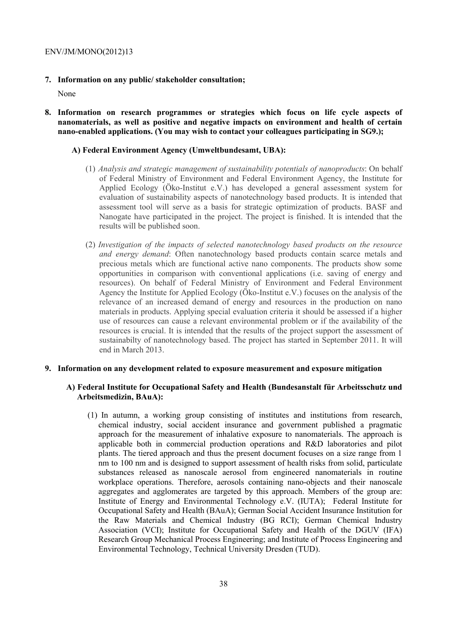**7. Information on any public/ stakeholder consultation;** 

None

**8. Information on research programmes or strategies which focus on life cycle aspects of nanomaterials, as well as positive and negative impacts on environment and health of certain nano-enabled applications. (You may wish to contact your colleagues participating in SG9.);** 

#### **A) Federal Environment Agency (Umweltbundesamt, UBA):**

- (1) *Analysis and strategic management of sustainability potentials of nanoproducts*: On behalf of Federal Ministry of Environment and Federal Environment Agency, the Institute for Applied Ecology (Öko-Institut e.V.) has developed a general assessment system for evaluation of sustainability aspects of nanotechnology based products. It is intended that assessment tool will serve as a basis for strategic optimization of products. BASF and Nanogate have participated in the project. The project is finished. It is intended that the results will be published soon.
- (2) *Investigation of the impacts of selected nanotechnology based products on the resource and energy demand*: Often nanotechnology based products contain scarce metals and precious metals which are functional active nano components. The products show some opportunities in comparison with conventional applications (i.e. saving of energy and resources). On behalf of Federal Ministry of Environment and Federal Environment Agency the Institute for Applied Ecology (Öko-Institut e.V.) focuses on the analysis of the relevance of an increased demand of energy and resources in the production on nano materials in products. Applying special evaluation criteria it should be assessed if a higher use of resources can cause a relevant environmental problem or if the availability of the resources is crucial. It is intended that the results of the project support the assessment of sustainabilty of nanotechnology based. The project has started in September 2011. It will end in March 2013.

#### **9. Information on any development related to exposure measurement and exposure mitigation**

# **A) Federal Institute for Occupational Safety and Health (Bundesanstalt für Arbeitsschutz und Arbeitsmedizin, BAuA):**

(1) In autumn, a working group consisting of institutes and institutions from research, chemical industry, social accident insurance and government published a pragmatic approach for the measurement of inhalative exposure to nanomaterials. The approach is applicable both in commercial production operations and R&D laboratories and pilot plants. The tiered approach and thus the present document focuses on a size range from 1 nm to 100 nm and is designed to support assessment of health risks from solid, particulate substances released as nanoscale aerosol from engineered nanomaterials in routine workplace operations. Therefore, aerosols containing nano-objects and their nanoscale aggregates and agglomerates are targeted by this approach. Members of the group are: Institute of Energy and Environmental Technology e.V. (IUTA); Federal Institute for Occupational Safety and Health (BAuA); German Social Accident Insurance Institution for the Raw Materials and Chemical Industry (BG RCI); German Chemical Industry Association (VCI); Institute for Occupational Safety and Health of the DGUV (IFA) Research Group Mechanical Process Engineering; and Institute of Process Engineering and Environmental Technology, Technical University Dresden (TUD).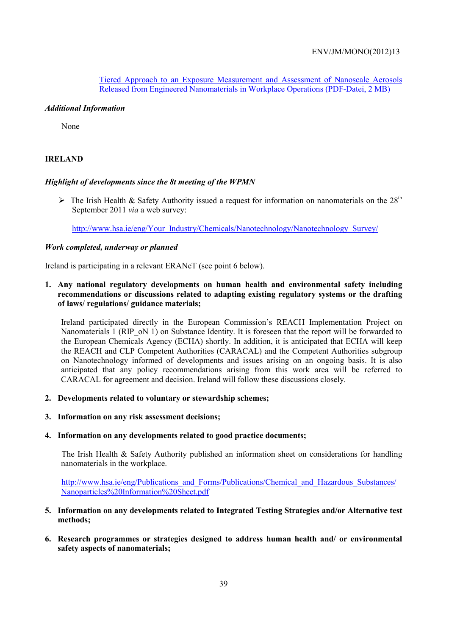Tiered Approach to an Exposure Measurement and Assessment of Nanoscale Aerosols Released from Engineered Nanomaterials in Workplace Operations (PDF-Datei, 2 MB)

# *Additional Information*

None

# **IRELAND**

# *Highlight of developments since the 8t meeting of the WPMN*

 $\triangleright$  The Irish Health & Safety Authority issued a request for information on nanomaterials on the 28<sup>th</sup> September 2011 *via* a web survey:

http://www.hsa.ie/eng/Your\_Industry/Chemicals/Nanotechnology/Nanotechnology\_Survey/

# *Work completed, underway or planned*

Ireland is participating in a relevant ERANeT (see point 6 below).

**1. Any national regulatory developments on human health and environmental safety including recommendations or discussions related to adapting existing regulatory systems or the drafting of laws/ regulations/ guidance materials;** 

Ireland participated directly in the European Commission's REACH Implementation Project on Nanomaterials 1 (RIP\_oN 1) on Substance Identity. It is foreseen that the report will be forwarded to the European Chemicals Agency (ECHA) shortly. In addition, it is anticipated that ECHA will keep the REACH and CLP Competent Authorities (CARACAL) and the Competent Authorities subgroup on Nanotechnology informed of developments and issues arising on an ongoing basis. It is also anticipated that any policy recommendations arising from this work area will be referred to CARACAL for agreement and decision. Ireland will follow these discussions closely.

- **2. Developments related to voluntary or stewardship schemes;**
- **3. Information on any risk assessment decisions;**

# **4. Information on any developments related to good practice documents;**

The Irish Health & Safety Authority published an information sheet on considerations for handling nanomaterials in the workplace.

http://www.hsa.ie/eng/Publications\_and\_Forms/Publications/Chemical\_and\_Hazardous\_Substances/ Nanoparticles%20Information%20Sheet.pdf

# **5. Information on any developments related to Integrated Testing Strategies and/or Alternative test methods;**

**6. Research programmes or strategies designed to address human health and/ or environmental safety aspects of nanomaterials;**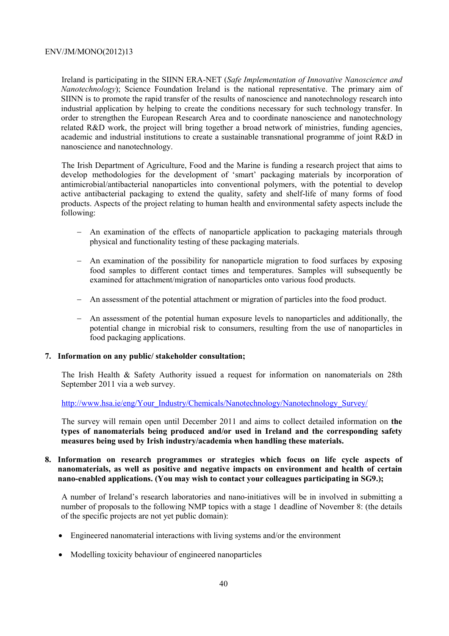Ireland is participating in the SIINN ERA-NET (*Safe Implementation of Innovative Nanoscience and Nanotechnology*); Science Foundation Ireland is the national representative. The primary aim of SIINN is to promote the rapid transfer of the results of nanoscience and nanotechnology research into industrial application by helping to create the conditions necessary for such technology transfer. In order to strengthen the European Research Area and to coordinate nanoscience and nanotechnology related R&D work, the project will bring together a broad network of ministries, funding agencies, academic and industrial institutions to create a sustainable transnational programme of joint R&D in nanoscience and nanotechnology.

The Irish Department of Agriculture, Food and the Marine is funding a research project that aims to develop methodologies for the development of 'smart' packaging materials by incorporation of antimicrobial/antibacterial nanoparticles into conventional polymers, with the potential to develop active antibacterial packaging to extend the quality, safety and shelf-life of many forms of food products. Aspects of the project relating to human health and environmental safety aspects include the following:

- − An examination of the effects of nanoparticle application to packaging materials through physical and functionality testing of these packaging materials.
- − An examination of the possibility for nanoparticle migration to food surfaces by exposing food samples to different contact times and temperatures. Samples will subsequently be examined for attachment/migration of nanoparticles onto various food products.
- − An assessment of the potential attachment or migration of particles into the food product.
- − An assessment of the potential human exposure levels to nanoparticles and additionally, the potential change in microbial risk to consumers, resulting from the use of nanoparticles in food packaging applications.

#### **7. Information on any public/ stakeholder consultation;**

The Irish Health & Safety Authority issued a request for information on nanomaterials on 28th September 2011 via a web survey.

http://www.hsa.ie/eng/Your\_Industry/Chemicals/Nanotechnology/Nanotechnology\_Survey/

The survey will remain open until December 2011 and aims to collect detailed information on **the types of nanomaterials being produced and/or used in Ireland and the corresponding safety measures being used by Irish industry/academia when handling these materials.**

**8. Information on research programmes or strategies which focus on life cycle aspects of nanomaterials, as well as positive and negative impacts on environment and health of certain nano-enabled applications. (You may wish to contact your colleagues participating in SG9.);** 

A number of Ireland's research laboratories and nano-initiatives will be in involved in submitting a number of proposals to the following NMP topics with a stage 1 deadline of November 8: (the details of the specific projects are not yet public domain):

- Engineered nanomaterial interactions with living systems and/or the environment
- Modelling toxicity behaviour of engineered nanoparticles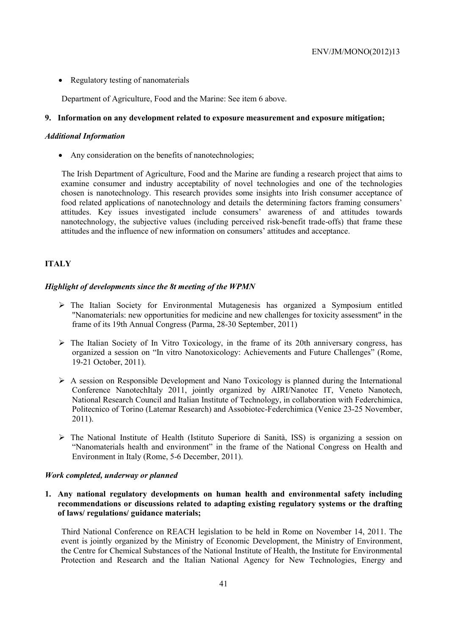• Regulatory testing of nanomaterials

Department of Agriculture, Food and the Marine: See item 6 above.

### **9. Information on any development related to exposure measurement and exposure mitigation;**

### *Additional Information*

• Any consideration on the benefits of nanotechnologies;

The Irish Department of Agriculture, Food and the Marine are funding a research project that aims to examine consumer and industry acceptability of novel technologies and one of the technologies chosen is nanotechnology. This research provides some insights into Irish consumer acceptance of food related applications of nanotechnology and details the determining factors framing consumers' attitudes. Key issues investigated include consumers' awareness of and attitudes towards nanotechnology, the subjective values (including perceived risk-benefit trade-offs) that frame these attitudes and the influence of new information on consumers' attitudes and acceptance.

# **ITALY**

# *Highlight of developments since the 8t meeting of the WPMN*

- $\triangleright$  The Italian Society for Environmental Mutagenesis has organized a Symposium entitled "Nanomaterials: new opportunities for medicine and new challenges for toxicity assessment" in the frame of its 19th Annual Congress (Parma, 28-30 September, 2011)
- $\triangleright$  The Italian Society of In Vitro Toxicology, in the frame of its 20th anniversary congress, has organized a session on "In vitro Nanotoxicology: Achievements and Future Challenges" (Rome, 19-21 October, 2011).
- $\triangleright$  A session on Responsible Development and Nano Toxicology is planned during the International Conference NanotechItaly 2011, jointly organized by AIRI/Nanotec IT, Veneto Nanotech, National Research Council and Italian Institute of Technology, in collaboration with Federchimica, Politecnico of Torino (Latemar Research) and Assobiotec-Federchimica (Venice 23-25 November, 2011).
- ¾ The National Institute of Health (Istituto Superiore di Sanità, ISS) is organizing a session on "Nanomaterials health and environment" in the frame of the National Congress on Health and Environment in Italy (Rome, 5-6 December, 2011).

# *Work completed, underway or planned*

**1. Any national regulatory developments on human health and environmental safety including recommendations or discussions related to adapting existing regulatory systems or the drafting of laws/ regulations/ guidance materials;** 

Third National Conference on REACH legislation to be held in Rome on November 14, 2011. The event is jointly organized by the Ministry of Economic Development, the Ministry of Environment, the Centre for Chemical Substances of the National Institute of Health, the Institute for Environmental Protection and Research and the Italian National Agency for New Technologies, Energy and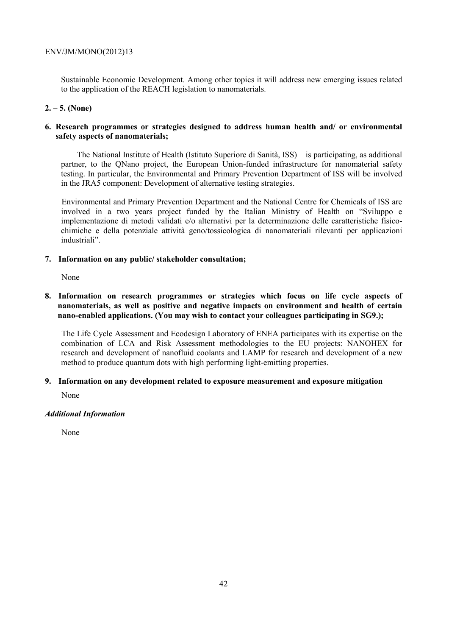Sustainable Economic Development. Among other topics it will address new emerging issues related to the application of the REACH legislation to nanomaterials.

### **2. – 5. (None)**

# **6. Research programmes or strategies designed to address human health and/ or environmental safety aspects of nanomaterials;**

 The National Institute of Health (Istituto Superiore di Sanità, ISS) is participating, as additional partner, to the QNano project, the European Union-funded infrastructure for nanomaterial safety testing. In particular, the Environmental and Primary Prevention Department of ISS will be involved in the JRA5 component: Development of alternative testing strategies.

Environmental and Primary Prevention Department and the National Centre for Chemicals of ISS are involved in a two years project funded by the Italian Ministry of Health on "Sviluppo e implementazione di metodi validati e/o alternativi per la determinazione delle caratteristiche fisicochimiche e della potenziale attività geno/tossicologica di nanomateriali rilevanti per applicazioni industriali".

### **7. Information on any public/ stakeholder consultation;**

None

# **8. Information on research programmes or strategies which focus on life cycle aspects of nanomaterials, as well as positive and negative impacts on environment and health of certain nano-enabled applications. (You may wish to contact your colleagues participating in SG9.);**

The Life Cycle Assessment and Ecodesign Laboratory of ENEA participates with its expertise on the combination of LCA and Risk Assessment methodologies to the EU projects: NANOHEX for research and development of nanofluid coolants and LAMP for research and development of a new method to produce quantum dots with high performing light-emitting properties.

# **9. Information on any development related to exposure measurement and exposure mitigation**

None

# *Additional Information*

None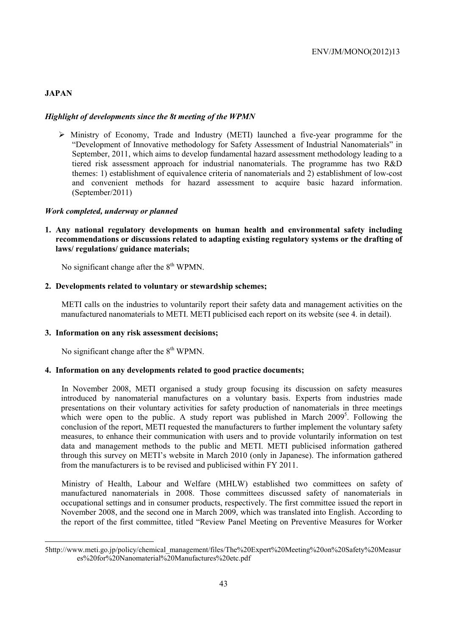# **JAPAN**

# *Highlight of developments since the 8t meeting of the WPMN*

 $\triangleright$  Ministry of Economy, Trade and Industry (METI) launched a five-year programme for the "Development of Innovative methodology for Safety Assessment of Industrial Nanomaterials" in September, 2011, which aims to develop fundamental hazard assessment methodology leading to a tiered risk assessment approach for industrial nanomaterials. The programme has two R&D themes: 1) establishment of equivalence criteria of nanomaterials and 2) establishment of low-cost and convenient methods for hazard assessment to acquire basic hazard information. (September/2011)

### *Work completed, underway or planned*

**1. Any national regulatory developments on human health and environmental safety including recommendations or discussions related to adapting existing regulatory systems or the drafting of laws/ regulations/ guidance materials;** 

No significant change after the  $8<sup>th</sup>$  WPMN.

### **2. Developments related to voluntary or stewardship schemes;**

METI calls on the industries to voluntarily report their safety data and management activities on the manufactured nanomaterials to METI. METI publicised each report on its website (see 4. in detail).

#### **3. Information on any risk assessment decisions;**

No significant change after the  $8<sup>th</sup>$  WPMN.

# **4. Information on any developments related to good practice documents;**

In November 2008, METI organised a study group focusing its discussion on safety measures introduced by nanomaterial manufactures on a voluntary basis. Experts from industries made presentations on their voluntary activities for safety production of nanomaterials in three meetings which were open to the public. A study report was published in March  $2009^5$ . Following the conclusion of the report, METI requested the manufacturers to further implement the voluntary safety measures, to enhance their communication with users and to provide voluntarily information on test data and management methods to the public and METI. METI publicised information gathered through this survey on METI's website in March 2010 (only in Japanese). The information gathered from the manufacturers is to be revised and publicised within FY 2011.

Ministry of Health, Labour and Welfare (MHLW) established two committees on safety of manufactured nanomaterials in 2008. Those committees discussed safety of nanomaterials in occupational settings and in consumer products, respectively. The first committee issued the report in November 2008, and the second one in March 2009, which was translated into English. According to the report of the first committee, titled "Review Panel Meeting on Preventive Measures for Worker

<sup>5</sup>http://www.meti.go.jp/policy/chemical\_management/files/The%20Expert%20Meeting%20on%20Safety%20Measur es%20for%20Nanomaterial%20Manufactures%20etc.pdf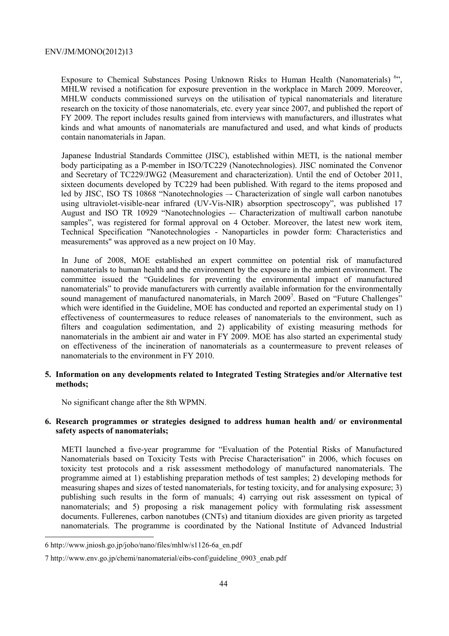Exposure to Chemical Substances Posing Unknown Risks to Human Health (Nanomaterials) <sup>6</sup> MHLW revised a notification for exposure prevention in the workplace in March 2009. Moreover, MHLW conducts commissioned surveys on the utilisation of typical nanomaterials and literature research on the toxicity of those nanomaterials, etc. every year since 2007, and published the report of FY 2009. The report includes results gained from interviews with manufacturers, and illustrates what kinds and what amounts of nanomaterials are manufactured and used, and what kinds of products contain nanomaterials in Japan.

Japanese Industrial Standards Committee (JISC), established within METI, is the national member body participating as a P-member in ISO/TC229 (Nanotechnologies). JISC nominated the Convenor and Secretary of TC229/JWG2 (Measurement and characterization). Until the end of October 2011, sixteen documents developed by TC229 had been published. With regard to the items proposed and led by JISC, ISO TS 10868 "Nanotechnologies –- Characterization of single wall carbon nanotubes using ultraviolet-visible-near infrared (UV-Vis-NIR) absorption spectroscopy", was published 17 August and ISO TR 10929 "Nanotechnologies -- Characterization of multiwall carbon nanotube samples", was registered for formal approval on 4 October. Moreover, the latest new work item, Technical Specification "Nanotechnologies - Nanoparticles in powder form: Characteristics and measurements" was approved as a new project on 10 May.

In June of 2008, MOE established an expert committee on potential risk of manufactured nanomaterials to human health and the environment by the exposure in the ambient environment. The committee issued the "Guidelines for preventing the environmental impact of manufactured nanomaterials" to provide manufacturers with currently available information for the environmentally sound management of manufactured nanomaterials, in March 2009<sup>7</sup>. Based on "Future Challenges" which were identified in the Guideline, MOE has conducted and reported an experimental study on 1) effectiveness of countermeasures to reduce releases of nanomaterials to the environment, such as filters and coagulation sedimentation, and 2) applicability of existing measuring methods for nanomaterials in the ambient air and water in FY 2009. MOE has also started an experimental study on effectiveness of the incineration of nanomaterials as a countermeasure to prevent releases of nanomaterials to the environment in FY 2010.

# **5. Information on any developments related to Integrated Testing Strategies and/or Alternative test methods;**

No significant change after the 8th WPMN.

### **6. Research programmes or strategies designed to address human health and/ or environmental safety aspects of nanomaterials;**

METI launched a five-year programme for "Evaluation of the Potential Risks of Manufactured Nanomaterials based on Toxicity Tests with Precise Characterisation" in 2006, which focuses on toxicity test protocols and a risk assessment methodology of manufactured nanomaterials. The programme aimed at 1) establishing preparation methods of test samples; 2) developing methods for measuring shapes and sizes of tested nanomaterials, for testing toxicity, and for analysing exposure; 3) publishing such results in the form of manuals; 4) carrying out risk assessment on typical of nanomaterials; and 5) proposing a risk management policy with formulating risk assessment documents. Fullerenes, carbon nanotubes (CNTs) and titanium dioxides are given priority as targeted nanomaterials. The programme is coordinated by the National Institute of Advanced Industrial

<sup>6</sup> http://www.jniosh.go.jp/joho/nano/files/mhlw/s1126-6a\_en.pdf

<sup>7</sup> http://www.env.go.jp/chemi/nanomaterial/eibs-conf/guideline\_0903\_enab.pdf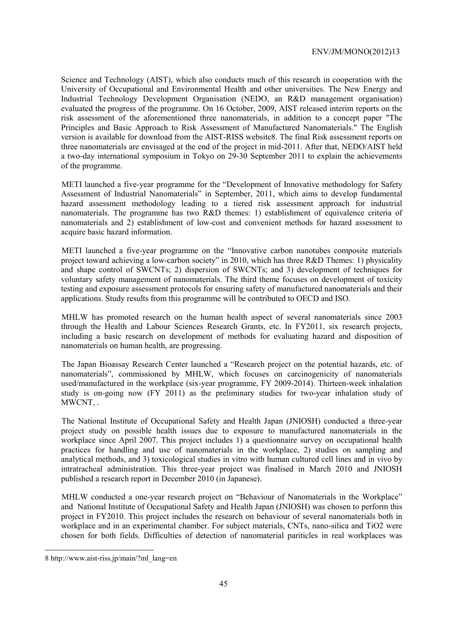Science and Technology (AIST), which also conducts much of this research in cooperation with the University of Occupational and Environmental Health and other universities. The New Energy and Industrial Technology Development Organisation (NEDO, an R&D management organisation) evaluated the progress of the programme. On 16 October, 2009, AIST released interim reports on the risk assessment of the aforementioned three nanomaterials, in addition to a concept paper "The Principles and Basic Approach to Risk Assessment of Manufactured Nanomaterials." The English version is available for download from the AIST-RISS website8. The final Risk assessment reports on three nanomaterials are envisaged at the end of the project in mid-2011. After that, NEDO/AIST held a two-day international symposium in Tokyo on 29-30 September 2011 to explain the achievements of the programme.

METI launched a five-year programme for the "Development of Innovative methodology for Safety Assessment of Industrial Nanomaterials" in September, 2011, which aims to develop fundamental hazard assessment methodology leading to a tiered risk assessment approach for industrial nanomaterials. The programme has two R&D themes: 1) establishment of equivalence criteria of nanomaterials and 2) establishment of low-cost and convenient methods for hazard assessment to acquire basic hazard information.

METI launched a five-year programme on the "Innovative carbon nanotubes composite materials project toward achieving a low-carbon society" in 2010, which has three R&D Themes: 1) physicality and shape control of SWCNTs; 2) dispersion of SWCNTs; and 3) development of techniques for voluntary safety management of nanomaterials. The third theme focuses on development of toxicity testing and exposure assessment protocols for ensuring safety of manufactured nanomaterials and their applications. Study results from this programme will be contributed to OECD and ISO.

MHLW has promoted research on the human health aspect of several nanomaterials since 2003 through the Health and Labour Sciences Research Grants, etc. In FY2011, six research projects, including a basic research on development of methods for evaluating hazard and disposition of nanomaterials on human health, are progressing.

The Japan Bioassay Research Center launched a "Research project on the potential hazards, etc. of nanomaterials", commissioned by MHLW, which focuses on carcinogenicity of nanomaterials used/manufactured in the workplace (six-year programme, FY 2009-2014). Thirteen-week inhalation study is on-going now (FY 2011) as the preliminary studies for two-year inhalation study of MWCNT, .

The National Institute of Occupational Safety and Health Japan (JNIOSH) conducted a three-year project study on possible health issues due to exposure to manufactured nanomaterials in the workplace since April 2007. This project includes 1) a questionnaire survey on occupational health practices for handling and use of nanomaterials in the workplace, 2) studies on sampling and analytical methods, and 3) toxicological studies in vitro with human cultured cell lines and in vivo by intratracheal administration. This three-year project was finalised in March 2010 and JNIOSH published a research report in December 2010 (in Japanese).

MHLW conducted a one-year research project on "Behaviour of Nanomaterials in the Workplace" and National Institute of Occupational Safety and Health Japan (JNIOSH) was chosen to perform this project in FY2010. This project includes the research on behaviour of several nanomaterials both in workplace and in an experimental chamber. For subject materials, CNTs, nano-silica and TiO2 were chosen for both fields. Difficulties of detection of nanomaterial pariticles in real workplaces was

<sup>8</sup> http://www.aist-riss.jp/main/?ml\_lang=en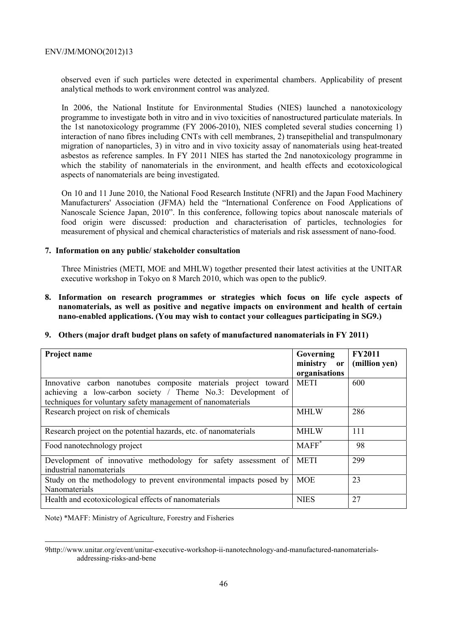observed even if such particles were detected in experimental chambers. Applicability of present analytical methods to work environment control was analyzed.

In 2006, the National Institute for Environmental Studies (NIES) launched a nanotoxicology programme to investigate both in vitro and in vivo toxicities of nanostructured particulate materials. In the 1st nanotoxicology programme (FY 2006-2010), NIES completed several studies concerning 1) interaction of nano fibres including CNTs with cell membranes, 2) transepithelial and transpulmonary migration of nanoparticles, 3) in vitro and in vivo toxicity assay of nanomaterials using heat-treated asbestos as reference samples. In FY 2011 NIES has started the 2nd nanotoxicology programme in which the stability of nanomaterials in the environment, and health effects and ecotoxicological aspects of nanomaterials are being investigated.

On 10 and 11 June 2010, the National Food Research Institute (NFRI) and the Japan Food Machinery Manufacturers' Association (JFMA) held the "International Conference on Food Applications of Nanoscale Science Japan, 2010". In this conference, following topics about nanoscale materials of food origin were discussed: production and characterisation of particles, technologies for measurement of physical and chemical characteristics of materials and risk assessment of nano-food.

### **7. Information on any public/ stakeholder consultation**

Three Ministries (METI, MOE and MHLW) together presented their latest activities at the UNITAR executive workshop in Tokyo on 8 March 2010, which was open to the public9.

**8. Information on research programmes or strategies which focus on life cycle aspects of nanomaterials, as well as positive and negative impacts on environment and health of certain nano-enabled applications. (You may wish to contact your colleagues participating in SG9.)** 

| Project name                                                       | Governing<br>ministry or | <b>FY2011</b><br>(million yen) |
|--------------------------------------------------------------------|--------------------------|--------------------------------|
|                                                                    | organisations            |                                |
| Innovative carbon nanotubes composite materials project toward     | <b>METI</b>              | 600                            |
| achieving a low-carbon society / Theme No.3: Development of        |                          |                                |
| techniques for voluntary safety management of nanomaterials        |                          |                                |
| Research project on risk of chemicals                              | <b>MHLW</b>              | 286                            |
|                                                                    |                          |                                |
| Research project on the potential hazards, etc. of nanomaterials   | <b>MHLW</b>              | 111                            |
| Food nanotechnology project                                        | $MAFF^*$                 | 98                             |
| Development of innovative methodology for safety assessment of     | <b>METI</b>              | 299                            |
| industrial nanomaterials                                           |                          |                                |
| Study on the methodology to prevent environmental impacts posed by | <b>MOE</b>               | 23                             |
| Nanomaterials                                                      |                          |                                |
| Health and ecotoxicological effects of nanomaterials               | <b>NIES</b>              | 27                             |

#### **9. Others (major draft budget plans on safety of manufactured nanomaterials in FY 2011)**

Note) \*MAFF: Ministry of Agriculture, Forestry and Fisheries

<sup>9</sup>http://www.unitar.org/event/unitar-executive-workshop-ii-nanotechnology-and-manufactured-nanomaterialsaddressing-risks-and-bene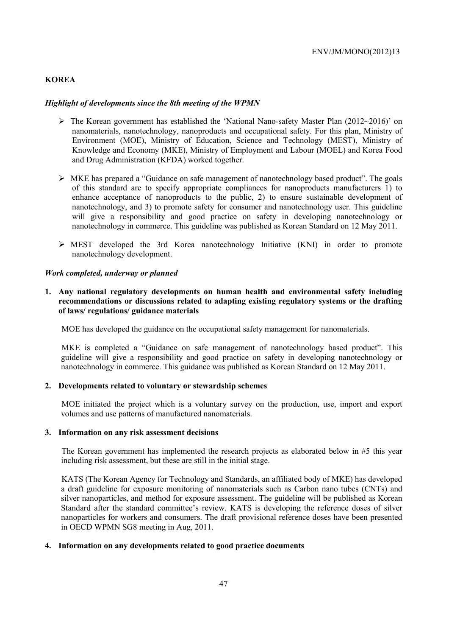# **KOREA**

# *Highlight of developments since the 8th meeting of the WPMN*

- $\triangleright$  The Korean government has established the 'National Nano-safety Master Plan (2012~2016)' on nanomaterials, nanotechnology, nanoproducts and occupational safety. For this plan, Ministry of Environment (MOE), Ministry of Education, Science and Technology (MEST), Ministry of Knowledge and Economy (MKE), Ministry of Employment and Labour (MOEL) and Korea Food and Drug Administration (KFDA) worked together.
- $\triangleright$  MKE has prepared a "Guidance on safe management of nanotechnology based product". The goals of this standard are to specify appropriate compliances for nanoproducts manufacturers 1) to enhance acceptance of nanoproducts to the public, 2) to ensure sustainable development of nanotechnology, and 3) to promote safety for consumer and nanotechnology user. This guideline will give a responsibility and good practice on safety in developing nanotechnology or nanotechnology in commerce. This guideline was published as Korean Standard on 12 May 2011.
- $\triangleright$  MEST developed the 3rd Korea nanotechnology Initiative (KNI) in order to promote nanotechnology development.

# *Work completed, underway or planned*

# **1. Any national regulatory developments on human health and environmental safety including recommendations or discussions related to adapting existing regulatory systems or the drafting of laws/ regulations/ guidance materials**

MOE has developed the guidance on the occupational safety management for nanomaterials.

MKE is completed a "Guidance on safe management of nanotechnology based product". This guideline will give a responsibility and good practice on safety in developing nanotechnology or nanotechnology in commerce. This guidance was published as Korean Standard on 12 May 2011.

# **2. Developments related to voluntary or stewardship schemes**

MOE initiated the project which is a voluntary survey on the production, use, import and export volumes and use patterns of manufactured nanomaterials.

# **3. Information on any risk assessment decisions**

The Korean government has implemented the research projects as elaborated below in #5 this year including risk assessment, but these are still in the initial stage.

KATS (The Korean Agency for Technology and Standards, an affiliated body of MKE) has developed a draft guideline for exposure monitoring of nanomaterials such as Carbon nano tubes (CNTs) and silver nanoparticles, and method for exposure assessment. The guideline will be published as Korean Standard after the standard committee's review. KATS is developing the reference doses of silver nanoparticles for workers and consumers. The draft provisional reference doses have been presented in OECD WPMN SG8 meeting in Aug, 2011.

# **4. Information on any developments related to good practice documents**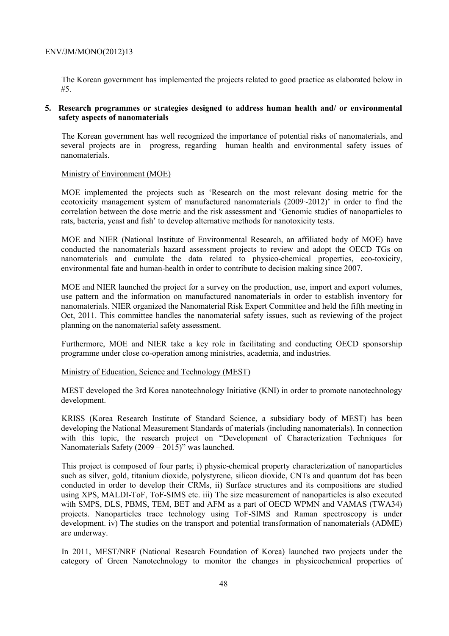The Korean government has implemented the projects related to good practice as elaborated below in #5.

### **5. Research programmes or strategies designed to address human health and/ or environmental safety aspects of nanomaterials**

The Korean government has well recognized the importance of potential risks of nanomaterials, and several projects are in progress, regarding human health and environmental safety issues of nanomaterials.

#### Ministry of Environment (MOE)

MOE implemented the projects such as 'Research on the most relevant dosing metric for the ecotoxicity management system of manufactured nanomaterials (2009~2012)' in order to find the correlation between the dose metric and the risk assessment and 'Genomic studies of nanoparticles to rats, bacteria, yeast and fish' to develop alternative methods for nanotoxicity tests.

MOE and NIER (National Institute of Environmental Research, an affiliated body of MOE) have conducted the nanomaterials hazard assessment projects to review and adopt the OECD TGs on nanomaterials and cumulate the data related to physico-chemical properties, eco-toxicity, environmental fate and human-health in order to contribute to decision making since 2007.

MOE and NIER launched the project for a survey on the production, use, import and export volumes, use pattern and the information on manufactured nanomaterials in order to establish inventory for nanomaterials. NIER organized the Nanomaterial Risk Expert Committee and held the fifth meeting in Oct, 2011. This committee handles the nanomaterial safety issues, such as reviewing of the project planning on the nanomaterial safety assessment.

Furthermore, MOE and NIER take a key role in facilitating and conducting OECD sponsorship programme under close co-operation among ministries, academia, and industries.

#### Ministry of Education, Science and Technology (MEST)

MEST developed the 3rd Korea nanotechnology Initiative (KNI) in order to promote nanotechnology development.

KRISS (Korea Research Institute of Standard Science, a subsidiary body of MEST) has been developing the National Measurement Standards of materials (including nanomaterials). In connection with this topic, the research project on "Development of Characterization Techniques for Nanomaterials Safety (2009 – 2015)" was launched.

This project is composed of four parts; i) physic-chemical property characterization of nanoparticles such as silver, gold, titanium dioxide, polystyrene, silicon dioxide, CNTs and quantum dot has been conducted in order to develop their CRMs, ii) Surface structures and its compositions are studied using XPS, MALDI-ToF, ToF-SIMS etc. iii) The size measurement of nanoparticles is also executed with SMPS, DLS, PBMS, TEM, BET and AFM as a part of OECD WPMN and VAMAS (TWA34) projects. Nanoparticles trace technology using ToF-SIMS and Raman spectroscopy is under development. iv) The studies on the transport and potential transformation of nanomaterials (ADME) are underway.

In 2011, MEST/NRF (National Research Foundation of Korea) launched two projects under the category of Green Nanotechnology to monitor the changes in physicochemical properties of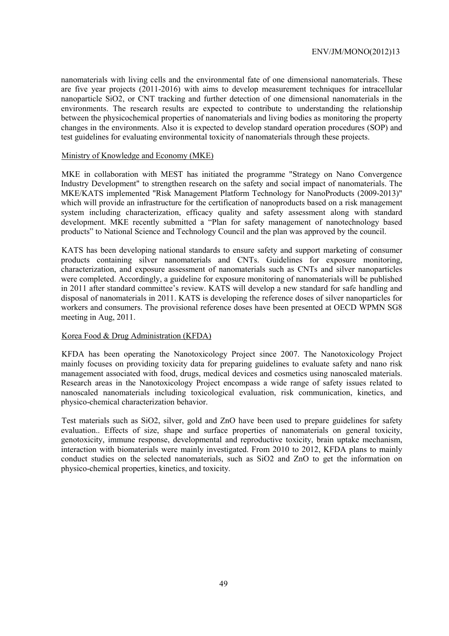nanomaterials with living cells and the environmental fate of one dimensional nanomaterials. These are five year projects (2011-2016) with aims to develop measurement techniques for intracellular nanoparticle SiO2, or CNT tracking and further detection of one dimensional nanomaterials in the environments. The research results are expected to contribute to understanding the relationship between the physicochemical properties of nanomaterials and living bodies as monitoring the property changes in the environments. Also it is expected to develop standard operation procedures (SOP) and test guidelines for evaluating environmental toxicity of nanomaterials through these projects.

### Ministry of Knowledge and Economy (MKE)

MKE in collaboration with MEST has initiated the programme "Strategy on Nano Convergence Industry Development" to strengthen research on the safety and social impact of nanomaterials. The MKE/KATS implemented "Risk Management Platform Technology for NanoProducts (2009-2013)" which will provide an infrastructure for the certification of nanoproducts based on a risk management system including characterization, efficacy quality and safety assessment along with standard development. MKE recently submitted a "Plan for safety management of nanotechnology based products" to National Science and Technology Council and the plan was approved by the council.

KATS has been developing national standards to ensure safety and support marketing of consumer products containing silver nanomaterials and CNTs. Guidelines for exposure monitoring, characterization, and exposure assessment of nanomaterials such as CNTs and silver nanoparticles were completed. Accordingly, a guideline for exposure monitoring of nanomaterials will be published in 2011 after standard committee's review. KATS will develop a new standard for safe handling and disposal of nanomaterials in 2011. KATS is developing the reference doses of silver nanoparticles for workers and consumers. The provisional reference doses have been presented at OECD WPMN SG8 meeting in Aug, 2011.

# Korea Food & Drug Administration (KFDA)

KFDA has been operating the Nanotoxicology Project since 2007. The Nanotoxicology Project mainly focuses on providing toxicity data for preparing guidelines to evaluate safety and nano risk management associated with food, drugs, medical devices and cosmetics using nanoscaled materials. Research areas in the Nanotoxicology Project encompass a wide range of safety issues related to nanoscaled nanomaterials including toxicological evaluation, risk communication, kinetics, and physico-chemical characterization behavior.

Test materials such as SiO2, silver, gold and ZnO have been used to prepare guidelines for safety evaluation.. Effects of size, shape and surface properties of nanomaterials on general toxicity, genotoxicity, immune response, developmental and reproductive toxicity, brain uptake mechanism, interaction with biomaterials were mainly investigated. From 2010 to 2012, KFDA plans to mainly conduct studies on the selected nanomaterials, such as SiO2 and ZnO to get the information on physico-chemical properties, kinetics, and toxicity.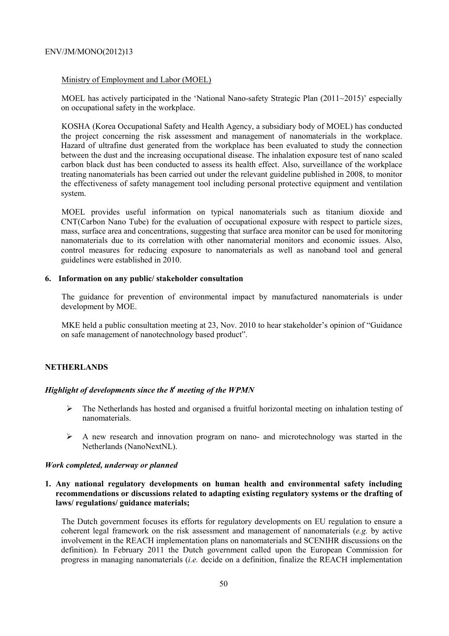### Ministry of Employment and Labor (MOEL)

MOEL has actively participated in the 'National Nano-safety Strategic Plan (2011~2015)' especially on occupational safety in the workplace.

KOSHA (Korea Occupational Safety and Health Agency, a subsidiary body of MOEL) has conducted the project concerning the risk assessment and management of nanomaterials in the workplace. Hazard of ultrafine dust generated from the workplace has been evaluated to study the connection between the dust and the increasing occupational disease. The inhalation exposure test of nano scaled carbon black dust has been conducted to assess its health effect. Also, surveillance of the workplace treating nanomaterials has been carried out under the relevant guideline published in 2008, to monitor the effectiveness of safety management tool including personal protective equipment and ventilation system.

MOEL provides useful information on typical nanomaterials such as titanium dioxide and CNT(Carbon Nano Tube) for the evaluation of occupational exposure with respect to particle sizes, mass, surface area and concentrations, suggesting that surface area monitor can be used for monitoring nanomaterials due to its correlation with other nanomaterial monitors and economic issues. Also, control measures for reducing exposure to nanomaterials as well as nanoband tool and general guidelines were established in 2010.

### **6. Information on any public/ stakeholder consultation**

The guidance for prevention of environmental impact by manufactured nanomaterials is under development by MOE.

MKE held a public consultation meeting at 23, Nov. 2010 to hear stakeholder's opinion of "Guidance on safe management of nanotechnology based product".

# **NETHERLANDS**

# *Highlight of developments since the 8<sup>t</sup> meeting of the WPMN*

- ¾ The Netherlands has hosted and organised a fruitful horizontal meeting on inhalation testing of nanomaterials.
- $\triangleright$  A new research and innovation program on nano- and microtechnology was started in the Netherlands (NanoNextNL).

#### *Work completed, underway or planned*

# **1. Any national regulatory developments on human health and environmental safety including recommendations or discussions related to adapting existing regulatory systems or the drafting of laws/ regulations/ guidance materials;**

The Dutch government focuses its efforts for regulatory developments on EU regulation to ensure a coherent legal framework on the risk assessment and management of nanomaterials (*e.g.* by active involvement in the REACH implementation plans on nanomaterials and SCENIHR discussions on the definition). In February 2011 the Dutch government called upon the European Commission for progress in managing nanomaterials (*i.e.* decide on a definition, finalize the REACH implementation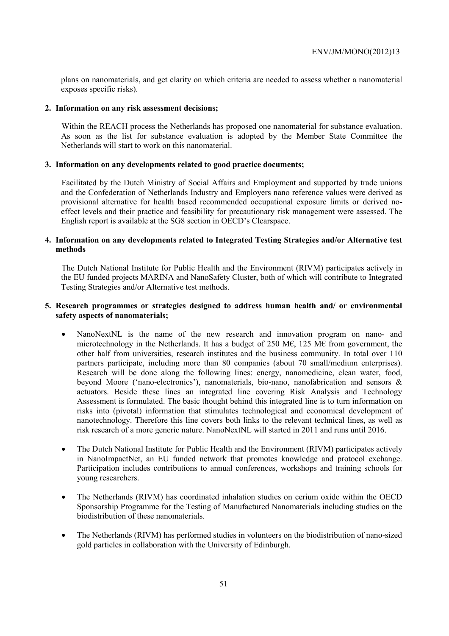plans on nanomaterials, and get clarity on which criteria are needed to assess whether a nanomaterial exposes specific risks).

### **2. Information on any risk assessment decisions;**

Within the REACH process the Netherlands has proposed one nanomaterial for substance evaluation. As soon as the list for substance evaluation is adopted by the Member State Committee the Netherlands will start to work on this nanomaterial.

### **3. Information on any developments related to good practice documents;**

Facilitated by the Dutch Ministry of Social Affairs and Employment and supported by trade unions and the Confederation of Netherlands Industry and Employers nano reference values were derived as provisional alternative for health based recommended occupational exposure limits or derived noeffect levels and their practice and feasibility for precautionary risk management were assessed. The English report is available at the SG8 section in OECD's Clearspace.

### **4. Information on any developments related to Integrated Testing Strategies and/or Alternative test methods**

The Dutch National Institute for Public Health and the Environment (RIVM) participates actively in the EU funded projects MARINA and NanoSafety Cluster, both of which will contribute to Integrated Testing Strategies and/or Alternative test methods.

# **5. Research programmes or strategies designed to address human health and/ or environmental safety aspects of nanomaterials;**

- NanoNextNL is the name of the new research and innovation program on nano- and microtechnology in the Netherlands. It has a budget of 250 M $\epsilon$ , 125 M $\epsilon$  from government, the other half from universities, research institutes and the business community. In total over 110 partners participate, including more than 80 companies (about 70 small/medium enterprises). Research will be done along the following lines: energy, nanomedicine, clean water, food, beyond Moore ('nano-electronics'), nanomaterials, bio-nano, nanofabrication and sensors & actuators. Beside these lines an integrated line covering Risk Analysis and Technology Assessment is formulated. The basic thought behind this integrated line is to turn information on risks into (pivotal) information that stimulates technological and economical development of nanotechnology. Therefore this line covers both links to the relevant technical lines, as well as risk research of a more generic nature. NanoNextNL will started in 2011 and runs until 2016.
- The Dutch National Institute for Public Health and the Environment (RIVM) participates actively in NanoImpactNet, an EU funded network that promotes knowledge and protocol exchange. Participation includes contributions to annual conferences, workshops and training schools for young researchers.
- The Netherlands (RIVM) has coordinated inhalation studies on cerium oxide within the OECD Sponsorship Programme for the Testing of Manufactured Nanomaterials including studies on the biodistribution of these nanomaterials.
- The Netherlands (RIVM) has performed studies in volunteers on the biodistribution of nano-sized gold particles in collaboration with the University of Edinburgh.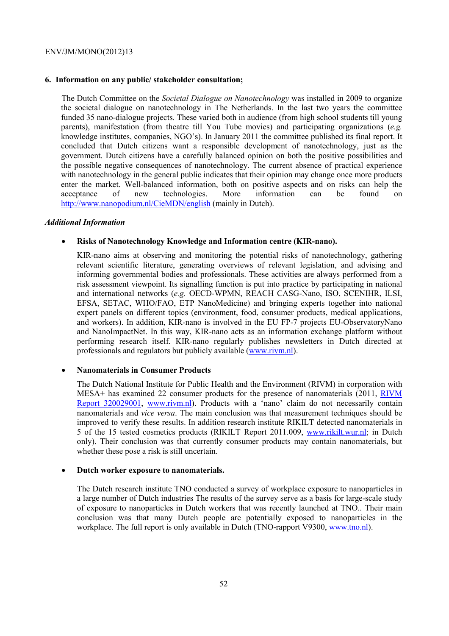### **6. Information on any public/ stakeholder consultation;**

The Dutch Committee on the *Societal Dialogue on Nanotechnology* was installed in 2009 to organize the societal dialogue on nanotechnology in The Netherlands. In the last two years the committee funded 35 nano-dialogue projects. These varied both in audience (from high school students till young parents), manifestation (from theatre till You Tube movies) and participating organizations (*e.g.* knowledge institutes, companies, NGO's). In January 2011 the committee published its final report. It concluded that Dutch citizens want a responsible development of nanotechnology, just as the government. Dutch citizens have a carefully balanced opinion on both the positive possibilities and the possible negative consequences of nanotechnology. The current absence of practical experience with nanotechnology in the general public indicates that their opinion may change once more products enter the market. Well-balanced information, both on positive aspects and on risks can help the acceptance of new technologies. More information can be found on http://www.nanopodium.nl/CieMDN/english (mainly in Dutch).

#### *Additional Information*

### • **Risks of Nanotechnology Knowledge and Information centre (KIR-nano).**

KIR-nano aims at observing and monitoring the potential risks of nanotechnology, gathering relevant scientific literature, generating overviews of relevant legislation, and advising and informing governmental bodies and professionals. These activities are always performed from a risk assessment viewpoint. Its signalling function is put into practice by participating in national and international networks (*e.g.* OECD-WPMN, REACH CASG-Nano, ISO, SCENIHR, ILSI, EFSA, SETAC, WHO/FAO, ETP NanoMedicine) and bringing experts together into national expert panels on different topics (environment, food, consumer products, medical applications, and workers). In addition, KIR-nano is involved in the EU FP-7 projects EU-ObservatoryNano and NanoImpactNet. In this way, KIR-nano acts as an information exchange platform without performing research itself. KIR-nano regularly publishes newsletters in Dutch directed at professionals and regulators but publicly available (www.rivm.nl).

#### • **Nanomaterials in Consumer Products**

The Dutch National Institute for Public Health and the Environment (RIVM) in corporation with MESA+ has examined 22 consumer products for the presence of nanomaterials (2011, RIVM Report 320029001, www.rivm.nl). Products with a 'nano' claim do not necessarily contain nanomaterials and *vice versa*. The main conclusion was that measurement techniques should be improved to verify these results. In addition research institute RIKILT detected nanomaterials in 5 of the 15 tested cosmetics products (RIKILT Report 2011.009, www.rikilt.wur.nl; in Dutch only). Their conclusion was that currently consumer products may contain nanomaterials, but whether these pose a risk is still uncertain.

#### • **Dutch worker exposure to nanomaterials.**

The Dutch research institute TNO conducted a survey of workplace exposure to nanoparticles in a large number of Dutch industries The results of the survey serve as a basis for large-scale study of exposure to nanoparticles in Dutch workers that was recently launched at TNO.. Their main conclusion was that many Dutch people are potentially exposed to nanoparticles in the workplace. The full report is only available in Dutch (TNO-rapport V9300, www.tno.nl).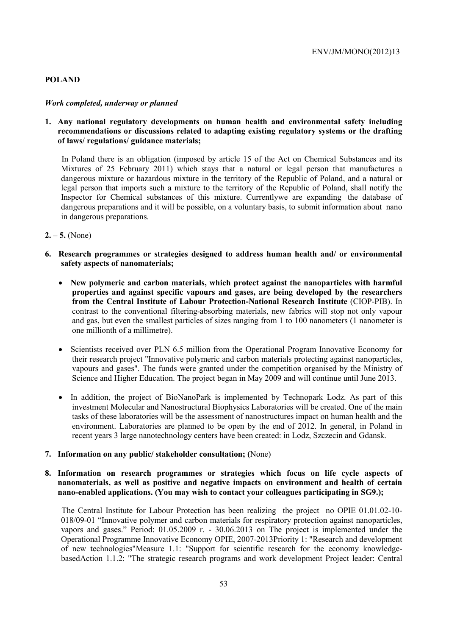### **POLAND**

### *Work completed, underway or planned*

# **1. Any national regulatory developments on human health and environmental safety including recommendations or discussions related to adapting existing regulatory systems or the drafting of laws/ regulations/ guidance materials;**

In Poland there is an obligation (imposed by article 15 of the Act on Chemical Substances and its Mixtures of 25 February 2011) which stays that a natural or legal person that manufactures a dangerous mixture or hazardous mixture in the territory of the Republic of Poland, and a natural or legal person that imports such a mixture to the territory of the Republic of Poland, shall notify the Inspector for Chemical substances of this mixture. Currentlywe are expanding the database of dangerous preparations and it will be possible, on a voluntary basis, to submit information about nano in dangerous preparations.

- **2. 5.** (None)
- **6. Research programmes or strategies designed to address human health and/ or environmental safety aspects of nanomaterials;** 
	- **New polymeric and carbon materials, which protect against the nanoparticles with harmful properties and against specific vapours and gases, are being developed by the researchers from the Central Institute of Labour Protection-National Research Institute** (CIOP-PIB). In contrast to the conventional filtering-absorbing materials, new fabrics will stop not only vapour and gas, but even the smallest particles of sizes ranging from 1 to 100 nanometers (1 nanometer is one millionth of a millimetre).
	- Scientists received over PLN 6.5 million from the Operational Program Innovative Economy for their research project "Innovative polymeric and carbon materials protecting against nanoparticles, vapours and gases". The funds were granted under the competition organised by the Ministry of Science and Higher Education. The project began in May 2009 and will continue until June 2013.
	- In addition, the project of BioNanoPark is implemented by Technopark Lodz. As part of this investment Molecular and Nanostructural Biophysics Laboratories will be created. One of the main tasks of these laboratories will be the assessment of nanostructures impact on human health and the environment. Laboratories are planned to be open by the end of 2012. In general, in Poland in recent years 3 large nanotechnology centers have been created: in Lodz, Szczecin and Gdansk.

# **7. Information on any public/ stakeholder consultation; (**None)

### **8. Information on research programmes or strategies which focus on life cycle aspects of nanomaterials, as well as positive and negative impacts on environment and health of certain nano-enabled applications. (You may wish to contact your colleagues participating in SG9.);**

The Central Institute for Labour Protection has been realizing the project no OPIE 01.01.02-10- 018/09-01 "Innovative polymer and carbon materials for respiratory protection against nanoparticles, vapors and gases." Period: 01.05.2009 r. - 30.06.2013 on The project is implemented under the Operational Programme Innovative Economy OPIE, 2007-2013Priority 1: "Research and development of new technologies"Measure 1.1: "Support for scientific research for the economy knowledgebasedAction 1.1.2: "The strategic research programs and work development Project leader: Central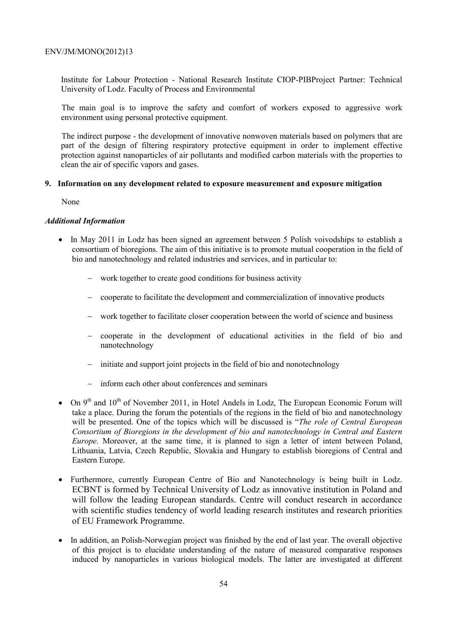Institute for Labour Protection - National Research Institute CIOP-PIBProject Partner: Technical University of Lodz. Faculty of Process and Environmental

The main goal is to improve the safety and comfort of workers exposed to aggressive work environment using personal protective equipment.

The indirect purpose - the development of innovative nonwoven materials based on polymers that are part of the design of filtering respiratory protective equipment in order to implement effective protection against nanoparticles of air pollutants and modified carbon materials with the properties to clean the air of specific vapors and gases.

### **9. Information on any development related to exposure measurement and exposure mitigation**

None

### *Additional Information*

- In May 2011 in Lodz has been signed an agreement between 5 Polish voivodships to establish a consortium of bioregions. The aim of this initiative is to promote mutual cooperation in the field of bio and nanotechnology and related industries and services, and in particular to:
	- − work together to create good conditions for business activity
	- − cooperate to facilitate the development and commercialization of innovative products
	- work together to facilitate closer cooperation between the world of science and business
	- − cooperate in the development of educational activities in the field of bio and nanotechnology
	- − initiate and support joint projects in the field of bio and nonotechnology
	- − inform each other about conferences and seminars
- On  $9<sup>th</sup>$  and  $10<sup>th</sup>$  of November 2011, in Hotel Andels in Lodz, The European Economic Forum will take a place. During the forum the potentials of the regions in the field of bio and nanotechnology will be presented. One of the topics which will be discussed is "*The role of Central European Consortium of Bioregions in the development of bio and nanotechnology in Central and Eastern Europe*. Moreover, at the same time, it is planned to sign a letter of intent between Poland, Lithuania, Latvia, Czech Republic, Slovakia and Hungary to establish bioregions of Central and Eastern Europe.
- Furthermore, currently European Centre of Bio and Nanotechnology is being built in Lodz. ECBNT is formed by Technical University of Lodz as innovative institution in Poland and will follow the leading European standards. Centre will conduct research in accordance with scientific studies tendency of world leading research institutes and research priorities of EU Framework Programme.
- In addition, an Polish-Norwegian project was finished by the end of last year. The overall objective of this project is to elucidate understanding of the nature of measured comparative responses induced by nanoparticles in various biological models. The latter are investigated at different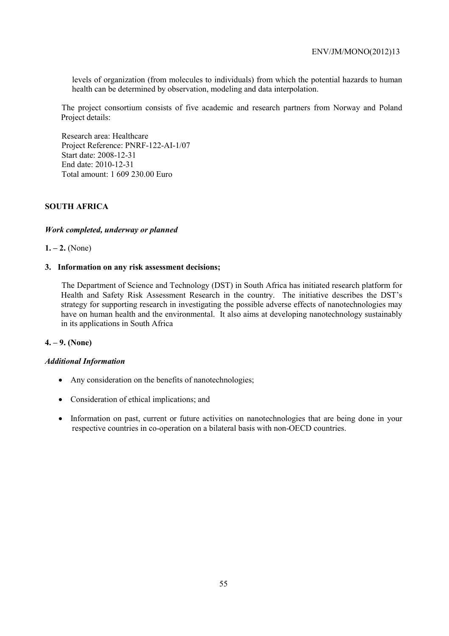levels of organization (from molecules to individuals) from which the potential hazards to human health can be determined by observation, modeling and data interpolation.

The project consortium consists of five academic and research partners from Norway and Poland Project details:

Research area: Healthcare Project Reference: PNRF-122-AI-1/07 Start date: 2008-12-31 End date: 2010-12-31 Total amount: 1 609 230.00 Euro

# **SOUTH AFRICA**

### *Work completed, underway or planned*

#### $1. - 2.$  (None)

#### **3. Information on any risk assessment decisions;**

The Department of Science and Technology (DST) in South Africa has initiated research platform for Health and Safety Risk Assessment Research in the country. The initiative describes the DST's strategy for supporting research in investigating the possible adverse effects of nanotechnologies may have on human health and the environmental. It also aims at developing nanotechnology sustainably in its applications in South Africa

# **4. – 9. (None)**

### *Additional Information*

- Any consideration on the benefits of nanotechnologies;
- Consideration of ethical implications; and
- Information on past, current or future activities on nanotechnologies that are being done in your respective countries in co-operation on a bilateral basis with non-OECD countries.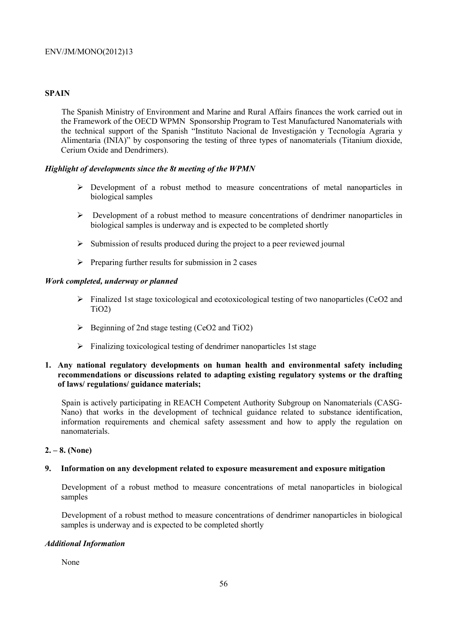### **SPAIN**

The Spanish Ministry of Environment and Marine and Rural Affairs finances the work carried out in the Framework of the OECD WPMN Sponsorship Program to Test Manufactured Nanomaterials with the technical support of the Spanish "Instituto Nacional de Investigación y Tecnología Agraria y Alimentaria (INIA)" by cosponsoring the testing of three types of nanomaterials (Titanium dioxide, Cerium Oxide and Dendrimers).

### *Highlight of developments since the 8t meeting of the WPMN*

- ¾ Development of a robust method to measure concentrations of metal nanoparticles in biological samples
- ¾ Development of a robust method to measure concentrations of dendrimer nanoparticles in biological samples is underway and is expected to be completed shortly
- $\triangleright$  Submission of results produced during the project to a peer reviewed journal
- $\triangleright$  Preparing further results for submission in 2 cases

### *Work completed, underway or planned*

- ¾ Finalized 1st stage toxicological and ecotoxicological testing of two nanoparticles (CeO2 and TiO2)
- $\triangleright$  Beginning of 2nd stage testing (CeO2 and TiO2)
- $\triangleright$  Finalizing toxicological testing of dendrimer nanoparticles 1st stage

# **1. Any national regulatory developments on human health and environmental safety including recommendations or discussions related to adapting existing regulatory systems or the drafting of laws/ regulations/ guidance materials;**

Spain is actively participating in REACH Competent Authority Subgroup on Nanomaterials (CASG-Nano) that works in the development of technical guidance related to substance identification, information requirements and chemical safety assessment and how to apply the regulation on nanomaterials.

# **2. – 8. (None)**

### **9. Information on any development related to exposure measurement and exposure mitigation**

Development of a robust method to measure concentrations of metal nanoparticles in biological samples

Development of a robust method to measure concentrations of dendrimer nanoparticles in biological samples is underway and is expected to be completed shortly

### *Additional Information*

None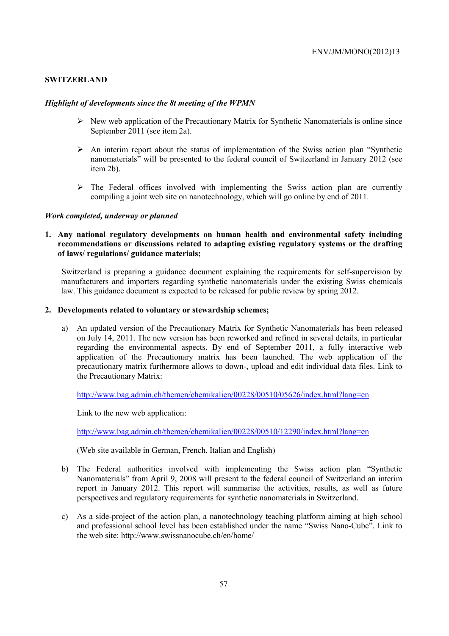# **SWITZERLAND**

### *Highlight of developments since the 8t meeting of the WPMN*

- $\triangleright$  New web application of the Precautionary Matrix for Synthetic Nanomaterials is online since September 2011 (see item 2a).
- $\triangleright$  An interim report about the status of implementation of the Swiss action plan "Synthetic nanomaterials" will be presented to the federal council of Switzerland in January 2012 (see item 2b).
- $\triangleright$  The Federal offices involved with implementing the Swiss action plan are currently compiling a joint web site on nanotechnology, which will go online by end of 2011.

### *Work completed, underway or planned*

**1. Any national regulatory developments on human health and environmental safety including recommendations or discussions related to adapting existing regulatory systems or the drafting of laws/ regulations/ guidance materials;** 

Switzerland is preparing a guidance document explaining the requirements for self-supervision by manufacturers and importers regarding synthetic nanomaterials under the existing Swiss chemicals law. This guidance document is expected to be released for public review by spring 2012.

# **2. Developments related to voluntary or stewardship schemes;**

a) An updated version of the Precautionary Matrix for Synthetic Nanomaterials has been released on July 14, 2011. The new version has been reworked and refined in several details, in particular regarding the environmental aspects. By end of September 2011, a fully interactive web application of the Precautionary matrix has been launched. The web application of the precautionary matrix furthermore allows to down-, upload and edit individual data files. Link to the Precautionary Matrix:

http://www.bag.admin.ch/themen/chemikalien/00228/00510/05626/index.html?lang=en

Link to the new web application:

http://www.bag.admin.ch/themen/chemikalien/00228/00510/12290/index.html?lang=en

(Web site available in German, French, Italian and English)

- b) The Federal authorities involved with implementing the Swiss action plan "Synthetic Nanomaterials" from April 9, 2008 will present to the federal council of Switzerland an interim report in January 2012. This report will summarise the activities, results, as well as future perspectives and regulatory requirements for synthetic nanomaterials in Switzerland.
- c) As a side-project of the action plan, a nanotechnology teaching platform aiming at high school and professional school level has been established under the name "Swiss Nano-Cube". Link to the web site: http://www.swissnanocube.ch/en/home/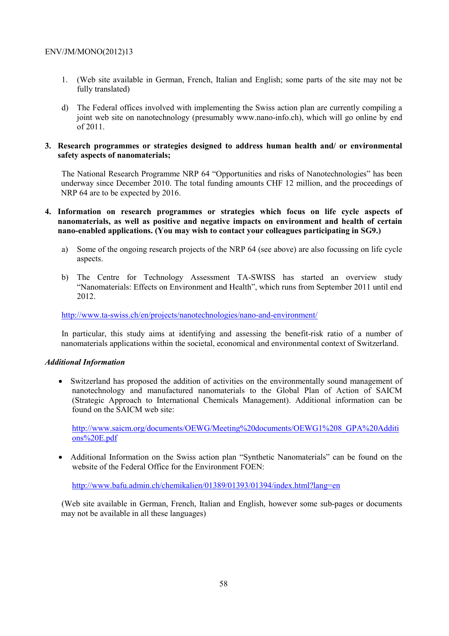- 1. (Web site available in German, French, Italian and English; some parts of the site may not be fully translated)
- d) The Federal offices involved with implementing the Swiss action plan are currently compiling a joint web site on nanotechnology (presumably www.nano-info.ch), which will go online by end of 2011.

### **3. Research programmes or strategies designed to address human health and/ or environmental safety aspects of nanomaterials;**

The National Research Programme NRP 64 "Opportunities and risks of Nanotechnologies" has been underway since December 2010. The total funding amounts CHF 12 million, and the proceedings of NRP 64 are to be expected by 2016.

### **4. Information on research programmes or strategies which focus on life cycle aspects of nanomaterials, as well as positive and negative impacts on environment and health of certain nano-enabled applications. (You may wish to contact your colleagues participating in SG9.)**

- a) Some of the ongoing research projects of the NRP 64 (see above) are also focussing on life cycle aspects.
- b) The Centre for Technology Assessment TA-SWISS has started an overview study "Nanomaterials: Effects on Environment and Health", which runs from September 2011 until end 2012.

http://www.ta-swiss.ch/en/projects/nanotechnologies/nano-and-environment/

In particular, this study aims at identifying and assessing the benefit-risk ratio of a number of nanomaterials applications within the societal, economical and environmental context of Switzerland.

# *Additional Information*

• Switzerland has proposed the addition of activities on the environmentally sound management of nanotechnology and manufactured nanomaterials to the Global Plan of Action of SAICM (Strategic Approach to International Chemicals Management). Additional information can be found on the SAICM web site:

http://www.saicm.org/documents/OEWG/Meeting%20documents/OEWG1%208\_GPA%20Additi ons%20E.pdf

• Additional Information on the Swiss action plan "Synthetic Nanomaterials" can be found on the website of the Federal Office for the Environment FOEN:

http://www.bafu.admin.ch/chemikalien/01389/01393/01394/index.html?lang=en

(Web site available in German, French, Italian and English, however some sub-pages or documents may not be available in all these languages)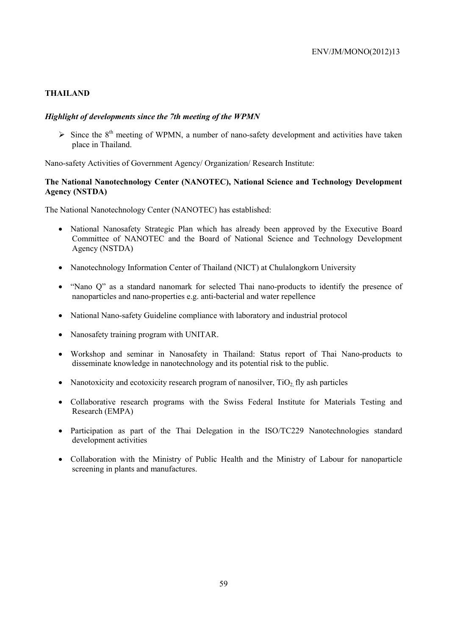# **THAILAND**

# *Highlight of developments since the 7th meeting of the WPMN*

 $\geq$  Since the 8<sup>th</sup> meeting of WPMN, a number of nano-safety development and activities have taken place in Thailand.

Nano-safety Activities of Government Agency/ Organization/ Research Institute:

# **The National Nanotechnology Center (NANOTEC), National Science and Technology Development Agency (NSTDA)**

The National Nanotechnology Center (NANOTEC) has established:

- National Nanosafety Strategic Plan which has already been approved by the Executive Board Committee of NANOTEC and the Board of National Science and Technology Development Agency (NSTDA)
- Nanotechnology Information Center of Thailand (NICT) at Chulalongkorn University
- "Nano Q" as a standard nanomark for selected Thai nano-products to identify the presence of nanoparticles and nano-properties e.g. anti-bacterial and water repellence
- National Nano-safety Guideline compliance with laboratory and industrial protocol
- Nanosafety training program with UNITAR.
- Workshop and seminar in Nanosafety in Thailand: Status report of Thai Nano-products to disseminate knowledge in nanotechnology and its potential risk to the public.
- Nanotoxicity and ecotoxicity research program of nanosilver,  $TiO<sub>2</sub>$  fly ash particles
- Collaborative research programs with the Swiss Federal Institute for Materials Testing and Research (EMPA)
- Participation as part of the Thai Delegation in the ISO/TC229 Nanotechnologies standard development activities
- Collaboration with the Ministry of Public Health and the Ministry of Labour for nanoparticle screening in plants and manufactures.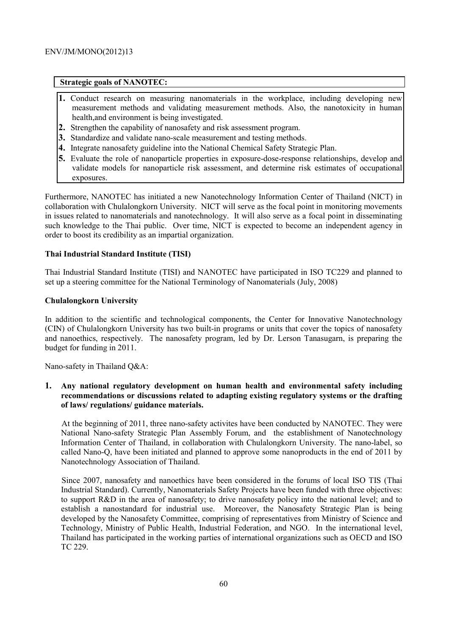# **Strategic goals of NANOTEC:**

- **1.** Conduct research on measuring nanomaterials in the workplace, including developing new measurement methods and validating measurement methods. Also, the nanotoxicity in human health,and environment is being investigated.
- **2.** Strengthen the capability of nanosafety and risk assessment program.
- **3.** Standardize and validate nano-scale measurement and testing methods.
- **4.** Integrate nanosafety guideline into the National Chemical Safety Strategic Plan.
- **5.** Evaluate the role of nanoparticle properties in exposure-dose-response relationships, develop and validate models for nanoparticle risk assessment, and determine risk estimates of occupational exposures.

Furthermore, NANOTEC has initiated a new Nanotechnology Information Center of Thailand (NICT) in collaboration with Chulalongkorn University. NICT will serve as the focal point in monitoring movements in issues related to nanomaterials and nanotechnology. It will also serve as a focal point in disseminating such knowledge to the Thai public. Over time, NICT is expected to become an independent agency in order to boost its credibility as an impartial organization.

### **Thai Industrial Standard Institute (TISI)**

Thai Industrial Standard Institute (TISI) and NANOTEC have participated in ISO TC229 and planned to set up a steering committee for the National Terminology of Nanomaterials (July, 2008)

#### **Chulalongkorn University**

In addition to the scientific and technological components, the Center for Innovative Nanotechnology (CIN) of Chulalongkorn University has two built-in programs or units that cover the topics of nanosafety and nanoethics, respectively. The nanosafety program, led by Dr. Lerson Tanasugarn, is preparing the budget for funding in 2011.

Nano-safety in Thailand Q&A:

**1. Any national regulatory development on human health and environmental safety including recommendations or discussions related to adapting existing regulatory systems or the drafting of laws/ regulations/ guidance materials.** 

At the beginning of 2011, three nano-safety activites have been conducted by NANOTEC. They were National Nano-safety Strategic Plan Assembly Forum, and the establishment of Nanotechnology Information Center of Thailand, in collaboration with Chulalongkorn University. The nano-label, so called Nano-Q, have been initiated and planned to approve some nanoproducts in the end of 2011 by Nanotechnology Association of Thailand.

Since 2007, nanosafety and nanoethics have been considered in the forums of local ISO TIS (Thai Industrial Standard). Currently, Nanomaterials Safety Projects have been funded with three objectives: to support R&D in the area of nanosafety; to drive nanosafety policy into the national level; and to establish a nanostandard for industrial use. Moreover, the Nanosafety Strategic Plan is being developed by the Nanosafety Committee, comprising of representatives from Ministry of Science and Technology, Ministry of Public Health, Industrial Federation, and NGO. In the international level, Thailand has participated in the working parties of international organizations such as OECD and ISO TC 229.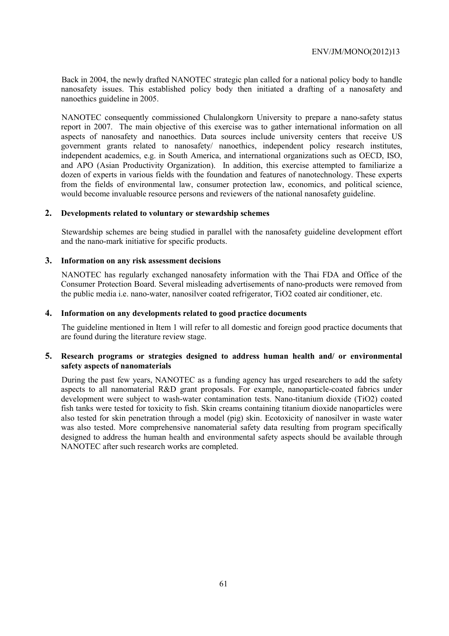Back in 2004, the newly drafted NANOTEC strategic plan called for a national policy body to handle nanosafety issues. This established policy body then initiated a drafting of a nanosafety and nanoethics guideline in 2005.

NANOTEC consequently commissioned Chulalongkorn University to prepare a nano-safety status report in 2007. The main objective of this exercise was to gather international information on all aspects of nanosafety and nanoethics. Data sources include university centers that receive US government grants related to nanosafety/ nanoethics, independent policy research institutes, independent academics, e.g. in South America, and international organizations such as OECD, ISO, and APO (Asian Productivity Organization). In addition, this exercise attempted to familiarize a dozen of experts in various fields with the foundation and features of nanotechnology. These experts from the fields of environmental law, consumer protection law, economics, and political science, would become invaluable resource persons and reviewers of the national nanosafety guideline.

### **2. Developments related to voluntary or stewardship schemes**

Stewardship schemes are being studied in parallel with the nanosafety guideline development effort and the nano-mark initiative for specific products.

### **3. Information on any risk assessment decisions**

NANOTEC has regularly exchanged nanosafety information with the Thai FDA and Office of the Consumer Protection Board. Several misleading advertisements of nano-products were removed from the public media i.e. nano-water, nanosilver coated refrigerator, TiO2 coated air conditioner, etc.

### **4. Information on any developments related to good practice documents**

The guideline mentioned in Item 1 will refer to all domestic and foreign good practice documents that are found during the literature review stage.

### **5. Research programs or strategies designed to address human health and/ or environmental safety aspects of nanomaterials**

During the past few years, NANOTEC as a funding agency has urged researchers to add the safety aspects to all nanomaterial R&D grant proposals. For example, nanoparticle-coated fabrics under development were subject to wash-water contamination tests. Nano-titanium dioxide (TiO2) coated fish tanks were tested for toxicity to fish. Skin creams containing titanium dioxide nanoparticles were also tested for skin penetration through a model (pig) skin. Ecotoxicity of nanosilver in waste water was also tested. More comprehensive nanomaterial safety data resulting from program specifically designed to address the human health and environmental safety aspects should be available through NANOTEC after such research works are completed.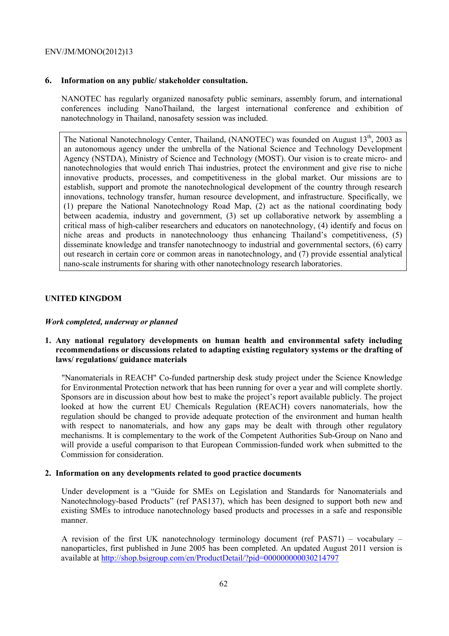### **6. Information on any public/ stakeholder consultation.**

NANOTEC has regularly organized nanosafety public seminars, assembly forum, and international conferences including NanoThailand, the largest international conference and exhibition of nanotechnology in Thailand, nanosafety session was included.

The National Nanotechnology Center, Thailand, (NANOTEC) was founded on August  $13<sup>th</sup>$ , 2003 as an autonomous agency under the umbrella of the National Science and Technology Development Agency (NSTDA), Ministry of Science and Technology (MOST). Our vision is to create micro- and nanotechnologies that would enrich Thai industries, protect the environment and give rise to niche innovative products, processes, and competitiveness in the global market. Our missions are to establish, support and promote the nanotechnological development of the country through research innovations, technology transfer, human resource development, and infrastructure. Specifically, we (1) prepare the National Nanotechnology Road Map, (2) act as the national coordinating body between academia, industry and government, (3) set up collaborative network by assembling a critical mass of high-caliber researchers and educators on nanotechnology, (4) identify and focus on niche areas and products in nanotechnoloogy thus enhancing Thailand's competitiveness, (5) disseminate knowledge and transfer nanotechnoogy to industrial and governmental sectors, (6) carry out research in certain core or common areas in nanotechnology, and (7) provide essential analytical nano-scale instruments for sharing with other nanotechnology research laboratories.

### **UNITED KINGDOM**

### *Work completed, underway or planned*

# **1. Any national regulatory developments on human health and environmental safety including recommendations or discussions related to adapting existing regulatory systems or the drafting of laws/ regulations/ guidance materials**

"Nanomaterials in REACH" Co-funded partnership desk study project under the Science Knowledge for Environmental Protection network that has been running for over a year and will complete shortly. Sponsors are in discussion about how best to make the project's report available publicly. The project looked at how the current EU Chemicals Regulation (REACH) covers nanomaterials, how the regulation should be changed to provide adequate protection of the environment and human health with respect to nanomaterials, and how any gaps may be dealt with through other regulatory mechanisms. It is complementary to the work of the Competent Authorities Sub-Group on Nano and will provide a useful comparison to that European Commission-funded work when submitted to the Commission for consideration.

#### **2. Information on any developments related to good practice documents**

Under development is a "Guide for SMEs on Legislation and Standards for Nanomaterials and Nanotechnology-based Products" (ref PAS137), which has been designed to support both new and existing SMEs to introduce nanotechnology based products and processes in a safe and responsible manner.

A revision of the first UK nanotechnology terminology document (ref PAS71) – vocabulary – nanoparticles, first published in June 2005 has been completed. An updated August 2011 version is available at http://shop.bsigroup.com/en/ProductDetail/?pid=000000000030214797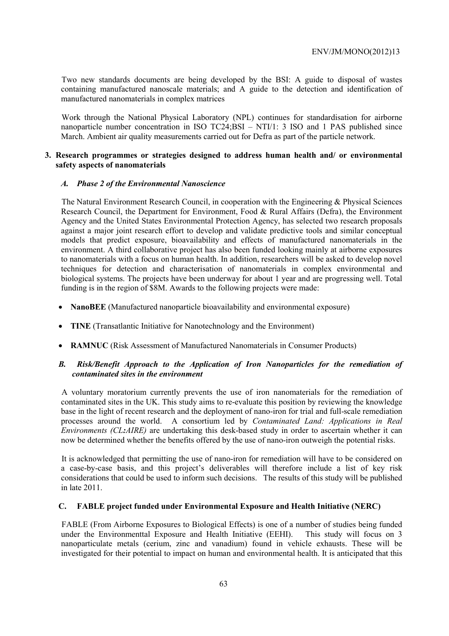Two new standards documents are being developed by the BSI: A guide to disposal of wastes containing manufactured nanoscale materials; and A guide to the detection and identification of manufactured nanomaterials in complex matrices

Work through the National Physical Laboratory (NPL) continues for standardisation for airborne nanoparticle number concentration in ISO TC24;BSI – NTI/1: 3 ISO and 1 PAS published since March. Ambient air quality measurements carried out for Defra as part of the particle network.

### **3. Research programmes or strategies designed to address human health and/ or environmental safety aspects of nanomaterials**

### *A. Phase 2 of the Environmental Nanoscience*

The Natural Environment Research Council, in cooperation with the Engineering & Physical Sciences Research Council, the Department for Environment, Food & Rural Affairs (Defra), the Environment Agency and the United States Environmental Protection Agency, has selected two research proposals against a major joint research effort to develop and validate predictive tools and similar conceptual models that predict exposure, bioavailability and effects of manufactured nanomaterials in the environment. A third collaborative project has also been funded looking mainly at airborne exposures to nanomaterials with a focus on human health. In addition, researchers will be asked to develop novel techniques for detection and characterisation of nanomaterials in complex environmental and biological systems. The projects have been underway for about 1 year and are progressing well. Total funding is in the region of \$8M. Awards to the following projects were made:

- **NanoBEE** (Manufactured nanoparticle bioavailability and environmental exposure)
- **TINE** (Transatlantic Initiative for Nanotechnology and the Environment)
- **RAMNUC** (Risk Assessment of Manufactured Nanomaterials in Consumer Products)

# *B. Risk/Benefit Approach to the Application of Iron Nanoparticles for the remediation of contaminated sites in the environment*

A voluntary moratorium currently prevents the use of iron nanomaterials for the remediation of contaminated sites in the UK. This study aims to re-evaluate this position by reviewing the knowledge base in the light of recent research and the deployment of nano-iron for trial and full-scale remediation processes around the world. A consortium led by *Contaminated Land: Applications in Real Environments (CL:AIRE)* are undertaking this desk-based study in order to ascertain whether it can now be determined whether the benefits offered by the use of nano-iron outweigh the potential risks.

It is acknowledged that permitting the use of nano-iron for remediation will have to be considered on a case-by-case basis, and this project's deliverables will therefore include a list of key risk considerations that could be used to inform such decisions. The results of this study will be published in late 2011.

#### **C. FABLE project funded under Environmental Exposure and Health Initiative (NERC)**

FABLE (From Airborne Exposures to Biological Effects) is one of a number of studies being funded under the Environmenttal Exposure and Health Initiative (EEHI). This study will focus on 3 nanoparticulate metals (cerium, zinc and vanadium) found in vehicle exhausts. These will be investigated for their potential to impact on human and environmental health. It is anticipated that this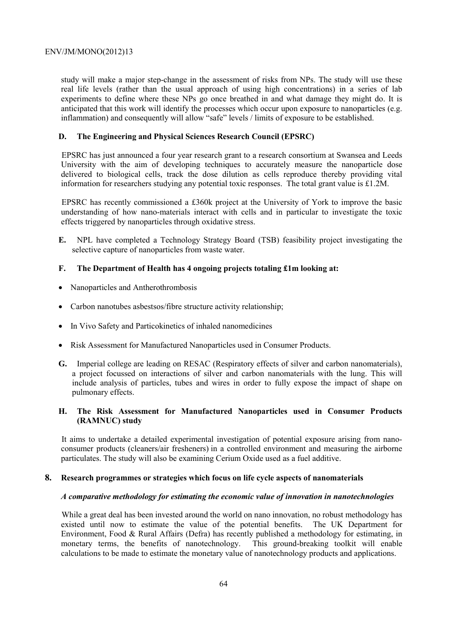study will make a major step-change in the assessment of risks from NPs. The study will use these real life levels (rather than the usual approach of using high concentrations) in a series of lab experiments to define where these NPs go once breathed in and what damage they might do. It is anticipated that this work will identify the processes which occur upon exposure to nanoparticles (e.g. inflammation) and consequently will allow "safe" levels / limits of exposure to be established.

# **D. The Engineering and Physical Sciences Research Council (EPSRC)**

EPSRC has just announced a four year research grant to a research consortium at Swansea and Leeds University with the aim of developing techniques to accurately measure the nanoparticle dose delivered to biological cells, track the dose dilution as cells reproduce thereby providing vital information for researchers studying any potential toxic responses. The total grant value is £1.2M.

EPSRC has recently commissioned a £360k project at the University of York to improve the basic understanding of how nano-materials interact with cells and in particular to investigate the toxic effects triggered by nanoparticles through oxidative stress.

**E.** NPL have completed a Technology Strategy Board (TSB) feasibility project investigating the selective capture of nanoparticles from waste water.

# **F. The Department of Health has 4 ongoing projects totaling £1m looking at:**

- Nanoparticles and Antherothrombosis
- Carbon nanotubes asbests os/fibre structure activity relationship;
- In Vivo Safety and Particokinetics of inhaled nanomedicines
- Risk Assessment for Manufactured Nanoparticles used in Consumer Products.
- **G.** Imperial college are leading on RESAC (Respiratory effects of silver and carbon nanomaterials), a project focussed on interactions of silver and carbon nanomaterials with the lung. This will include analysis of particles, tubes and wires in order to fully expose the impact of shape on pulmonary effects.

# **H. The Risk Assessment for Manufactured Nanoparticles used in Consumer Products (RAMNUC) study**

It aims to undertake a detailed experimental investigation of potential exposure arising from nanoconsumer products (cleaners/air fresheners) in a controlled environment and measuring the airborne particulates. The study will also be examining Cerium Oxide used as a fuel additive.

# **8. Research programmes or strategies which focus on life cycle aspects of nanomaterials**

# *A comparative methodology for estimating the economic value of innovation in nanotechnologies*

While a great deal has been invested around the world on nano innovation, no robust methodology has existed until now to estimate the value of the potential benefits. The UK Department for Environment, Food & Rural Affairs (Defra) has recently published a methodology for estimating, in monetary terms, the benefits of nanotechnology. This ground-breaking toolkit will enable calculations to be made to estimate the monetary value of nanotechnology products and applications.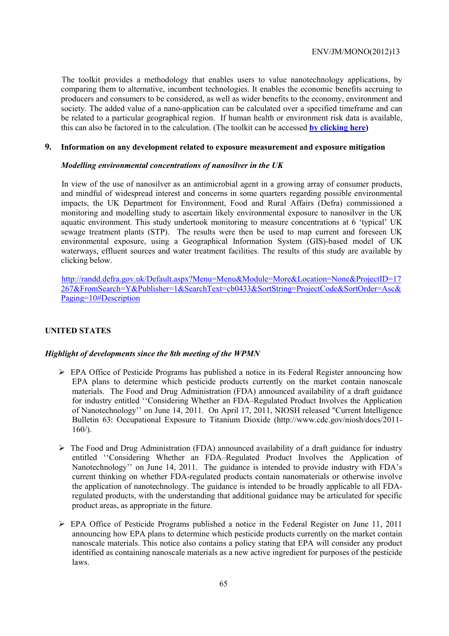The toolkit provides a methodology that enables users to value nanotechnology applications, by comparing them to alternative, incumbent technologies. It enables the economic benefits accruing to producers and consumers to be considered, as well as wider benefits to the economy, environment and society. The added value of a nano-application can be calculated over a specified timeframe and can be related to a particular geographical region. If human health or environment risk data is available, this can also be factored in to the calculation. (The toolkit can be accessed **by clicking here)**

### **9. Information on any development related to exposure measurement and exposure mitigation**

### *Modelling environmental concentrations of nanosilver in the UK*

In view of the use of nanosilver as an antimicrobial agent in a growing array of consumer products, and mindful of widespread interest and concerns in some quarters regarding possible environmental impacts, the UK Department for Environment, Food and Rural Affairs (Defra) commissioned a monitoring and modelling study to ascertain likely environmental exposure to nanosilver in the UK aquatic environment. This study undertook monitoring to measure concentrations at 6 'typical' UK sewage treatment plants (STP). The results were then be used to map current and foreseen UK environmental exposure, using a Geographical Information System (GIS)-based model of UK waterways, effluent sources and water treatment facilities. The results of this study are available by clicking below.

http://randd.defra.gov.uk/Default.aspx?Menu=Menu&Module=More&Location=None&ProjectID=17 267&FromSearch=Y&Publisher=1&SearchText=cb0433&SortString=ProjectCode&SortOrder=Asc& Paging=10#Description

# **UNITED STATES**

### *Highlight of developments since the 8th meeting of the WPMN*

- ¾ EPA Office of Pesticide Programs has published a notice in its Federal Register announcing how EPA plans to determine which pesticide products currently on the market contain nanoscale materials. The Food and Drug Administration (FDA) announced availability of a draft guidance for industry entitled ''Considering Whether an FDA–Regulated Product Involves the Application of Nanotechnology'' on June 14, 2011. On April 17, 2011, NIOSH released "Current Intelligence Bulletin 63: Occupational Exposure to Titanium Dioxide (http://www.cdc.gov/niosh/docs/2011-  $160/$ ).
- $\triangleright$  The Food and Drug Administration (FDA) announced availability of a draft guidance for industry entitled ''Considering Whether an FDA–Regulated Product Involves the Application of Nanotechnology'' on June 14, 2011. The guidance is intended to provide industry with FDA's current thinking on whether FDA-regulated products contain nanomaterials or otherwise involve the application of nanotechnology. The guidance is intended to be broadly applicable to all FDAregulated products, with the understanding that additional guidance may be articulated for specific product areas, as appropriate in the future.
- ¾ EPA Office of Pesticide Programs published a notice in the Federal Register on June 11, 2011 announcing how EPA plans to determine which pesticide products currently on the market contain nanoscale materials. This notice also contains a policy stating that EPA will consider any product identified as containing nanoscale materials as a new active ingredient for purposes of the pesticide laws.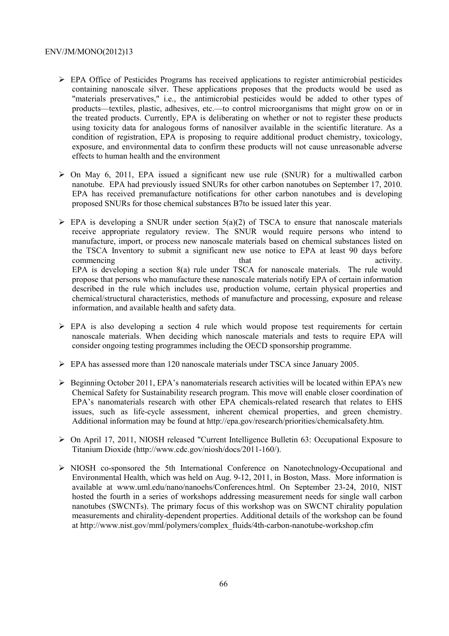- ¾ EPA Office of Pesticides Programs has received applications to register antimicrobial pesticides containing nanoscale silver. These applications proposes that the products would be used as "materials preservatives," i.e., the antimicrobial pesticides would be added to other types of products—textiles, plastic, adhesives, etc.—to control microorganisms that might grow on or in the treated products. Currently, EPA is deliberating on whether or not to register these products using toxicity data for analogous forms of nanosilver available in the scientific literature. As a condition of registration, EPA is proposing to require additional product chemistry, toxicology, exposure, and environmental data to confirm these products will not cause unreasonable adverse effects to human health and the environment
- $\geq$  On May 6, 2011, EPA issued a significant new use rule (SNUR) for a multiwalled carbon nanotube. EPA had previously issued SNURs for other carbon nanotubes on September 17, 2010. EPA has received premanufacture notifications for other carbon nanotubes and is developing proposed SNURs for those chemical substances B7to be issued later this year.
- $\triangleright$  EPA is developing a SNUR under section 5(a)(2) of TSCA to ensure that nanoscale materials receive appropriate regulatory review. The SNUR would require persons who intend to manufacture, import, or process new nanoscale materials based on chemical substances listed on the TSCA Inventory to submit a significant new use notice to EPA at least 90 days before commencing that that activity. EPA is developing a section 8(a) rule under TSCA for nanoscale materials. The rule would propose that persons who manufacture these nanoscale materials notify EPA of certain information described in the rule which includes use, production volume, certain physical properties and chemical/structural characteristics, methods of manufacture and processing, exposure and release information, and available health and safety data.
- $\triangleright$  EPA is also developing a section 4 rule which would propose test requirements for certain nanoscale materials. When deciding which nanoscale materials and tests to require EPA will consider ongoing testing programmes including the OECD sponsorship programme.
- $\triangleright$  EPA has assessed more than 120 nanoscale materials under TSCA since January 2005.
- $\triangleright$  Beginning October 2011, EPA's nanomaterials research activities will be located within EPA's new Chemical Safety for Sustainability research program. This move will enable closer coordination of EPA's nanomaterials research with other EPA chemicals-related research that relates to EHS issues, such as life-cycle assessment, inherent chemical properties, and green chemistry. Additional information may be found at http://epa.gov/research/priorities/chemicalsafety.htm.
- ¾ On April 17, 2011, NIOSH released "Current Intelligence Bulletin 63: Occupational Exposure to Titanium Dioxide (http://www.cdc.gov/niosh/docs/2011-160/).
- $\triangleright$  NIOSH co-sponsored the 5th International Conference on Nanotechnology-Occupational and Environmental Health, which was held on Aug. 9-12, 2011, in Boston, Mass. More information is available at www.uml.edu/nano/nanoehs/Conferences.html. On September 23-24, 2010, NIST hosted the fourth in a series of workshops addressing measurement needs for single wall carbon nanotubes (SWCNTs). The primary focus of this workshop was on SWCNT chirality population measurements and chirality-dependent properties. Additional details of the workshop can be found at http://www.nist.gov/mml/polymers/complex\_fluids/4th-carbon-nanotube-workshop.cfm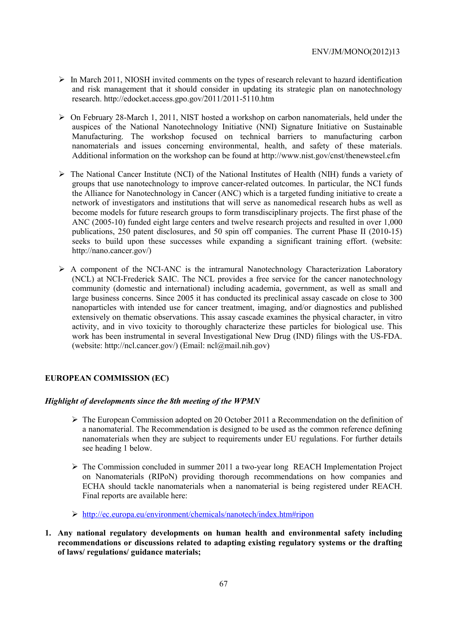- $\triangleright$  In March 2011, NIOSH invited comments on the types of research relevant to hazard identification and risk management that it should consider in updating its strategic plan on nanotechnology research. http://edocket.access.gpo.gov/2011/2011-5110.htm
- $\triangleright$  On February 28-March 1, 2011, NIST hosted a workshop on carbon nanomaterials, held under the auspices of the National Nanotechnology Initiative (NNI) Signature Initiative on Sustainable Manufacturing. The workshop focused on technical barriers to manufacturing carbon nanomaterials and issues concerning environmental, health, and safety of these materials. Additional information on the workshop can be found at http://www.nist.gov/cnst/thenewsteel.cfm
- ¾ The National Cancer Institute (NCI) of the National Institutes of Health (NIH) funds a variety of groups that use nanotechnology to improve cancer-related outcomes. In particular, the NCI funds the Alliance for Nanotechnology in Cancer (ANC) which is a targeted funding initiative to create a network of investigators and institutions that will serve as nanomedical research hubs as well as become models for future research groups to form transdisciplinary projects. The first phase of the ANC (2005-10) funded eight large centers and twelve research projects and resulted in over 1,000 publications, 250 patent disclosures, and 50 spin off companies. The current Phase II (2010-15) seeks to build upon these successes while expanding a significant training effort. (website: http://nano.cancer.gov/)
- $\triangleright$  A component of the NCI-ANC is the intramural Nanotechnology Characterization Laboratory (NCL) at NCI-Frederick SAIC. The NCL provides a free service for the cancer nanotechnology community (domestic and international) including academia, government, as well as small and large business concerns. Since 2005 it has conducted its preclinical assay cascade on close to 300 nanoparticles with intended use for cancer treatment, imaging, and/or diagnostics and published extensively on thematic observations. This assay cascade examines the physical character, in vitro activity, and in vivo toxicity to thoroughly characterize these particles for biological use. This work has been instrumental in several Investigational New Drug (IND) filings with the US-FDA. (website: http://ncl.cancer.gov/) (Email: ncl@mail.nih.gov)

# **EUROPEAN COMMISSION (EC)**

# *Highlight of developments since the 8th meeting of the WPMN*

- ¾ The European Commission adopted on 20 October 2011 a Recommendation on the definition of a nanomaterial. The Recommendation is designed to be used as the common reference defining nanomaterials when they are subject to requirements under EU regulations. For further details see heading 1 below.
- $\triangleright$  The Commission concluded in summer 2011 a two-year long REACH Implementation Project on Nanomaterials (RIPoN) providing thorough recommendations on how companies and ECHA should tackle nanomaterials when a nanomaterial is being registered under REACH. Final reports are available here:
- ¾ http://ec.europa.eu/environment/chemicals/nanotech/index.htm#ripon
- **1. Any national regulatory developments on human health and environmental safety including recommendations or discussions related to adapting existing regulatory systems or the drafting of laws/ regulations/ guidance materials;**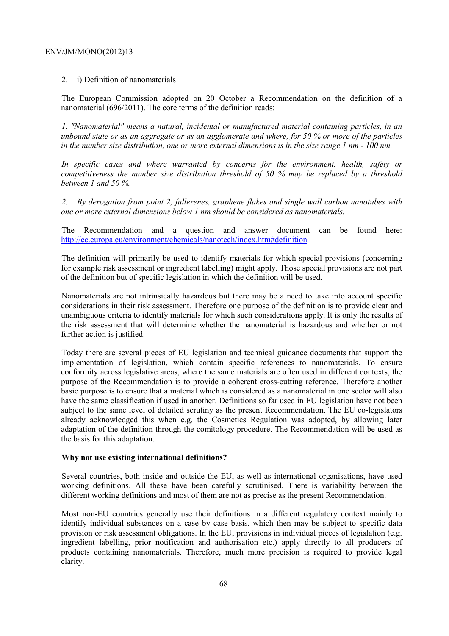# 2. i) Definition of nanomaterials

The European Commission adopted on 20 October a Recommendation on the definition of a nanomaterial (696/2011). The core terms of the definition reads:

*1. "Nanomaterial" means a natural, incidental or manufactured material containing particles, in an unbound state or as an aggregate or as an agglomerate and where, for 50 % or more of the particles in the number size distribution, one or more external dimensions is in the size range 1 nm - 100 nm.* 

*In specific cases and where warranted by concerns for the environment, health, safety or competitiveness the number size distribution threshold of 50 % may be replaced by a threshold between 1 and 50 %.* 

*2. By derogation from point 2, fullerenes, graphene flakes and single wall carbon nanotubes with one or more external dimensions below 1 nm should be considered as nanomaterials.* 

The Recommendation and a question and answer document can be found here: http://ec.europa.eu/environment/chemicals/nanotech/index.htm#definition

The definition will primarily be used to identify materials for which special provisions (concerning for example risk assessment or ingredient labelling) might apply. Those special provisions are not part of the definition but of specific legislation in which the definition will be used.

Nanomaterials are not intrinsically hazardous but there may be a need to take into account specific considerations in their risk assessment. Therefore one purpose of the definition is to provide clear and unambiguous criteria to identify materials for which such considerations apply. It is only the results of the risk assessment that will determine whether the nanomaterial is hazardous and whether or not further action is justified.

Today there are several pieces of EU legislation and technical guidance documents that support the implementation of legislation, which contain specific references to nanomaterials. To ensure conformity across legislative areas, where the same materials are often used in different contexts, the purpose of the Recommendation is to provide a coherent cross-cutting reference. Therefore another basic purpose is to ensure that a material which is considered as a nanomaterial in one sector will also have the same classification if used in another. Definitions so far used in EU legislation have not been subject to the same level of detailed scrutiny as the present Recommendation. The EU co-legislators already acknowledged this when e.g. the Cosmetics Regulation was adopted, by allowing later adaptation of the definition through the comitology procedure. The Recommendation will be used as the basis for this adaptation.

#### **Why not use existing international definitions?**

Several countries, both inside and outside the EU, as well as international organisations, have used working definitions. All these have been carefully scrutinised. There is variability between the different working definitions and most of them are not as precise as the present Recommendation.

Most non-EU countries generally use their definitions in a different regulatory context mainly to identify individual substances on a case by case basis, which then may be subject to specific data provision or risk assessment obligations. In the EU, provisions in individual pieces of legislation (e.g. ingredient labelling, prior notification and authorisation etc.) apply directly to all producers of products containing nanomaterials. Therefore, much more precision is required to provide legal clarity.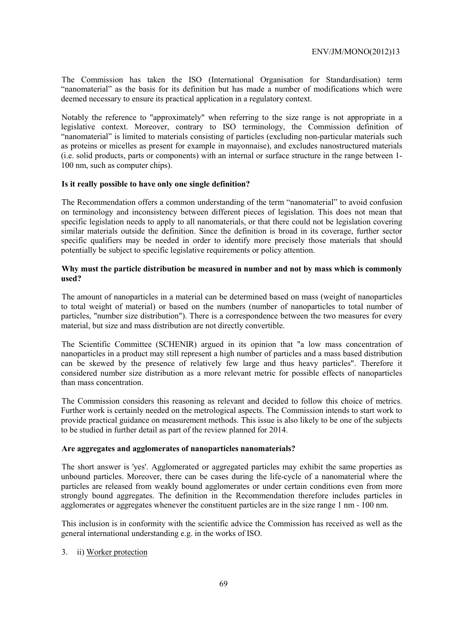The Commission has taken the ISO (International Organisation for Standardisation) term "nanomaterial" as the basis for its definition but has made a number of modifications which were deemed necessary to ensure its practical application in a regulatory context.

Notably the reference to "approximately" when referring to the size range is not appropriate in a legislative context. Moreover, contrary to ISO terminology, the Commission definition of "nanomaterial" is limited to materials consisting of particles (excluding non-particular materials such as proteins or micelles as present for example in mayonnaise), and excludes nanostructured materials (i.e. solid products, parts or components) with an internal or surface structure in the range between 1- 100 nm, such as computer chips).

### **Is it really possible to have only one single definition?**

The Recommendation offers a common understanding of the term "nanomaterial" to avoid confusion on terminology and inconsistency between different pieces of legislation. This does not mean that specific legislation needs to apply to all nanomaterials, or that there could not be legislation covering similar materials outside the definition. Since the definition is broad in its coverage, further sector specific qualifiers may be needed in order to identify more precisely those materials that should potentially be subject to specific legislative requirements or policy attention.

### **Why must the particle distribution be measured in number and not by mass which is commonly used?**

The amount of nanoparticles in a material can be determined based on mass (weight of nanoparticles to total weight of material) or based on the numbers (number of nanoparticles to total number of particles, "number size distribution"). There is a correspondence between the two measures for every material, but size and mass distribution are not directly convertible.

The Scientific Committee (SCHENIR) argued in its opinion that "a low mass concentration of nanoparticles in a product may still represent a high number of particles and a mass based distribution can be skewed by the presence of relatively few large and thus heavy particles". Therefore it considered number size distribution as a more relevant metric for possible effects of nanoparticles than mass concentration.

The Commission considers this reasoning as relevant and decided to follow this choice of metrics. Further work is certainly needed on the metrological aspects. The Commission intends to start work to provide practical guidance on measurement methods. This issue is also likely to be one of the subjects to be studied in further detail as part of the review planned for 2014.

#### **Are aggregates and agglomerates of nanoparticles nanomaterials?**

The short answer is 'yes'. Agglomerated or aggregated particles may exhibit the same properties as unbound particles. Moreover, there can be cases during the life-cycle of a nanomaterial where the particles are released from weakly bound agglomerates or under certain conditions even from more strongly bound aggregates. The definition in the Recommendation therefore includes particles in agglomerates or aggregates whenever the constituent particles are in the size range 1 nm - 100 nm.

This inclusion is in conformity with the scientific advice the Commission has received as well as the general international understanding e.g. in the works of ISO.

3. ii) Worker protection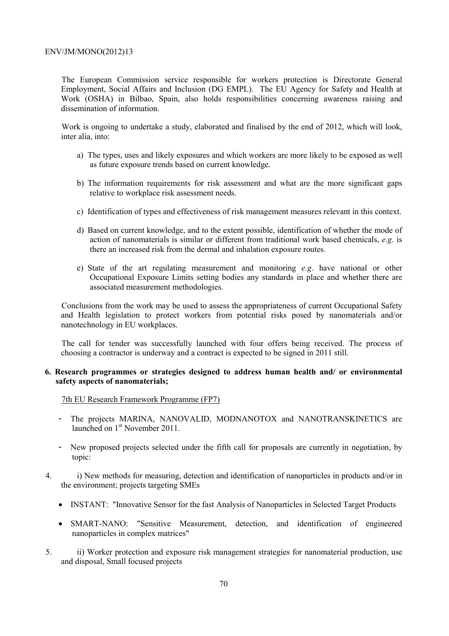The European Commission service responsible for workers protection is Directorate General Employment, Social Affairs and Inclusion (DG EMPL). The EU Agency for Safety and Health at Work (OSHA) in Bilbao, Spain, also holds responsibilities concerning awareness raising and dissemination of information.

Work is ongoing to undertake a study, elaborated and finalised by the end of 2012, which will look, inter alia, into:

- a) The types, uses and likely exposures and which workers are more likely to be exposed as well as future exposure trends based on current knowledge.
- b) The information requirements for risk assessment and what are the more significant gaps relative to workplace risk assessment needs.
- c) Identification of types and effectiveness of risk management measures relevant in this context.
- d) Based on current knowledge, and to the extent possible, identification of whether the mode of action of nanomaterials is similar or different from traditional work based chemicals, *e.g.* is there an increased risk from the dermal and inhalation exposure routes.
- e) State of the art regulating measurement and monitoring *e.g*. have national or other Occupational Exposure Limits setting bodies any standards in place and whether there are associated measurement methodologies.

Conclusions from the work may be used to assess the appropriateness of current Occupational Safety and Health legislation to protect workers from potential risks posed by nanomaterials and/or nanotechnology in EU workplaces.

The call for tender was successfully launched with four offers being received. The process of choosing a contractor is underway and a contract is expected to be signed in 2011 still.

### **6. Research programmes or strategies designed to address human health and/ or environmental safety aspects of nanomaterials;**

7th EU Research Framework Programme (FP7)

- The projects MARINA, NANOVALID, MODNANOTOX and NANOTRANSKINETICS are launched on 1st November 2011.
- New proposed projects selected under the fifth call for proposals are currently in negotiation, by topic:
- 4. i) New methods for measuring, detection and identification of nanoparticles in products and/or in the environment; projects targeting SMEs
	- INSTANT: "Innovative Sensor for the fast Analysis of Nanoparticles in Selected Target Products
	- SMART-NANO: "Sensitive Measurement, detection, and identification of engineered nanoparticles in complex matrices"
- 5. ii) Worker protection and exposure risk management strategies for nanomaterial production, use and disposal, Small focused projects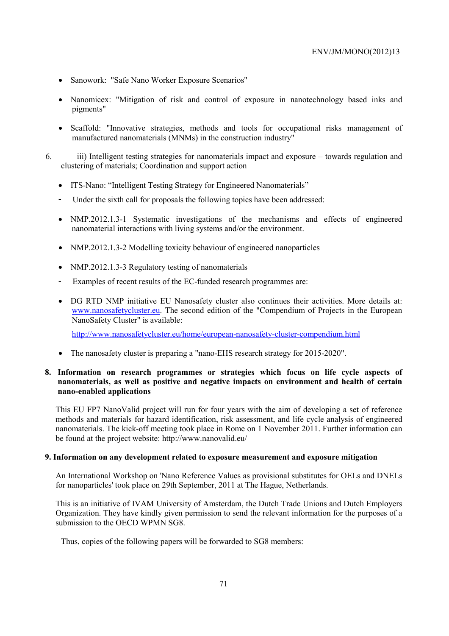- Sanowork: "Safe Nano Worker Exposure Scenarios"
- Nanomicex: "Mitigation of risk and control of exposure in nanotechnology based inks and pigments"
- Scaffold: "Innovative strategies, methods and tools for occupational risks management of manufactured nanomaterials (MNMs) in the construction industry"
- 6. iii) Intelligent testing strategies for nanomaterials impact and exposure towards regulation and clustering of materials; Coordination and support action
	- ITS-Nano: "Intelligent Testing Strategy for Engineered Nanomaterials"
	- Under the sixth call for proposals the following topics have been addressed:
	- NMP.2012.1.3-1 Systematic investigations of the mechanisms and effects of engineered nanomaterial interactions with living systems and/or the environment.
	- NMP.2012.1.3-2 Modelling toxicity behaviour of engineered nanoparticles
	- NMP.2012.1.3-3 Regulatory testing of nanomaterials
	- Examples of recent results of the EC-funded research programmes are:
	- DG RTD NMP initiative EU Nanosafety cluster also continues their activities. More details at: www.nanosafetycluster.eu. The second edition of the "Compendium of Projects in the European NanoSafety Cluster" is available:

http://www.nanosafetycluster.eu/home/european-nanosafety-cluster-compendium.html

• The nanosafety cluster is preparing a "nano-EHS research strategy for 2015-2020".

# **8. Information on research programmes or strategies which focus on life cycle aspects of nanomaterials, as well as positive and negative impacts on environment and health of certain nano-enabled applications**

This EU FP7 NanoValid project will run for four years with the aim of developing a set of reference methods and materials for hazard identification, risk assessment, and life cycle analysis of engineered nanomaterials. The kick-off meeting took place in Rome on 1 November 2011. Further information can be found at the project website: http://www.nanovalid.eu/

#### **9. Information on any development related to exposure measurement and exposure mitigation**

An International Workshop on 'Nano Reference Values as provisional substitutes for OELs and DNELs for nanoparticles' took place on 29th September, 2011 at The Hague, Netherlands.

This is an initiative of IVAM University of Amsterdam, the Dutch Trade Unions and Dutch Employers Organization. They have kindly given permission to send the relevant information for the purposes of a submission to the OECD WPMN SG8.

Thus, copies of the following papers will be forwarded to SG8 members: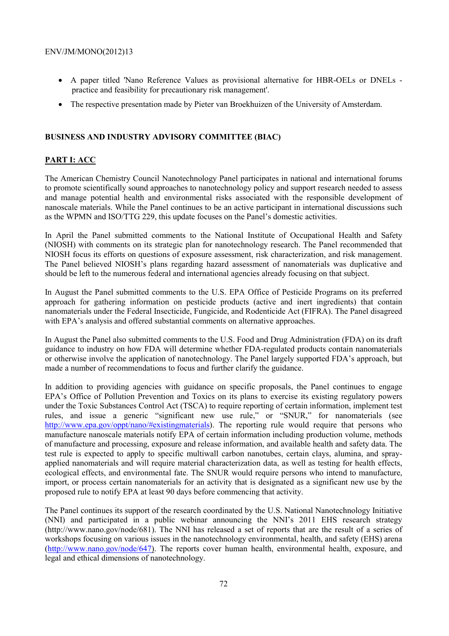- A paper titled 'Nano Reference Values as provisional alternative for HBR-OELs or DNELs practice and feasibility for precautionary risk management'.
- The respective presentation made by Pieter van Broekhuizen of the University of Amsterdam.

# **BUSINESS AND INDUSTRY ADVISORY COMMITTEE (BIAC)**

# **PART I: ACC**

The American Chemistry Council Nanotechnology Panel participates in national and international forums to promote scientifically sound approaches to nanotechnology policy and support research needed to assess and manage potential health and environmental risks associated with the responsible development of nanoscale materials. While the Panel continues to be an active participant in international discussions such as the WPMN and ISO/TTG 229, this update focuses on the Panel's domestic activities.

In April the Panel submitted comments to the National Institute of Occupational Health and Safety (NIOSH) with comments on its strategic plan for nanotechnology research. The Panel recommended that NIOSH focus its efforts on questions of exposure assessment, risk characterization, and risk management. The Panel believed NIOSH's plans regarding hazard assessment of nanomaterials was duplicative and should be left to the numerous federal and international agencies already focusing on that subject.

In August the Panel submitted comments to the U.S. EPA Office of Pesticide Programs on its preferred approach for gathering information on pesticide products (active and inert ingredients) that contain nanomaterials under the Federal Insecticide, Fungicide, and Rodenticide Act (FIFRA). The Panel disagreed with EPA's analysis and offered substantial comments on alternative approaches.

In August the Panel also submitted comments to the U.S. Food and Drug Administration (FDA) on its draft guidance to industry on how FDA will determine whether FDA-regulated products contain nanomaterials or otherwise involve the application of nanotechnology. The Panel largely supported FDA's approach, but made a number of recommendations to focus and further clarify the guidance.

In addition to providing agencies with guidance on specific proposals, the Panel continues to engage EPA's Office of Pollution Prevention and Toxics on its plans to exercise its existing regulatory powers under the Toxic Substances Control Act (TSCA) to require reporting of certain information, implement test rules, and issue a generic "significant new use rule," or "SNUR," for nanomaterials (see http://www.epa.gov/oppt/nano/#existingmaterials). The reporting rule would require that persons who manufacture nanoscale materials notify EPA of certain information including production volume, methods of manufacture and processing, exposure and release information, and available health and safety data. The test rule is expected to apply to specific multiwall carbon nanotubes, certain clays, alumina, and sprayapplied nanomaterials and will require material characterization data, as well as testing for health effects, ecological effects, and environmental fate. The SNUR would require persons who intend to manufacture, import, or process certain nanomaterials for an activity that is designated as a significant new use by the proposed rule to notify EPA at least 90 days before commencing that activity.

The Panel continues its support of the research coordinated by the U.S. National Nanotechnology Initiative (NNI) and participated in a public webinar announcing the NNI's 2011 EHS research strategy (http://www.nano.gov/node/681). The NNI has released a set of reports that are the result of a series of workshops focusing on various issues in the nanotechnology environmental, health, and safety (EHS) arena (http://www.nano.gov/node/647). The reports cover human health, environmental health, exposure, and legal and ethical dimensions of nanotechnology.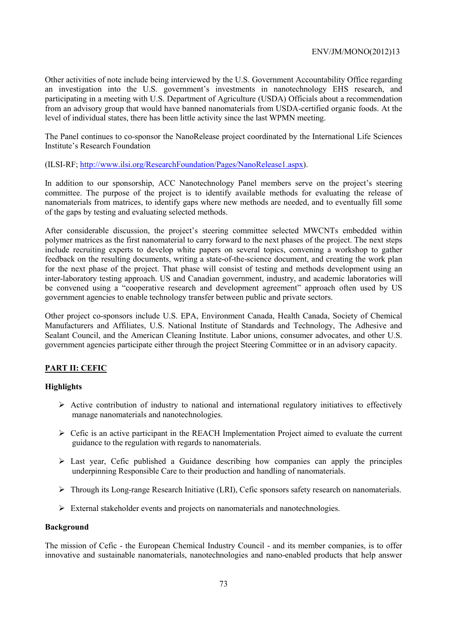Other activities of note include being interviewed by the U.S. Government Accountability Office regarding an investigation into the U.S. government's investments in nanotechnology EHS research, and participating in a meeting with U.S. Department of Agriculture (USDA) Officials about a recommendation from an advisory group that would have banned nanomaterials from USDA-certified organic foods. At the level of individual states, there has been little activity since the last WPMN meeting.

The Panel continues to co-sponsor the NanoRelease project coordinated by the International Life Sciences Institute's Research Foundation

(ILSI-RF; http://www.ilsi.org/ResearchFoundation/Pages/NanoRelease1.aspx).

In addition to our sponsorship, ACC Nanotechnology Panel members serve on the project's steering committee. The purpose of the project is to identify available methods for evaluating the release of nanomaterials from matrices, to identify gaps where new methods are needed, and to eventually fill some of the gaps by testing and evaluating selected methods.

After considerable discussion, the project's steering committee selected MWCNTs embedded within polymer matrices as the first nanomaterial to carry forward to the next phases of the project. The next steps include recruiting experts to develop white papers on several topics, convening a workshop to gather feedback on the resulting documents, writing a state-of-the-science document, and creating the work plan for the next phase of the project. That phase will consist of testing and methods development using an inter-laboratory testing approach. US and Canadian government, industry, and academic laboratories will be convened using a "cooperative research and development agreement" approach often used by US government agencies to enable technology transfer between public and private sectors.

Other project co-sponsors include U.S. EPA, Environment Canada, Health Canada, Society of Chemical Manufacturers and Affiliates, U.S. National Institute of Standards and Technology, The Adhesive and Sealant Council, and the American Cleaning Institute. Labor unions, consumer advocates, and other U.S. government agencies participate either through the project Steering Committee or in an advisory capacity.

## **PART II: CEFIC**

## **Highlights**

- $\triangleright$  Active contribution of industry to national and international regulatory initiatives to effectively manage nanomaterials and nanotechnologies.
- ¾ Cefic is an active participant in the REACH Implementation Project aimed to evaluate the current guidance to the regulation with regards to nanomaterials.
- $\triangleright$  Last year, Cefic published a Guidance describing how companies can apply the principles underpinning Responsible Care to their production and handling of nanomaterials.
- ¾ Through its Long-range Research Initiative (LRI), Cefic sponsors safety research on nanomaterials.
- $\triangleright$  External stakeholder events and projects on nanomaterials and nanotechnologies.

#### **Background**

The mission of Cefic - the European Chemical Industry Council - and its member companies, is to offer innovative and sustainable nanomaterials, nanotechnologies and nano-enabled products that help answer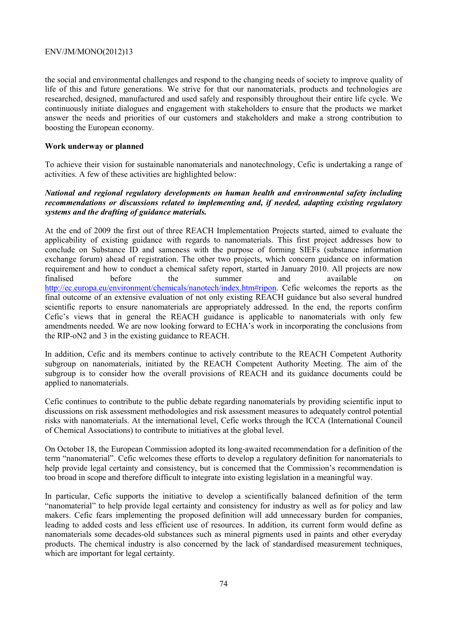the social and environmental challenges and respond to the changing needs of society to improve quality of life of this and future generations. We strive for that our nanomaterials, products and technologies are researched, designed, manufactured and used safely and responsibly throughout their entire life cycle. We continuously initiate dialogues and engagement with stakeholders to ensure that the products we market answer the needs and priorities of our customers and stakeholders and make a strong contribution to boosting the European economy.

### **Work underway or planned**

To achieve their vision for sustainable nanomaterials and nanotechnology, Cefic is undertaking a range of activities. A few of these activities are highlighted below:

## *National and regional regulatory developments on human health and environmental safety including recommendations or discussions related to implementing and, if needed, adapting existing regulatory systems and the drafting of guidance materials.*

At the end of 2009 the first out of three REACH Implementation Projects started, aimed to evaluate the applicability of existing guidance with regards to nanomaterials. This first project addresses how to conclude on Substance ID and sameness with the purpose of forming SIEFs (substance information exchange forum) ahead of registration. The other two projects, which concern guidance on information requirement and how to conduct a chemical safety report, started in January 2010. All projects are now finalised before the summer and available on http://ec.europa.eu/environment/chemicals/nanotech/index.htm#ripon. Cefic welcomes the reports as the final outcome of an extensive evaluation of not only existing REACH guidance but also several hundred scientific reports to ensure nanomaterials are appropriately addressed. In the end, the reports confirm Cefic's views that in general the REACH guidance is applicable to nanomaterials with only few amendments needed. We are now looking forward to ECHA's work in incorporating the conclusions from the RIP-oN2 and 3 in the existing guidance to REACH.

In addition, Cefic and its members continue to actively contribute to the REACH Competent Authority subgroup on nanomaterials, initiated by the REACH Competent Authority Meeting. The aim of the subgroup is to consider how the overall provisions of REACH and its guidance documents could be applied to nanomaterials.

Cefic continues to contribute to the public debate regarding nanomaterials by providing scientific input to discussions on risk assessment methodologies and risk assessment measures to adequately control potential risks with nanomaterials. At the international level, Cefic works through the ICCA (International Council of Chemical Associations) to contribute to initiatives at the global level.

On October 18, the European Commission adopted its long-awaited recommendation for a definition of the term "nanomaterial". Cefic welcomes these efforts to develop a regulatory definition for nanomaterials to help provide legal certainty and consistency, but is concerned that the Commission's recommendation is too broad in scope and therefore difficult to integrate into existing legislation in a meaningful way.

In particular, Cefic supports the initiative to develop a scientifically balanced definition of the term "nanomaterial" to help provide legal certainty and consistency for industry as well as for policy and law makers. Cefic fears implementing the proposed definition will add unnecessary burden for companies, leading to added costs and less efficient use of resources. In addition, its current form would define as nanomaterials some decades-old substances such as mineral pigments used in paints and other everyday products. The chemical industry is also concerned by the lack of standardised measurement techniques, which are important for legal certainty.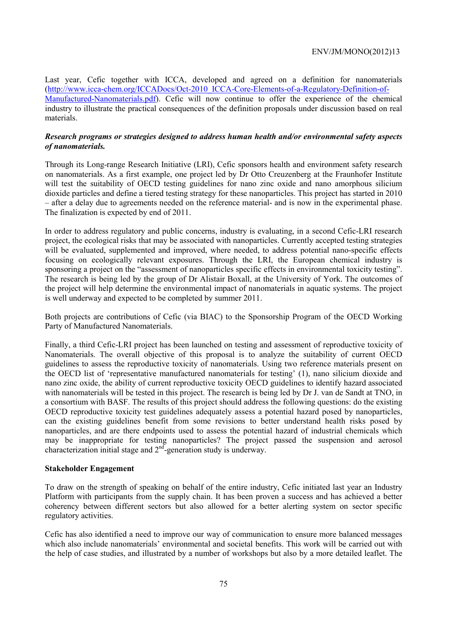Last year, Cefic together with ICCA, developed and agreed on a definition for nanomaterials (http://www.icca-chem.org/ICCADocs/Oct-2010\_ICCA-Core-Elements-of-a-Regulatory-Definition-of-Manufactured-Nanomaterials.pdf). Cefic will now continue to offer the experience of the chemical industry to illustrate the practical consequences of the definition proposals under discussion based on real materials.

## *Research programs or strategies designed to address human health and/or environmental safety aspects of nanomaterials.*

Through its Long-range Research Initiative (LRI), Cefic sponsors health and environment safety research on nanomaterials. As a first example, one project led by Dr Otto Creuzenberg at the Fraunhofer Institute will test the suitability of OECD testing guidelines for nano zinc oxide and nano amorphous silicium dioxide particles and define a tiered testing strategy for these nanoparticles. This project has started in 2010 – after a delay due to agreements needed on the reference material- and is now in the experimental phase. The finalization is expected by end of 2011.

In order to address regulatory and public concerns, industry is evaluating, in a second Cefic-LRI research project, the ecological risks that may be associated with nanoparticles. Currently accepted testing strategies will be evaluated, supplemented and improved, where needed, to address potential nano-specific effects focusing on ecologically relevant exposures. Through the LRI, the European chemical industry is sponsoring a project on the "assessment of nanoparticles specific effects in environmental toxicity testing". The research is being led by the group of Dr Alistair Boxall, at the University of York. The outcomes of the project will help determine the environmental impact of nanomaterials in aquatic systems. The project is well underway and expected to be completed by summer 2011.

Both projects are contributions of Cefic (via BIAC) to the Sponsorship Program of the OECD Working Party of Manufactured Nanomaterials.

Finally, a third Cefic-LRI project has been launched on testing and assessment of reproductive toxicity of Nanomaterials. The overall objective of this proposal is to analyze the suitability of current OECD guidelines to assess the reproductive toxicity of nanomaterials. Using two reference materials present on the OECD list of 'representative manufactured nanomaterials for testing' (1), nano silicium dioxide and nano zinc oxide, the ability of current reproductive toxicity OECD guidelines to identify hazard associated with nanomaterials will be tested in this project. The research is being led by Dr J. van de Sandt at TNO, in a consortium with BASF. The results of this project should address the following questions: do the existing OECD reproductive toxicity test guidelines adequately assess a potential hazard posed by nanoparticles, can the existing guidelines benefit from some revisions to better understand health risks posed by nanoparticles, and are there endpoints used to assess the potential hazard of industrial chemicals which may be inappropriate for testing nanoparticles? The project passed the suspension and aerosol characterization initial stage and  $2<sup>nd</sup>$ -generation study is underway.

#### **Stakeholder Engagement**

To draw on the strength of speaking on behalf of the entire industry, Cefic initiated last year an Industry Platform with participants from the supply chain. It has been proven a success and has achieved a better coherency between different sectors but also allowed for a better alerting system on sector specific regulatory activities.

Cefic has also identified a need to improve our way of communication to ensure more balanced messages which also include nanomaterials' environmental and societal benefits. This work will be carried out with the help of case studies, and illustrated by a number of workshops but also by a more detailed leaflet. The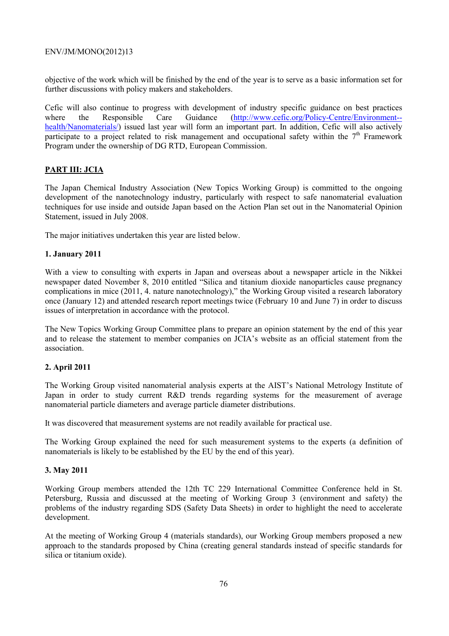objective of the work which will be finished by the end of the year is to serve as a basic information set for further discussions with policy makers and stakeholders.

Cefic will also continue to progress with development of industry specific guidance on best practices where the Responsible Care Guidance (http://www.cefic.org/Policy-Centre/Environment-health/Nanomaterials/) issued last year will form an important part. In addition, Cefic will also actively participate to a project related to risk management and occupational safety within the  $7<sup>th</sup>$  Framework Program under the ownership of DG RTD, European Commission.

## **PART III: JCIA**

The Japan Chemical Industry Association (New Topics Working Group) is committed to the ongoing development of the nanotechnology industry, particularly with respect to safe nanomaterial evaluation techniques for use inside and outside Japan based on the Action Plan set out in the Nanomaterial Opinion Statement, issued in July 2008.

The major initiatives undertaken this year are listed below.

#### **1. January 2011**

With a view to consulting with experts in Japan and overseas about a newspaper article in the Nikkei newspaper dated November 8, 2010 entitled "Silica and titanium dioxide nanoparticles cause pregnancy complications in mice (2011, 4. nature nanotechnology)," the Working Group visited a research laboratory once (January 12) and attended research report meetings twice (February 10 and June 7) in order to discuss issues of interpretation in accordance with the protocol.

The New Topics Working Group Committee plans to prepare an opinion statement by the end of this year and to release the statement to member companies on JCIA's website as an official statement from the association.

### **2. April 2011**

The Working Group visited nanomaterial analysis experts at the AIST's National Metrology Institute of Japan in order to study current R&D trends regarding systems for the measurement of average nanomaterial particle diameters and average particle diameter distributions.

It was discovered that measurement systems are not readily available for practical use.

The Working Group explained the need for such measurement systems to the experts (a definition of nanomaterials is likely to be established by the EU by the end of this year).

#### **3. May 2011**

Working Group members attended the 12th TC 229 International Committee Conference held in St. Petersburg, Russia and discussed at the meeting of Working Group 3 (environment and safety) the problems of the industry regarding SDS (Safety Data Sheets) in order to highlight the need to accelerate development.

At the meeting of Working Group 4 (materials standards), our Working Group members proposed a new approach to the standards proposed by China (creating general standards instead of specific standards for silica or titanium oxide).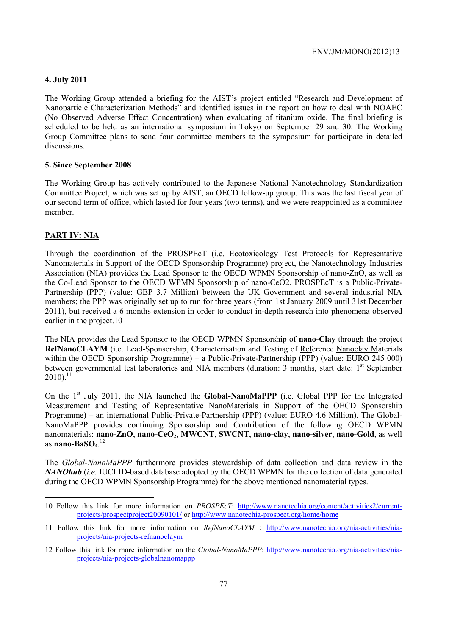## **4. July 2011**

The Working Group attended a briefing for the AIST's project entitled "Research and Development of Nanoparticle Characterization Methods" and identified issues in the report on how to deal with NOAEC (No Observed Adverse Effect Concentration) when evaluating of titanium oxide. The final briefing is scheduled to be held as an international symposium in Tokyo on September 29 and 30. The Working Group Committee plans to send four committee members to the symposium for participate in detailed discussions.

### **5. Since September 2008**

The Working Group has actively contributed to the Japanese National Nanotechnology Standardization Committee Project, which was set up by AIST, an OECD follow-up group. This was the last fiscal year of our second term of office, which lasted for four years (two terms), and we were reappointed as a committee member.

## **PART IV: NIA**

 $\overline{a}$ 

Through the coordination of the PROSPEcT (i.e. Ecotoxicology Test Protocols for Representative Nanomaterials in Support of the OECD Sponsorship Programme) project, the Nanotechnology Industries Association (NIA) provides the Lead Sponsor to the OECD WPMN Sponsorship of nano-ZnO, as well as the Co-Lead Sponsor to the OECD WPMN Sponsorship of nano-CeO2. PROSPEcT is a Public-Private-Partnership (PPP) (value: GBP 3.7 Million) between the UK Government and several industrial NIA members; the PPP was originally set up to run for three years (from 1st January 2009 until 31st December 2011), but received a 6 months extension in order to conduct in-depth research into phenomena observed earlier in the project.10

The NIA provides the Lead Sponsor to the OECD WPMN Sponsorship of **nano-Clay** through the project RefNanoCLAYM (i.e. Lead-Sponsorship, Characterisation and Testing of Reference Nanoclay Materials within the OECD Sponsorship Programme) – a Public-Private-Partnership (PPP) (value: EURO 245 000) between governmental test laboratories and NIA members (duration: 3 months, start date: 1<sup>st</sup> September  $2010$ <sup>11</sup>

On the 1<sup>st</sup> July 2011, the NIA launched the **Global-NanoMaPPP** (i.e. Global PPP for the Integrated Measurement and Testing of Representative NanoMaterials in Support of the OECD Sponsorship Programme) – an international Public-Private-Partnership (PPP) (value: EURO 4.6 Million). The Global-NanoMaPPP provides continuing Sponsorship and Contribution of the following OECD WPMN nanomaterials: **nano-ZnO**, **nano-CeO2**, **MWCNT**, **SWCNT**, **nano-clay**, **nano-silver**, **nano-Gold**, as well as **nano-BaSO4**. 12

The *Global-NanoMaPPP* furthermore provides stewardship of data collection and data review in the *NANOhub* (*i.e.* IUCLID-based database adopted by the OECD WPMN for the collection of data generated during the OECD WPMN Sponsorship Programme) for the above mentioned nanomaterial types.

<sup>10</sup> Follow this link for more information on *PROSPEcT*: http://www.nanotechia.org/content/activities2/currentprojects/prospectproject20090101/ or http://www.nanotechia-prospect.org/home/home

<sup>11</sup> Follow this link for more information on *RefNanoCLAYM* : http://www.nanotechia.org/nia-activities/niaprojects/nia-projects-refnanoclaym

<sup>12</sup> Follow this link for more information on the *Global-NanoMaPPP*: http://www.nanotechia.org/nia-activities/niaprojects/nia-projects-globalnanomappp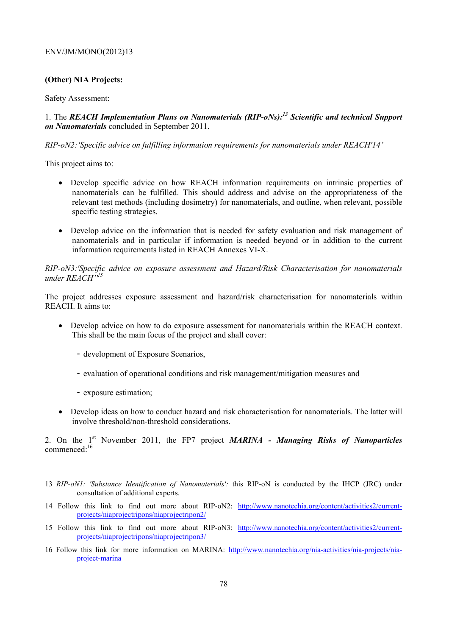# **(Other) NIA Projects:**

## Safety Assessment:

1. The *REACH Implementation Plans on Nanomaterials (RIP-oNs):13 Scientific and technical Support on Nanomaterials* concluded in September 2011.

*RIP-oN2:'Specific advice on fulfilling information requirements for nanomaterials under REACH'14'* 

This project aims to:

- Develop specific advice on how REACH information requirements on intrinsic properties of nanomaterials can be fulfilled. This should address and advise on the appropriateness of the relevant test methods (including dosimetry) for nanomaterials, and outline, when relevant, possible specific testing strategies.
- Develop advice on the information that is needed for safety evaluation and risk management of nanomaterials and in particular if information is needed beyond or in addition to the current information requirements listed in REACH Annexes VI-X.

*RIP-oN3:'Specific advice on exposure assessment and Hazard/Risk Characterisation for nanomaterials under REACH''15*

The project addresses exposure assessment and hazard/risk characterisation for nanomaterials within REACH. It aims to:

- Develop advice on how to do exposure assessment for nanomaterials within the REACH context. This shall be the main focus of the project and shall cover:
	- development of Exposure Scenarios,
	- evaluation of operational conditions and risk management/mitigation measures and
	- exposure estimation;

• Develop ideas on how to conduct hazard and risk characterisation for nanomaterials. The latter will involve threshold/non-threshold considerations.

2. On the 1st November 2011, the FP7 project *MARINA - Managing Risks of Nanoparticles* commenced:<sup>16</sup>

- 14 Follow this link to find out more about RIP-oN2: http://www.nanotechia.org/content/activities2/currentprojects/niaprojectripons/niaprojectripon2/
- 15 Follow this link to find out more about RIP-oN3: http://www.nanotechia.org/content/activities2/currentprojects/niaprojectripons/niaprojectripon3/
- 16 Follow this link for more information on MARINA: http://www.nanotechia.org/nia-activities/nia-projects/niaproject-marina

<sup>13</sup> *RIP-oN1: 'Substance Identification of Nanomaterials':* this RIP-oN is conducted by the IHCP (JRC) under consultation of additional experts.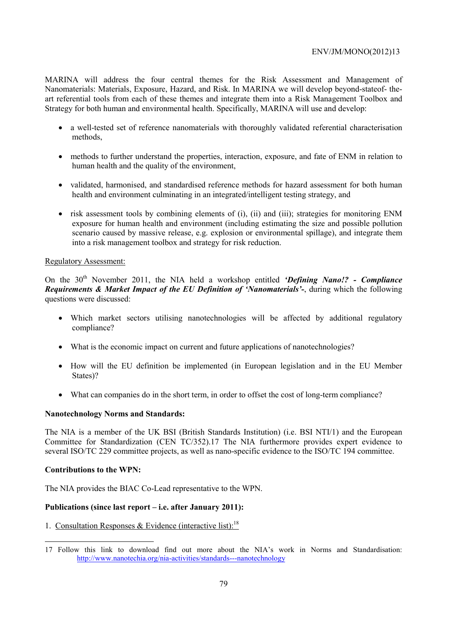MARINA will address the four central themes for the Risk Assessment and Management of Nanomaterials: Materials, Exposure, Hazard, and Risk. In MARINA we will develop beyond-stateof- theart referential tools from each of these themes and integrate them into a Risk Management Toolbox and Strategy for both human and environmental health. Specifically, MARINA will use and develop:

- a well-tested set of reference nanomaterials with thoroughly validated referential characterisation methods,
- methods to further understand the properties, interaction, exposure, and fate of ENM in relation to human health and the quality of the environment,
- validated, harmonised, and standardised reference methods for hazard assessment for both human health and environment culminating in an integrated/intelligent testing strategy, and
- $\bullet$  risk assessment tools by combining elements of (i), (ii) and (iii); strategies for monitoring ENM exposure for human health and environment (including estimating the size and possible pollution scenario caused by massive release, e.g. explosion or environmental spillage), and integrate them into a risk management toolbox and strategy for risk reduction.

### Regulatory Assessment:

On the 30<sup>th</sup> November 2011, the NIA held a workshop entitled *'Defining Nano!? - Compliance Requirements & Market Impact of the EU Definition of 'Nanomaterials'-*, during which the following questions were discussed:

- Which market sectors utilising nanotechnologies will be affected by additional regulatory compliance?
- What is the economic impact on current and future applications of nanotechnologies?
- How will the EU definition be implemented (in European legislation and in the EU Member States)?
- What can companies do in the short term, in order to offset the cost of long-term compliance?

#### **Nanotechnology Norms and Standards:**

The NIA is a member of the UK BSI (British Standards Institution) (i.e. BSI NTI/1) and the European Committee for Standardization (CEN TC/352).17 The NIA furthermore provides expert evidence to several ISO/TC 229 committee projects, as well as nano-specific evidence to the ISO/TC 194 committee.

#### **Contributions to the WPN:**

The NIA provides the BIAC Co-Lead representative to the WPN.

## **Publications (since last report – i.e. after January 2011):**

1. Consultation Responses & Evidence (interactive list):<sup>18</sup>

<sup>17</sup> Follow this link to download find out more about the NIA's work in Norms and Standardisation: http://www.nanotechia.org/nia-activities/standards---nanotechnology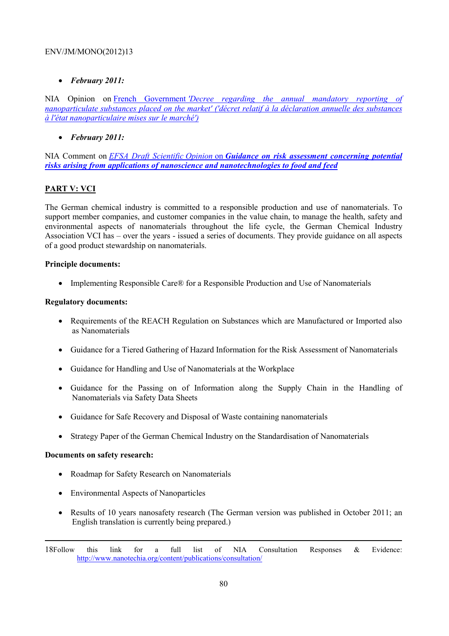• *February 2011:* 

NIA Opinion on French Government *'Decree regarding the annual mandatory reporting of nanoparticulate substances placed on the market' ('décret relatif à la déclaration annuelle des substances à l'état nanoparticulaire mises sur le marché')*

• *February 2011:* 

NIA Comment on *EFSA Draft Scientific Opinion* on *Guidance on risk assessment concerning potential risks arising from applications of nanoscience and nanotechnologies to food and feed*

# **PART V: VCI**

The German chemical industry is committed to a responsible production and use of nanomaterials. To support member companies, and customer companies in the value chain, to manage the health, safety and environmental aspects of nanomaterials throughout the life cycle, the German Chemical Industry Association VCI has – over the years - issued a series of documents. They provide guidance on all aspects of a good product stewardship on nanomaterials.

## **Principle documents:**

• Implementing Responsible Care® for a Responsible Production and Use of Nanomaterials

## **Regulatory documents:**

- Requirements of the REACH Regulation on Substances which are Manufactured or Imported also as Nanomaterials
- Guidance for a Tiered Gathering of Hazard Information for the Risk Assessment of Nanomaterials
- Guidance for Handling and Use of Nanomaterials at the Workplace
- Guidance for the Passing on of Information along the Supply Chain in the Handling of Nanomaterials via Safety Data Sheets
- Guidance for Safe Recovery and Disposal of Waste containing nanomaterials
- Strategy Paper of the German Chemical Industry on the Standardisation of Nanomaterials

## **Documents on safety research:**

1

- Roadmap for Safety Research on Nanomaterials
- Environmental Aspects of Nanoparticles
- Results of 10 years nanosafety research (The German version was published in October 2011; an English translation is currently being prepared.)

<sup>18</sup>Follow this link for a full list of NIA Consultation Responses & Evidence: http://www.nanotechia.org/content/publications/consultation/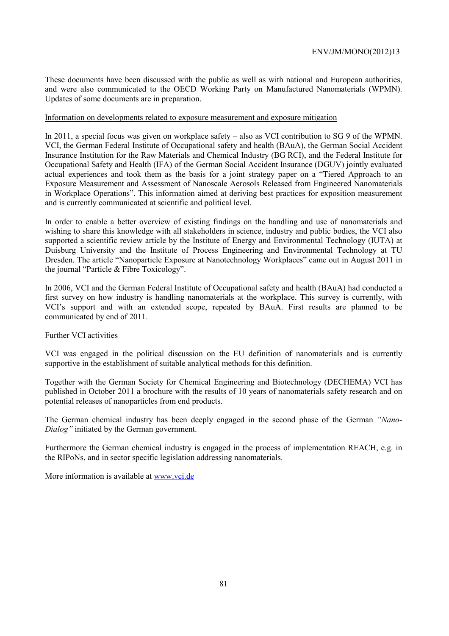These documents have been discussed with the public as well as with national and European authorities, and were also communicated to the OECD Working Party on Manufactured Nanomaterials (WPMN). Updates of some documents are in preparation.

## Information on developments related to exposure measurement and exposure mitigation

In 2011, a special focus was given on workplace safety – also as VCI contribution to SG 9 of the WPMN. VCI, the German Federal Institute of Occupational safety and health (BAuA), the German Social Accident Insurance Institution for the Raw Materials and Chemical Industry (BG RCI), and the Federal Institute for Occupational Safety and Health (IFA) of the German Social Accident Insurance (DGUV) jointly evaluated actual experiences and took them as the basis for a joint strategy paper on a "Tiered Approach to an Exposure Measurement and Assessment of Nanoscale Aerosols Released from Engineered Nanomaterials in Workplace Operations". This information aimed at deriving best practices for exposition measurement and is currently communicated at scientific and political level.

In order to enable a better overview of existing findings on the handling and use of nanomaterials and wishing to share this knowledge with all stakeholders in science, industry and public bodies, the VCI also supported a scientific review article by the Institute of Energy and Environmental Technology (IUTA) at Duisburg University and the Institute of Process Engineering and Environmental Technology at TU Dresden. The article "Nanoparticle Exposure at Nanotechnology Workplaces" came out in August 2011 in the journal "Particle & Fibre Toxicology".

In 2006, VCI and the German Federal Institute of Occupational safety and health (BAuA) had conducted a first survey on how industry is handling nanomaterials at the workplace. This survey is currently, with VCI's support and with an extended scope, repeated by BAuA. First results are planned to be communicated by end of 2011.

## Further VCI activities

VCI was engaged in the political discussion on the EU definition of nanomaterials and is currently supportive in the establishment of suitable analytical methods for this definition.

Together with the German Society for Chemical Engineering and Biotechnology (DECHEMA) VCI has published in October 2011 a brochure with the results of 10 years of nanomaterials safety research and on potential releases of nanoparticles from end products.

The German chemical industry has been deeply engaged in the second phase of the German *"Nano-Dialog"* initiated by the German government.

Furthermore the German chemical industry is engaged in the process of implementation REACH, e.g. in the RIPoNs, and in sector specific legislation addressing nanomaterials.

More information is available at www.vci.de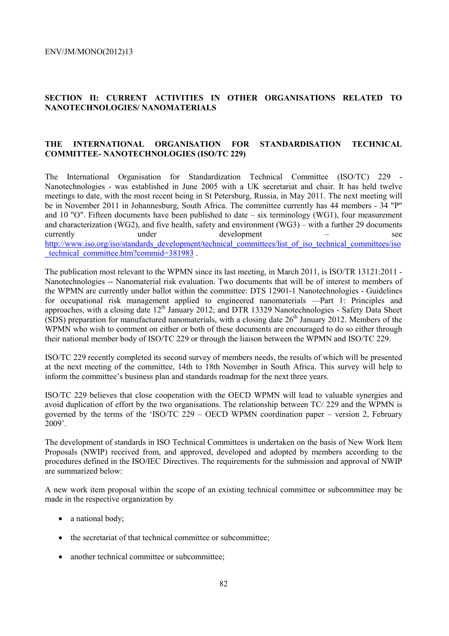## **SECTION II: CURRENT ACTIVITIES IN OTHER ORGANISATIONS RELATED TO NANOTECHNOLOGIES/ NANOMATERIALS**

## **THE INTERNATIONAL ORGANISATION FOR STANDARDISATION TECHNICAL COMMITTEE- NANOTECHNOLOGIES (ISO/TC 229)**

The International Organisation for Standardization Technical Committee (ISO/TC) 229 - Nanotechnologies - was established in June 2005 with a UK secretariat and chair. It has held twelve meetings to date, with the most recent being in St Petersburg, Russia, in May 2011. The next meeting will be in November 2011 in Johannesburg, South Africa. The committee currently has 44 members - 34 "P" and 10 "O". Fifteen documents have been published to date – six terminology (WG1), four measurement and characterization (WG2), and five health, safety and environment (WG3) – with a further 29 documents currently under development – see http://www.iso.org/iso/standards\_development/technical\_committees/list\_of\_iso\_technical\_committees/iso \_technical\_committee.htm?commid=381983 .

The publication most relevant to the WPMN since its last meeting, in March 2011, is ISO/TR 13121:2011 - Nanotechnologies -- Nanomaterial risk evaluation. Two documents that will be of interest to members of the WPMN are currently under ballot within the committee: DTS 12901-1 Nanotechnologies - Guidelines for occupational risk management applied to engineered nanomaterials —Part 1: Principles and approaches, with a closing date 12<sup>th</sup> January 2012; and DTR 13329 Nanotechnologies - Safety Data Sheet  $(SDS)$  preparation for manufactured nanomaterials, with a closing date  $26<sup>th</sup>$  January 2012. Members of the WPMN who wish to comment on either or both of these documents are encouraged to do so either through their national member body of ISO/TC 229 or through the liaison between the WPMN and ISO/TC 229.

ISO/TC 229 recently completed its second survey of members needs, the results of which will be presented at the next meeting of the committee, 14th to 18th November in South Africa. This survey will help to inform the committee's business plan and standards roadmap for the next three years.

ISO/TC 229 believes that close cooperation with the OECD WPMN will lead to valuable synergies and avoid duplication of effort by the two organisations. The relationship between TC/ 229 and the WPMN is governed by the terms of the 'ISO/TC 229 – OECD WPMN coordination paper – version 2, February 2009'.

The development of standards in ISO Technical Committees is undertaken on the basis of New Work Item Proposals (NWIP) received from, and approved, developed and adopted by members according to the procedures defined in the ISO/IEC Directives. The requirements for the submission and approval of NWIP are summarized below:

A new work item proposal within the scope of an existing technical committee or subcommittee may be made in the respective organization by

- a national body;
- the secretariat of that technical committee or subcommittee;
- another technical committee or subcommittee;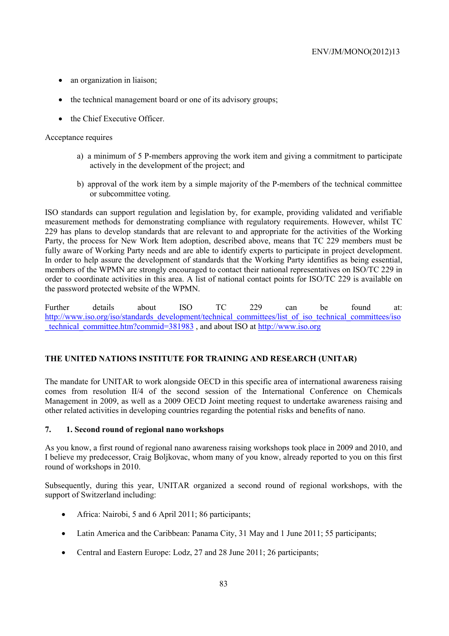- an organization in liaison;
- the technical management board or one of its advisory groups;
- the Chief Executive Officer.

### Acceptance requires

- a) a minimum of 5 P-members approving the work item and giving a commitment to participate actively in the development of the project; and
- b) approval of the work item by a simple majority of the P-members of the technical committee or subcommittee voting.

ISO standards can support regulation and legislation by, for example, providing validated and verifiable measurement methods for demonstrating compliance with regulatory requirements. However, whilst TC 229 has plans to develop standards that are relevant to and appropriate for the activities of the Working Party, the process for New Work Item adoption, described above, means that TC 229 members must be fully aware of Working Party needs and are able to identify experts to participate in project development. In order to help assure the development of standards that the Working Party identifies as being essential, members of the WPMN are strongly encouraged to contact their national representatives on ISO/TC 229 in order to coordinate activities in this area. A list of national contact points for ISO/TC 229 is available on the password protected website of the WPMN.

Further details about ISO TC 229 can be found at: http://www.iso.org/iso/standards\_development/technical\_committees/list\_of\_iso\_technical\_committees/iso \_technical\_committee.htm?commid=381983 , and about ISO at http://www.iso.org

# **THE UNITED NATIONS INSTITUTE FOR TRAINING AND RESEARCH (UNITAR)**

The mandate for UNITAR to work alongside OECD in this specific area of international awareness raising comes from resolution II/4 of the second session of the International Conference on Chemicals Management in 2009, as well as a 2009 OECD Joint meeting request to undertake awareness raising and other related activities in developing countries regarding the potential risks and benefits of nano.

## **7. 1. Second round of regional nano workshops**

As you know, a first round of regional nano awareness raising workshops took place in 2009 and 2010, and I believe my predecessor, Craig Boljkovac, whom many of you know, already reported to you on this first round of workshops in 2010.

Subsequently, during this year, UNITAR organized a second round of regional workshops, with the support of Switzerland including:

- Africa: Nairobi, 5 and 6 April 2011; 86 participants;
- Latin America and the Caribbean: Panama City, 31 May and 1 June 2011; 55 participants;
- Central and Eastern Europe: Lodz, 27 and 28 June 2011; 26 participants;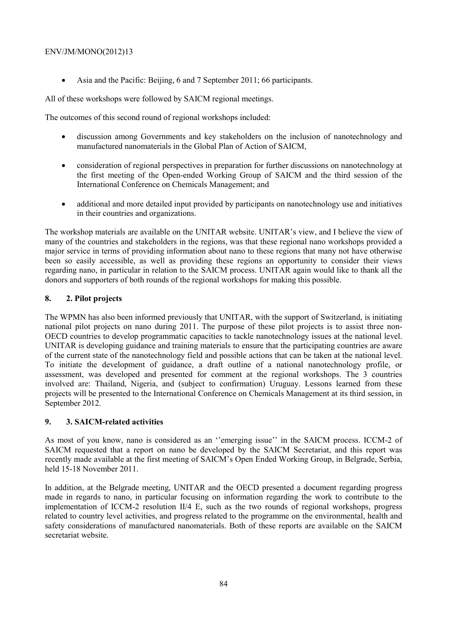• Asia and the Pacific: Beijing, 6 and 7 September 2011; 66 participants.

All of these workshops were followed by SAICM regional meetings.

The outcomes of this second round of regional workshops included:

- discussion among Governments and key stakeholders on the inclusion of nanotechnology and manufactured nanomaterials in the Global Plan of Action of SAICM,
- consideration of regional perspectives in preparation for further discussions on nanotechnology at the first meeting of the Open-ended Working Group of SAICM and the third session of the International Conference on Chemicals Management; and
- additional and more detailed input provided by participants on nanotechnology use and initiatives in their countries and organizations.

The workshop materials are available on the UNITAR website. UNITAR's view, and I believe the view of many of the countries and stakeholders in the regions, was that these regional nano workshops provided a major service in terms of providing information about nano to these regions that many not have otherwise been so easily accessible, as well as providing these regions an opportunity to consider their views regarding nano, in particular in relation to the SAICM process. UNITAR again would like to thank all the donors and supporters of both rounds of the regional workshops for making this possible.

# **8. 2. Pilot projects**

The WPMN has also been informed previously that UNITAR, with the support of Switzerland, is initiating national pilot projects on nano during 2011. The purpose of these pilot projects is to assist three non-OECD countries to develop programmatic capacities to tackle nanotechnology issues at the national level. UNITAR is developing guidance and training materials to ensure that the participating countries are aware of the current state of the nanotechnology field and possible actions that can be taken at the national level. To initiate the development of guidance, a draft outline of a national nanotechnology profile, or assessment, was developed and presented for comment at the regional workshops. The 3 countries involved are: Thailand, Nigeria, and (subject to confirmation) Uruguay. Lessons learned from these projects will be presented to the International Conference on Chemicals Management at its third session, in September 2012.

# **9. 3. SAICM-related activities**

As most of you know, nano is considered as an ''emerging issue'' in the SAICM process. ICCM-2 of SAICM requested that a report on nano be developed by the SAICM Secretariat, and this report was recently made available at the first meeting of SAICM's Open Ended Working Group, in Belgrade, Serbia, held 15-18 November 2011.

In addition, at the Belgrade meeting, UNITAR and the OECD presented a document regarding progress made in regards to nano, in particular focusing on information regarding the work to contribute to the implementation of ICCM-2 resolution II/4 E, such as the two rounds of regional workshops, progress related to country level activities, and progress related to the programme on the environmental, health and safety considerations of manufactured nanomaterials. Both of these reports are available on the SAICM secretariat website.